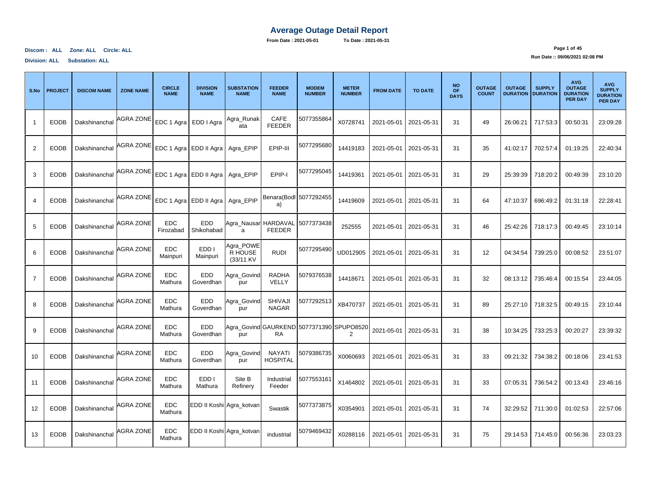**From Date : 2021-05-01**

**To Date : 2021-05-31**

**Discom : ALL Zone: ALL Circle: ALL**

**Division: ALL Substation: ALL**

**Page 1 of 45**

| S.No           | <b>PROJECT</b> | <b>DISCOM NAME</b>                                       | <b>ZONE NAME</b>                                                    | <b>CIRCLE</b><br><b>NAME</b> | <b>DIVISION</b><br><b>NAME</b>     | <b>SUBSTATION</b><br><b>NAME</b>         | <b>FEEDER</b><br><b>NAME</b> | <b>MODEM</b><br><b>NUMBER</b> | <b>METER</b><br><b>NUMBER</b> | <b>FROM DATE</b>                      | <b>TO DATE</b>                                                  | <b>NO</b><br>OF<br><b>DAYS</b> | <b>OUTAGE</b><br><b>COUNT</b> | <b>OUTAGE</b><br><b>DURATION DURATION</b> | <b>SUPPLY</b>       | <b>AVG</b><br><b>OUTAGE</b><br><b>DURATION</b><br><b>PER DAY</b> | <b>AVG</b><br><b>SUPPLY</b><br><b>DURATION</b><br><b>PER DAY</b> |
|----------------|----------------|----------------------------------------------------------|---------------------------------------------------------------------|------------------------------|------------------------------------|------------------------------------------|------------------------------|-------------------------------|-------------------------------|---------------------------------------|-----------------------------------------------------------------|--------------------------------|-------------------------------|-------------------------------------------|---------------------|------------------------------------------------------------------|------------------------------------------------------------------|
|                | <b>EODB</b>    | Dakshinanchal AGRA ZONE EDC 1 Agra EDD I Agra Agra_Runak |                                                                     |                              |                                    |                                          | CAFE<br>FEEDER               | 5077355864                    | X0728741                      |                                       | 2021-05-01 2021-05-31                                           | 31                             | 49                            | 26:06:21                                  | 717:53:3            | 00:50:31                                                         | 23:09:28                                                         |
| $\overline{2}$ | <b>EODB</b>    | Dakshinanchal AGRA ZONE EDC 1 Agra EDD II Agra Agra_EPIP |                                                                     |                              |                                    |                                          | EPIP-III                     | 5077295680                    |                               | 14419183 2021-05-01 2021-05-31        |                                                                 | 31                             | 35                            | 41:02:17                                  | 702:57:4            | 01:19:25                                                         | 22:40:34                                                         |
| 3              | <b>EODB</b>    | Dakshinanchal                                            | AGRA ZONE                                                           |                              | EDC 1 Agra EDD II Agra   Agra_EPIP |                                          | EPIP-I                       | 5077295045                    | 14419361                      | $\vert$ 2021-05-01 $\vert$ 2021-05-31 |                                                                 | 31                             | 29                            | 25:39:39                                  | 718:20:2            | 00:49:39                                                         | 23:10:20                                                         |
| $\overline{4}$ | <b>EODB</b>    | Dakshinanchal                                            | AGRA ZONE EDC 1 Agra EDD II Agra Agra_EPIP   Benara(Bodl 5077292455 |                              |                                    |                                          |                              |                               | 14419609                      |                                       | 2021-05-01 2021-05-31                                           | 31                             | 64                            | 47:10:37                                  | 696:49:2            | 01:31:18                                                         | 22:28:41                                                         |
| 5              | <b>EODB</b>    | Dakshinanchal AGRA ZONE                                  |                                                                     | <b>EDC</b><br>Firozabad      | EDD<br>Shikohabad                  | Agra_Nausar HARDAVAL 5077373438<br>a     | <b>FEEDER</b>                |                               | 252555                        |                                       | 2021-05-01   2021-05-31                                         | 31                             | 46                            | 25:42:26                                  | 718:17:3            | 00:49:45                                                         | 23:10:14                                                         |
| $6\phantom{1}$ | <b>EODB</b>    | Dakshinanchal                                            | <b>AGRA ZONE</b>                                                    | <b>EDC</b><br>Mainpuri       | EDD I<br>Mainpuri                  | Agra_POWE<br><b>R</b> HOUSE<br>(33/11 KV | <b>RUDI</b>                  | 5077295490                    |                               | UD012905   2021-05-01   2021-05-31    |                                                                 | 31                             | 12                            | 04:34:54                                  | 739:25:0            | 00:08:52                                                         | 23:51:07                                                         |
| $\overline{7}$ | <b>EODB</b>    | Dakshinanchal                                            | <b>AGRA ZONE</b>                                                    | <b>EDC</b><br>Mathura        | <b>EDD</b><br>Goverdhan            | Agra_Govind<br>pur                       | <b>RADHA</b><br><b>VELLY</b> | 5079376538                    | 14418671                      |                                       | 2021-05-01 2021-05-31                                           | 31                             | 32                            | 08:13:12                                  | 735:46:4            | 00:15:54                                                         | 23:44:05                                                         |
| 8              | <b>EODB</b>    | Dakshinanchal AGRA ZONE                                  |                                                                     | <b>EDC</b><br>Mathura        | <b>EDD</b><br>Goverdhan            | Agra_Govind<br>pur                       | SHIVAJI<br><b>NAGAR</b>      | 5077292513                    |                               | XB470737 2021-05-01 2021-05-31        |                                                                 | 31                             | 89                            |                                           | 25:27:10   718:32:5 | 00:49:15                                                         | 23:10:44                                                         |
| $9\,$          | <b>EODB</b>    | Dakshinanchal                                            | <b>AGRA ZONE</b>                                                    | <b>EDC</b><br>Mathura        | EDD<br>Goverdhan                   | pur                                      | RA                           |                               | $\overline{2}$                |                                       | Agra_Govind GAURKEND 5077371390 SPUPO8520 2021-05-01 2021-05-31 | 31                             | 38                            | 10:34:25                                  | 733:25:3            | 00:20:27                                                         | 23:39:32                                                         |
| 10             | <b>EODB</b>    | Dakshinanchal                                            | AGRA ZONE                                                           | <b>EDC</b><br>Mathura        | EDD<br>Goverdhan                   | Agra_Govind<br>pur                       | NAYATI<br><b>HOSPITAL</b>    | 5079386735                    |                               | X0060693 2021-05-01 2021-05-31        |                                                                 | 31                             | 33                            | 09:21:32                                  | 734:38:2            | 00:18:06                                                         | 23:41:53                                                         |
| 11             | <b>EODB</b>    | Dakshinanchal                                            | <b>AGRA ZONE</b>                                                    | <b>EDC</b><br>Mathura        | EDD I<br>Mathura                   | Site B<br>Refinery                       | Industrial<br>Feeder         | 5077553161                    | X1464802                      |                                       | 2021-05-01   2021-05-31                                         | 31                             | 33                            | 07:05:31                                  | 736:54:2            | 00:13:43                                                         | 23:46:16                                                         |
| 12             | <b>EODB</b>    | Dakshinanchal                                            | <b>AGRA ZONE</b>                                                    | EDC<br>Mathura               | EDD II Koshi Agra_kotvan           |                                          | Swastik                      | 5077373875                    | X0354901                      | $\vert$ 2021-05-01 $\vert$ 2021-05-31 |                                                                 | 31                             | 74                            | 32:29:52                                  | 711:30:0            | 01:02:53                                                         | 22:57:06                                                         |
| 13             | <b>EODB</b>    | Dakshinanchal                                            | <b>AGRA ZONE</b>                                                    | <b>EDC</b><br>Mathura        | EDD II Koshi Agra_kotvan           |                                          | industrial                   | 5079469432                    | X0288116                      |                                       | 2021-05-01 2021-05-31                                           | 31                             | 75                            | 29:14:53                                  | 714:45:0            | 00:56:36                                                         | 23:03:23                                                         |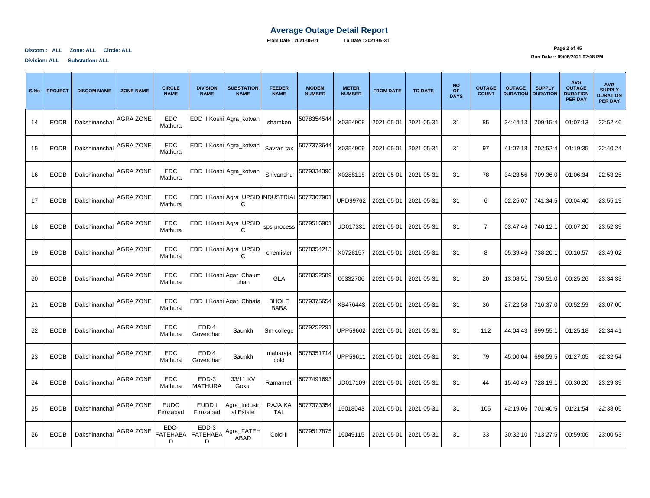**From Date : 2021-05-01**

**To Date : 2021-05-31**

**Discom : ALL Zone: ALL Circle: ALL**

**Division: ALL Substation: ALL**

**Page 2 of 45**

| S.No | <b>PROJECT</b> | <b>DISCOM NAME</b>      | <b>ZONE NAME</b> | <b>CIRCLE</b><br><b>NAME</b> | <b>DIVISION</b><br><b>NAME</b>                 | <b>SUBSTATION</b><br><b>NAME</b>                   | <b>FEEDER</b><br><b>NAME</b> | <b>MODEM</b><br><b>NUMBER</b> | <b>METER</b><br><b>NUMBER</b> | <b>FROM DATE</b>                   | <b>TO DATE</b> | $\frac{NO}{OF}$<br><b>DAYS</b> | <b>OUTAGE</b><br><b>COUNT</b> | <b>OUTAGE</b><br><b>DURATION</b> | <b>SUPPLY</b><br><b>DURATION</b> | <b>AVG</b><br><b>OUTAGE</b><br><b>DURATION</b><br><b>PER DAY</b> | <b>AVG</b><br><b>SUPPLY</b><br><b>DURATION</b><br><b>PER DAY</b> |
|------|----------------|-------------------------|------------------|------------------------------|------------------------------------------------|----------------------------------------------------|------------------------------|-------------------------------|-------------------------------|------------------------------------|----------------|--------------------------------|-------------------------------|----------------------------------|----------------------------------|------------------------------------------------------------------|------------------------------------------------------------------|
| 14   | <b>EODB</b>    | Dakshinanchal           | <b>AGRA ZONE</b> | <b>EDC</b><br>Mathura        |                                                | EDD II Koshi Agra_kotvan                           | shamken                      | 5078354544                    | X0354908                      | 2021-05-01   2021-05-31            |                | 31                             | 85                            | 34:44:13                         | 709:15:4                         | 01:07:13                                                         | 22:52:46                                                         |
| 15   | <b>EODB</b>    | Dakshinanchal AGRA ZONE |                  | <b>EDC</b><br>Mathura        | EDD II Koshi Agra_kotvan                       |                                                    |                              | Savran tax   5077373644       | X0354909                      | 2021-05-01 2021-05-31              |                | 31                             | 97                            | 41:07:18                         | 702:52:4                         | 01:19:35                                                         | 22:40:24                                                         |
| 16   | <b>EODB</b>    | Dakshinanchal           | AGRA ZONE        | <b>EDC</b><br>Mathura        |                                                | EDD II Koshi Agra_kotvan                           | Shivanshu                    | 5079334396                    | X0288118                      | 2021-05-01 2021-05-31              |                | 31                             | 78                            | 34:23:56                         | 709:36:0                         | 01:06:34                                                         | 22:53:25                                                         |
| 17   | <b>EODB</b>    | Dakshinanchal           | <b>AGRA ZONE</b> | <b>EDC</b><br>Mathura        |                                                | EDD II Koshi Agra_UPSID INDUSTRIAL 5077367901<br>C |                              |                               | UPD99762                      | 2021-05-01 2021-05-31              |                | 31                             | 6                             | 02:25:07                         | 741:34:5                         | 00:04:40                                                         | 23:55:19                                                         |
| 18   | <b>EODB</b>    | Dakshinanchal AGRA ZONE |                  | EDC<br>Mathura               | EDD II Koshi Agra_UPSID sps process 5079516901 |                                                    |                              |                               |                               | UD017331 2021-05-01 2021-05-31     |                | 31                             | $\overline{7}$                | 03:47:46                         | 740:12:1                         | 00:07:20                                                         | 23:52:39                                                         |
| 19   | <b>EODB</b>    | Dakshinanchal           | <b>AGRA ZONE</b> | <b>EDC</b><br>Mathura        |                                                |                                                    | chemister                    | 5078354213                    |                               | X0728157 2021-05-01 2021-05-31     |                | 31                             | 8                             | 05:39:46                         | 738:20:1                         | 00:10:57                                                         | 23:49:02                                                         |
| 20   | <b>EODB</b>    | Dakshinanchal           | <b>AGRA ZONE</b> | <b>EDC</b><br>Mathura        |                                                | EDD II Koshi Agar_Chaum<br>uhan                    | <b>GLA</b>                   | 5078352589                    | 06332706                      | 2021-05-01 2021-05-31              |                | 31                             | 20                            | 13:08:51                         | 730:51:0                         | 00:25:26                                                         | 23:34:33                                                         |
| 21   | <b>EODB</b>    | Dakshinanchal AGRA ZONE |                  | <b>EDC</b><br>Mathura        |                                                | EDD II Koshi Agar_Chhata                           | <b>BHOLE</b><br><b>BABA</b>  | 5079375654                    | XB476443                      | 2021-05-01   2021-05-31            |                | 31                             | 36                            | 27:22:58                         | 716:37:0                         | 00:52:59                                                         | 23:07:00                                                         |
| 22   | <b>EODB</b>    | Dakshinanchal           | <b>AGRA ZONE</b> | <b>EDC</b><br>Mathura        | EDD <sub>4</sub><br>Goverdhan                  | Saunkh                                             | Sm college                   | 5079252291                    |                               | UPP59602   2021-05-01   2021-05-31 |                | 31                             | 112                           | 44:04:43                         | 699:55:1                         | 01:25:18                                                         | 22:34:41                                                         |
| 23   | EODB           | Dakshinanchal           | <b>AGRA ZONE</b> | <b>EDC</b><br>Mathura        | EDD <sub>4</sub><br>Goverdhan                  | Saunkh                                             | maharaja<br>cold             | 5078351714                    |                               | UPP59611 2021-05-01 2021-05-31     |                | 31                             | 79                            | 45:00:04                         | 698:59:5                         | 01:27:05                                                         | 22:32:54                                                         |
| 24   | <b>EODB</b>    | Dakshinanchal           | <b>AGRA ZONE</b> | <b>EDC</b><br>Mathura        | EDD-3<br><b>MATHURA</b>                        | 33/11 KV<br>Gokul                                  | Ramanreti                    | 5077491693                    |                               | UD017109   2021-05-01   2021-05-31 |                | 31                             | 44                            | 15:40:49                         | 728:19:1                         | 00:30:20                                                         | 23:29:39                                                         |
| 25   | <b>EODB</b>    | Dakshinanchal           | AGRA ZONE        | <b>EUDC</b><br>Firozabad     | EUDD I<br>Firozabad                            | Agra_Industri<br>al Estate                         | <b>TAL</b>                   | RAJA KA   5077373354          |                               | 15018043 2021-05-01 2021-05-31     |                | 31                             | 105                           | 42:19:06                         | 701:40:5                         | 01:21:54                                                         | 22:38:05                                                         |
| 26   | EODB           | Dakshinanchal AGRA ZONE |                  | EDC-<br><b>FATEHABA</b><br>D | EDD-3<br>FATEHABA<br>D                         | Agra_FATEH<br>ABAD                                 | Cold-II                      | 5079517875                    |                               | 16049115 2021-05-01 2021-05-31     |                | 31                             | 33                            | 30:32:10                         | 713:27:5                         | 00:59:06                                                         | 23:00:53                                                         |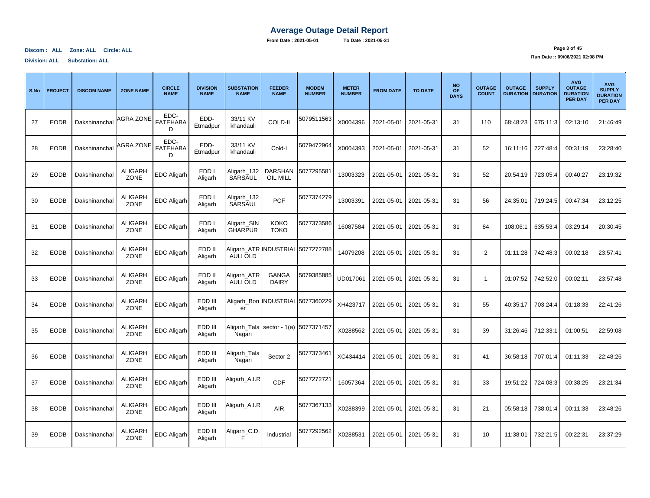**From Date : 2021-05-01**

**To Date : 2021-05-31**

**Discom : ALL Zone: ALL Circle: ALL**

**Division: ALL Substation: ALL**

**Page 3 of 45**

| S.No | <b>PROJECT</b> | <b>DISCOM NAME</b> | <b>ZONE NAME</b>              | <b>CIRCLE</b><br><b>NAME</b> | <b>DIVISION</b><br><b>NAME</b> | <b>SUBSTATION</b><br><b>NAME</b>                      | <b>FEEDER</b><br><b>NAME</b>              | <b>MODEM</b><br><b>NUMBER</b> | <b>METER</b><br><b>NUMBER</b> | <b>FROM DATE</b>                   | <b>TO DATE</b>          | <b>NO</b><br><b>OF</b><br><b>DAYS</b> | <b>OUTAGE</b><br><b>COUNT</b> | <b>OUTAGE</b><br><b>DURATION</b> | <b>SUPPLY</b><br><b>DURATION</b> | <b>AVG</b><br><b>OUTAGE</b><br><b>DURATION</b><br><b>PER DAY</b> | <b>AVG</b><br><b>SUPPLY</b><br><b>DURATION</b><br><b>PER DAY</b> |
|------|----------------|--------------------|-------------------------------|------------------------------|--------------------------------|-------------------------------------------------------|-------------------------------------------|-------------------------------|-------------------------------|------------------------------------|-------------------------|---------------------------------------|-------------------------------|----------------------------------|----------------------------------|------------------------------------------------------------------|------------------------------------------------------------------|
| 27   | <b>EODB</b>    | Dakshinanchal      | AGRA ZONE                     | EDC-<br><b>FATEHABA</b><br>D | EDD-<br>Etmadpur               | 33/11 KV<br>khandauli                                 | <b>COLD-II</b>                            | 5079511563                    | X0004396                      |                                    | 2021-05-01   2021-05-31 | 31                                    | 110                           | 68:48:23                         | 675:11:3                         | 02:13:10                                                         | 21:46:49                                                         |
| 28   | <b>EODB</b>    | Dakshinanchal      | AGRA ZONE                     | EDC-<br><b>FATEHABA</b><br>D | EDD-<br>Etmadpur               | 33/11 KV<br>khandauli                                 | Cold-I                                    | 5079472964                    | X0004393                      |                                    | 2021-05-01   2021-05-31 | 31                                    | 52                            | 16:11:16                         | 727:48:4                         | 00:31:19                                                         | 23:28:40                                                         |
| 29   | <b>EODB</b>    | Dakshinanchal      | <b>ALIGARH</b><br>ZONE        | EDC Aligarh                  | EDD I<br>Aligarh               | Aligarh_132<br>SARSAUL                                | DARSHAN 5077295581<br><b>OIL MILL</b>     |                               | 13003323                      | 2021-05-01                         | $ 2021 - 05 - 31$       | 31                                    | 52                            | 20:54:19                         | 723:05:4                         | 00:40:27                                                         | 23:19:32                                                         |
| 30   | <b>EODB</b>    | Dakshinanchal      | <b>ALIGARH</b><br><b>ZONE</b> | EDC Aligarh                  | EDD I<br>Aligarh               | Aligarh_132<br><b>SARSAUL</b>                         | <b>PCF</b>                                | 5077374279                    | 13003391                      |                                    | 2021-05-01 2021-05-31   | 31                                    | 56                            | 24:35:01                         | 719:24:5                         | 00:47:34                                                         | 23:12:25                                                         |
| 31   | <b>EODB</b>    | Dakshinanchal      | <b>ALIGARH</b><br><b>ZONE</b> | <b>EDC Aligarh</b>           | EDD I<br>Aligarh               | Aligarh_SIN<br><b>GHARPUR</b>                         | <b>KOKO</b><br><b>TOKO</b>                | 5077373586                    | 16087584                      |                                    | 2021-05-01 2021-05-31   | 31                                    | 84                            | 108:06:1                         | 635:53:4                         | 03:29:14                                                         | 20:30:45                                                         |
| 32   | <b>EODB</b>    | Dakshinanchal      | <b>ALIGARH</b><br>ZONE        | <b>EDC Aligarh</b>           | EDD II<br>Aligarh              | Aligarh_ATR  INDUSTRIAL 5077272788<br><b>AULI OLD</b> |                                           |                               | 14079208                      |                                    | 2021-05-01 2021-05-31   | 31                                    | $\overline{2}$                | 01:11:28                         | 742:48:3                         | 00:02:18                                                         | 23:57:41                                                         |
| 33   | <b>EODB</b>    | Dakshinanchal      | <b>ALIGARH</b><br>ZONE        | EDC Aligarh                  | EDD II<br>Aligarh              | Aligarh_ATR<br><b>AULI OLD</b>                        | <b>GANGA</b><br><b>DAIRY</b>              | 5079385885                    | UD017061                      |                                    | 2021-05-01   2021-05-31 | 31                                    | - 1                           | 01:07:52                         | 742:52:0                         | 00:02:11                                                         | 23:57:48                                                         |
| 34   | <b>EODB</b>    | Dakshinanchal      | <b>ALIGARH</b><br><b>ZONE</b> | <b>EDC Aligarh</b>           | EDD III<br>Aligarh             | er                                                    | Aligarh_Bon  INDUSTRIAL 5077360229        |                               | XH423717                      |                                    | 2021-05-01   2021-05-31 | 31                                    | 55                            | 40:35:17                         | 703:24:4                         | 01:18:33                                                         | 22:41:26                                                         |
| 35   | <b>EODB</b>    | Dakshinanchal      | <b>ALIGARH</b><br>ZONE        | EDC Aligarh                  | EDD III<br>Aligarh             | Nagari                                                | Aligarh_Tala   sector - 1(a)   5077371457 |                               | X0288562                      |                                    | 2021-05-01 2021-05-31   | 31                                    | 39                            | 31:26:46                         | 712:33:1                         | 01:00:51                                                         | 22:59:08                                                         |
| 36   | <b>EODB</b>    | Dakshinanchal      | ALIGARH<br>ZONE               | <b>EDC Aligarh</b>           | EDD III<br>Aligarh             | Aligarh_Tala<br>Nagari                                | Sector 2                                  | 5077373461                    |                               | XC434414   2021-05-01   2021-05-31 |                         | 31                                    | 41                            | 36:58:18                         | 707:01:4                         | 01:11:33                                                         | 22:48:26                                                         |
| 37   | <b>EODB</b>    | Dakshinanchal      | <b>ALIGARH</b><br>ZONE        | EDC Aligarh                  | EDD III<br>Aligarh             | Aligarh_A.I.R                                         | <b>CDF</b>                                | 5077272721                    | 16057364                      |                                    | 2021-05-01 2021-05-31   | 31                                    | 33                            | 19:51:22                         | 724:08:3                         | 00:38:25                                                         | 23:21:34                                                         |
| 38   | <b>EODB</b>    | Dakshinanchal      | <b>ALIGARH</b><br>ZONE        | EDC Aligarh                  | EDD III<br>Aligarh             | Aligarh A.I.R                                         | <b>AIR</b>                                | 5077367133                    | X0288399                      |                                    | 2021-05-01 2021-05-31   | 31                                    | 21                            | 05:58:18                         | 738:01:4                         | 00:11:33                                                         | 23:48:26                                                         |
| 39   | <b>EODB</b>    | Dakshinanchal      | <b>ALIGARH</b><br>ZONE        | <b>EDC</b> Aligarh           | EDD III<br>Aligarh             | Aligarh_C.D.<br>F                                     | industrial                                | 5077292562                    | X0288531                      |                                    | 2021-05-01 2021-05-31   | 31                                    | 10                            | 11:38:01                         | 732:21:5                         | 00:22:31                                                         | 23:37:29                                                         |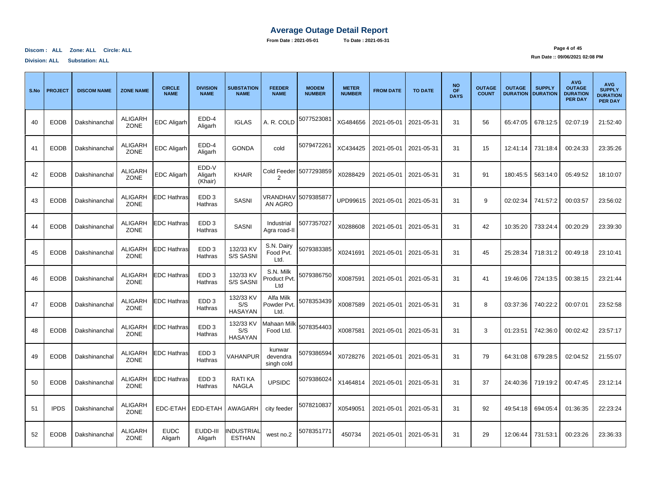**From Date : 2021-05-01**

**To Date : 2021-05-31**

**Discom : ALL Zone: ALL Circle: ALL**

**Division: ALL Substation: ALL**

**Page 4 of 45**

| S.No | <b>PROJECT</b> | <b>DISCOM NAME</b> | <b>ZONE NAME</b>              | <b>CIRCLE</b><br><b>NAME</b> | <b>DIVISION</b><br><b>NAME</b> | <b>SUBSTATION</b><br><b>NAME</b>   | <b>FEEDER</b><br><b>NAME</b>     | <b>MODEM</b><br><b>NUMBER</b> | <b>METER</b><br><b>NUMBER</b> | <b>FROM DATE</b>               | <b>TO DATE</b>          | <b>NO</b><br><b>OF</b><br><b>DAYS</b> | <b>OUTAGE</b><br><b>COUNT</b> | <b>OUTAGE</b><br><b>DURATION</b> | <b>SUPPLY</b><br><b>DURATION</b> | <b>AVG</b><br><b>OUTAGE</b><br><b>DURATION</b><br><b>PER DAY</b> | <b>AVG</b><br><b>SUPPLY</b><br><b>DURATION</b><br><b>PER DAY</b> |
|------|----------------|--------------------|-------------------------------|------------------------------|--------------------------------|------------------------------------|----------------------------------|-------------------------------|-------------------------------|--------------------------------|-------------------------|---------------------------------------|-------------------------------|----------------------------------|----------------------------------|------------------------------------------------------------------|------------------------------------------------------------------|
| 40   | EODB           | Dakshinanchal      | <b>ALIGARH</b><br><b>ZONE</b> | <b>EDC Aligarh</b>           | EDD-4<br>Aligarh               | <b>IGLAS</b>                       | A. R. COLD                       | 5077523081                    | XG484656                      | 2021-05-01                     | 2021-05-31              | 31                                    | 56                            | 65:47:05                         | 678:12:5                         | 02:07:19                                                         | 21:52:40                                                         |
| 41   | <b>EODB</b>    | Dakshinanchal      | <b>ALIGARH</b><br><b>ZONE</b> | EDC Aligarh                  | EDD-4<br>Aligarh               | <b>GONDA</b>                       | cold                             | 5079472261                    | XC434425                      | 2021-05-01                     | 2021-05-31              | 31                                    | 15                            | 12:41:14                         | 731:18:4                         | 00:24:33                                                         | 23:35:26                                                         |
| 42   | <b>EODB</b>    | Dakshinanchal      | <b>ALIGARH</b><br><b>ZONE</b> | EDC Aligarh                  | EDD-V<br>Aligarh<br>(Khair)    | <b>KHAIR</b>                       | $\overline{2}$                   | Cold Feeder   5077293859      | X0288429                      | 2021-05-01                     | 2021-05-31              | 31                                    | 91                            | 180:45:5                         | 563:14:0                         | 05:49:52                                                         | 18:10:07                                                         |
| 43   | <b>EODB</b>    | Dakshinanchal      | <b>ALIGARH</b><br><b>ZONE</b> | <b>EDC Hathras</b>           | EDD <sub>3</sub><br>Hathras    | <b>SASNI</b>                       | AN AGRO                          | VRANDHAV 5079385877           | UPD99615                      | 2021-05-01                     | 2021-05-31              | 31                                    | 9                             | 02:02:34                         | 741:57:2                         | 00:03:57                                                         | 23:56:02                                                         |
| 44   | <b>EODB</b>    | Dakshinanchal      | <b>ALIGARH</b><br><b>ZONE</b> | <b>EDC Hathras</b>           | EDD <sub>3</sub><br>Hathras    | <b>SASNI</b>                       | Industrial<br>Agra road-II       | 5077357027                    | X0288608                      | 2021-05-01                     | 2021-05-31              | 31                                    | 42                            | 10:35:20                         | 733:24:4                         | 00:20:29                                                         | 23:39:30                                                         |
| 45   | <b>EODB</b>    | Dakshinanchal      | <b>ALIGARH</b><br>ZONE        | <b>EDC Hathras</b>           | EDD <sub>3</sub><br>Hathras    | 132/33 KV<br>S/S SASNI             | S.N. Dairy<br>Food Pvt.<br>Ltd.  | 5079383385                    | X0241691                      | 2021-05-01                     | 2021-05-31              | 31                                    | 45                            | 25:28:34                         | 718:31:2                         | 00:49:18                                                         | 23:10:41                                                         |
| 46   | <b>EODB</b>    | Dakshinanchal      | <b>ALIGARH</b><br><b>ZONE</b> | <b>EDC Hathras</b>           | EDD <sub>3</sub><br>Hathras    | 132/33 KV<br>S/S SASNI             | S.N. Milk<br>Product Pvt.<br>Ltd | 5079386750                    | X0087591                      | 2021-05-01                     | 2021-05-31              | 31                                    | 41                            | 19:46:06                         | 724:13:5                         | 00:38:15                                                         | 23:21:44                                                         |
| 47   | <b>EODB</b>    | Dakshinanchal      | <b>ALIGARH</b><br><b>ZONE</b> | <b>EDC Hathras</b>           | EDD <sub>3</sub><br>Hathras    | 132/33 KV<br>S/S<br><b>HASAYAN</b> | Alfa Milk<br>Powder Pvt.<br>Ltd. | 5078353439                    | X0087589                      | 2021-05-01                     | 2021-05-31              | 31                                    | 8                             | 03:37:36                         | 740:22:2                         | 00:07:01                                                         | 23:52:58                                                         |
| 48   | <b>EODB</b>    | Dakshinanchal      | <b>ALIGARH</b><br>ZONE        | <b>EDC Hathras</b>           | EDD <sub>3</sub><br>Hathras    | 132/33 KV<br>S/S<br><b>HASAYAN</b> | Food Ltd.                        | Mahaan Milk 5078354403        | X0087581                      | 2021-05-01                     | 2021-05-31              | 31                                    | 3                             | 01:23:51                         | 742:36:0                         | 00:02:42                                                         | 23:57:17                                                         |
| 49   | <b>EODB</b>    | Dakshinanchal      | <b>ZONE</b>                   | ALIGARH EDC Hathras          | EDD <sub>3</sub><br>Hathras    | <b>VAHANPUR</b>                    | kunwar<br>devendra<br>singh cold | 5079386594                    |                               | X0728276 2021-05-01 2021-05-31 |                         | 31                                    | 79                            | 64:31:08                         | 679:28:5                         | 02:04:52                                                         | 21:55:07                                                         |
| 50   | <b>EODB</b>    | Dakshinanchal      | ALIGARH<br>ZONE               | <b>EDC Hathras</b>           | EDD <sub>3</sub><br>Hathras    | <b>RATIKA</b><br><b>NAGLA</b>      | <b>UPSIDC</b>                    | 5079386024                    | X1464814                      |                                | 2021-05-01 2021-05-31   | 31                                    | 37                            | 24:40:36                         | 719:19:2                         | 00:47:45                                                         | 23:12:14                                                         |
| 51   | <b>IPDS</b>    | Dakshinanchal      | <b>ALIGARH</b><br><b>ZONE</b> |                              | EDC-ETAH   EDD-ETAH   AWAGARH  |                                    | city feeder                      | 5078210837                    | X0549051                      | 2021-05-01 2021-05-31          |                         | 31                                    | 92                            | 49:54:18                         | 694:05:4                         | 01:36:35                                                         | 22:23:24                                                         |
| 52   | <b>EODB</b>    | Dakshinanchal      | <b>ALIGARH</b><br>ZONE        | <b>EUDC</b><br>Aligarh       | EUDD-III<br>Aligarh            | INDUSTRIAL<br><b>ESTHAN</b>        | west no.2                        | 5078351771                    | 450734                        |                                | 2021-05-01   2021-05-31 | 31                                    | 29                            | 12:06:44                         | 731:53:1                         | 00:23:26                                                         | 23:36:33                                                         |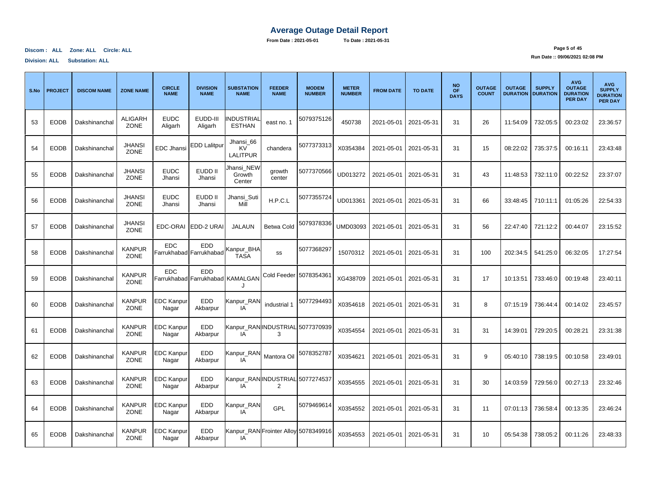**From Date : 2021-05-01**

**To Date : 2021-05-31**

**Discom : ALL Zone: ALL Circle: ALL**

**Division: ALL Substation: ALL**

**Page 5 of 45**

| S.No | <b>PROJECT</b> | <b>DISCOM NAME</b> | <b>ZONE NAME</b>       | <b>CIRCLE</b><br><b>NAME</b>                                          | <b>DIVISION</b><br><b>NAME</b>            | <b>SUBSTATION</b><br><b>NAME</b>   | <b>FEEDER</b><br><b>NAME</b>                                                              | <b>MODEM</b><br><b>NUMBER</b>                                | <b>METER</b><br><b>NUMBER</b> | <b>FROM DATE</b>                      | <b>TO DATE</b>          | <b>NO</b><br>OF<br><b>DAYS</b> | <b>OUTAGE</b><br><b>COUNT</b> | <b>OUTAGE</b><br><b>DURATION DURATION</b> | <b>SUPPLY</b> | <b>AVG</b><br><b>OUTAGE</b><br><b>DURATION</b><br><b>PER DAY</b> | <b>AVG</b><br><b>SUPPLY</b><br><b>DURATION</b><br><b>PER DAY</b> |
|------|----------------|--------------------|------------------------|-----------------------------------------------------------------------|-------------------------------------------|------------------------------------|-------------------------------------------------------------------------------------------|--------------------------------------------------------------|-------------------------------|---------------------------------------|-------------------------|--------------------------------|-------------------------------|-------------------------------------------|---------------|------------------------------------------------------------------|------------------------------------------------------------------|
| 53   | <b>EODB</b>    | Dakshinanchal      | <b>ALIGARH</b><br>ZONE | <b>EUDC</b><br>Aligarh                                                | EUDD-III<br>Aligarh                       | <b>INDUSTRIAL</b><br><b>ESTHAN</b> | east no. 1                                                                                | 5079375126                                                   | 450738                        |                                       | 2021-05-01   2021-05-31 | 31                             | 26                            | 11:54:09                                  | 732:05:5      | 00:23:02                                                         | 23:36:57                                                         |
| 54   | <b>EODB</b>    | Dakshinanchal      | <b>JHANSI</b><br>ZONE  | <b>EDC Jhansi</b>                                                     | <b>EDD Lalitpur</b>                       | Jhansi_66<br>KV<br><b>LALITPUR</b> | chandera                                                                                  | 5077373313                                                   | X0354384                      | 2021-05-01 2021-05-31                 |                         | 31                             | 15                            | 08:22:02                                  | 735:37:5      | 00:16:11                                                         | 23:43:48                                                         |
| 55   | <b>EODB</b>    | Dakshinanchal      | <b>JHANSI</b><br>ZONE  | <b>EUDC</b><br>Jhansi                                                 | EUDD II<br>Jhansi                         | Jhansi_NEW<br>Growth<br>Center     | growth<br>center                                                                          | 5077370566                                                   |                               | UD013272 2021-05-01 2021-05-31        |                         | 31                             | 43                            | 11:48:53                                  | 732:11:0      | 00:22:52                                                         | 23:37:07                                                         |
| 56   | <b>EODB</b>    | Dakshinanchal      | <b>JHANSI</b><br>ZONE  | <b>EUDC</b><br>Jhansi                                                 | EUDD II<br>Jhansi                         | Jhansi_Suti<br>Mill                | H.P.C.L                                                                                   | 5077355724                                                   | UD013361                      | $\vert$ 2021-05-01 $\vert$ 2021-05-31 |                         | 31                             | 66                            | 33:48:45                                  | 710:11:1      | 01:05:26                                                         | 22:54:33                                                         |
| 57   | <b>EODB</b>    | Dakshinanchal      | <b>JHANSI</b><br>ZONE  |                                                                       | EDC-ORAI EDD-2 URAI                       | <b>JALAUN</b>                      |                                                                                           | Betwa Cold   5079378336   UMD03093   2021-05-01   2021-05-31 |                               |                                       |                         | 31                             | 56                            | 22:47:40                                  | 721:12:2      | 00:44:07                                                         | 23:15:52                                                         |
| 58   | <b>EODB</b>    | Dakshinanchal      | <b>KANPUR</b><br>ZONE  | <b>EDC</b>                                                            | EDD<br>Farrukhabad Farrukhabad Kanpur_BHA |                                    | SS                                                                                        | 5077368297                                                   | 15070312                      |                                       | 2021-05-01 2021-05-31   | 31                             | 100                           | 202:34:5                                  | 541:25:0      | 06:32:05                                                         | 17:27:54                                                         |
| 59   | <b>EODB</b>    | Dakshinanchal      | <b>KANPUR</b><br>ZONE  | <b>EDC</b><br>Farrukhabad Farrukhabad KAMALGAN Cold Feeder 5078354361 | EDD                                       | J                                  |                                                                                           |                                                              |                               | XG438709 2021-05-01 2021-05-31        |                         | 31                             | 17                            | 10:13:51                                  | 733:46:0      | 00:19:48                                                         | 23:40:11                                                         |
| 60   | <b>EODB</b>    | Dakshinanchal      | <b>KANPUR</b><br>ZONE  | <b>EDC Kanpur</b><br>Nagar                                            | <b>EDD</b><br>Akbarpur                    |                                    | $\begin{bmatrix}$ Kanpur_RAN industrial 1 $\begin{bmatrix} 5077294493 \\ 1 \end{bmatrix}$ |                                                              | X0354618                      | 2021-05-01 2021-05-31                 |                         | 31                             | 8                             | 07:15:19                                  | 736:44:4      | 00:14:02                                                         | 23:45:57                                                         |
| 61   | <b>EODB</b>    | Dakshinanchal      | <b>KANPUR</b><br>ZONE  | <b>EDC Kanpur</b><br>Nagar                                            | EDD<br>Akbarpur                           | IA                                 | Kanpur_RAN INDUSTRIAL 5077370939<br>3                                                     |                                                              | X0354554                      | 2021-05-01 2021-05-31                 |                         | 31                             | 31                            | 14:39:01                                  | 729:20:5      | 00:28:21                                                         | 23:31:38                                                         |
| 62   | <b>EODB</b>    | Dakshinanchal      | <b>KANPUR</b><br>ZONE  | <b>EDC Kanpur</b><br>Nagar                                            | EDD<br>Akbarpur                           | IA                                 | Kanpur_RAN Mantora Oil 5078352787                                                         |                                                              | X0354621                      | 2021-05-01   2021-05-31               |                         | 31                             | 9                             | 05:40:10                                  | 738:19:5      | 00:10:58                                                         | 23:49:01                                                         |
| 63   | <b>EODB</b>    | Dakshinanchal      | <b>KANPUR</b><br>ZONE  | <b>EDC</b> Kanpur<br>Nagar                                            | <b>EDD</b><br>Akbarpur                    | IA                                 | Kanpur_RAN INDUSTRIAL 5077274537<br>2                                                     |                                                              | X0354555                      |                                       | 2021-05-01 2021-05-31   | 31                             | 30                            | 14:03:59                                  | 729:56:0      | 00:27:13                                                         | 23:32:46                                                         |
| 64   | <b>EODB</b>    | Dakshinanchal      | <b>KANPUR</b><br>ZONE  | <b>EDC</b> Kanpur<br>Nagar                                            | EDD<br>Akbarpur                           | Kanpur_RAN<br>IA                   | <b>GPL</b>                                                                                | 5079469614                                                   | X0354552                      | 2021-05-01   2021-05-31               |                         | 31                             | 11                            | 07:01:13                                  | 736:58:4      | 00:13:35                                                         | 23:46:24                                                         |
| 65   | <b>EODB</b>    | Dakshinanchal      | <b>KANPUR</b><br>ZONE  | <b>EDC</b> Kanpur<br>Nagar                                            | <b>EDD</b><br>Akbarpur                    | IA                                 | Kanpur_RANFrointer Alloy 5078349916                                                       |                                                              | X0354553                      | 2021-05-01   2021-05-31               |                         | 31                             | 10                            | 05:54:38                                  | 738:05:2      | 00:11:26                                                         | 23:48:33                                                         |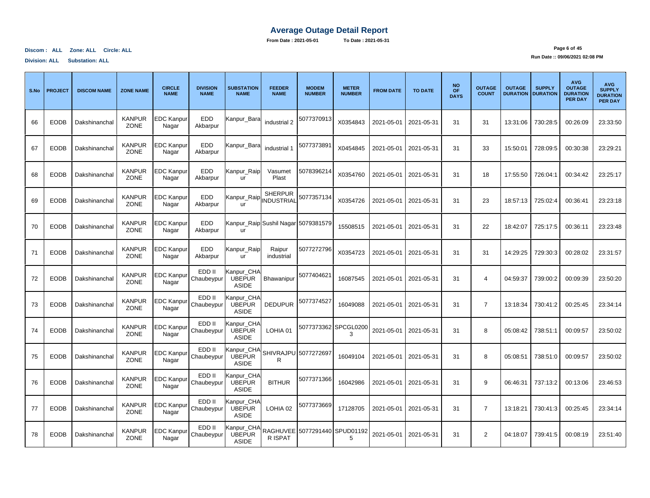**From Date : 2021-05-01**

**To Date : 2021-05-31**

**Discom : ALL Zone: ALL Circle: ALL**

**Division: ALL Substation: ALL**

**Page 6 of 45**

| S.No | <b>PROJECT</b> | <b>DISCOM NAME</b> | <b>ZONE NAME</b>             | <b>CIRCLE</b><br><b>NAME</b> | <b>DIVISION</b><br><b>NAME</b> | <b>SUBSTATION</b><br><b>NAME</b>            | <b>FEEDER</b><br><b>NAME</b>                        | <b>MODEM</b><br><b>NUMBER</b> | <b>METER</b><br><b>NUMBER</b> | <b>FROM DATE</b> | <b>TO DATE</b>          | <b>NO</b><br><b>OF</b><br><b>DAYS</b> | <b>OUTAGE</b><br><b>COUNT</b> | <b>OUTAGE</b><br><b>DURATION</b> | <b>SUPPLY</b><br><b>DURATION</b> | <b>AVG</b><br><b>OUTAGE</b><br><b>DURATION</b><br><b>PER DAY</b> | <b>AVG</b><br><b>SUPPLY</b><br><b>DURATION</b><br><b>PER DAY</b> |
|------|----------------|--------------------|------------------------------|------------------------------|--------------------------------|---------------------------------------------|-----------------------------------------------------|-------------------------------|-------------------------------|------------------|-------------------------|---------------------------------------|-------------------------------|----------------------------------|----------------------------------|------------------------------------------------------------------|------------------------------------------------------------------|
| 66   | <b>EODB</b>    | Dakshinanchal      | <b>KANPUR</b><br><b>ZONE</b> | <b>EDC Kanpur</b><br>Nagar   | EDD<br>Akbarpur                | Kanpur_Bara                                 | industrial 2                                        | 5077370913                    | X0354843                      |                  | 2021-05-01   2021-05-31 | 31                                    | 31                            | 13:31:06                         | 730:28:5                         | 00:26:09                                                         | 23:33:50                                                         |
| 67   | EODB           | Dakshinanchal      | <b>KANPUR</b><br><b>ZONE</b> | <b>EDC Kanpur</b><br>Nagar   | EDD<br>Akbarpur                | Kanpur_Bara                                 | industrial 1                                        | 5077373891                    | X0454845                      |                  | 2021-05-01 2021-05-31   | 31                                    | 33                            | 15:50:01                         | 728:09:5                         | 00:30:38                                                         | 23:29:21                                                         |
| 68   | <b>EODB</b>    | Dakshinanchal      | <b>KANPUR</b><br><b>ZONE</b> | <b>EDC Kanpur</b><br>Nagar   | EDD<br>Akbarpur                | Kanpur_Raip<br><b>ur</b>                    | Vasumet<br>Plast                                    | 5078396214                    | X0354760                      | 2021-05-01       | 2021-05-31              | 31                                    | 18                            | 17:55:50                         | 726:04:1                         | 00:34:42                                                         | 23:25:17                                                         |
| 69   | <b>EODB</b>    | Dakshinanchal      | <b>KANPUR</b><br><b>ZONE</b> | <b>EDC Kanpur</b><br>Nagar   | EDD<br>Akbarpur                | <b>ur</b>                                   | <b>SHERPUR</b><br>Kanpur_Raip INDUSTRIAL            | 5077357134                    | X0354726                      |                  | 2021-05-01   2021-05-31 | 31                                    | 23                            | 18:57:13                         | 725:02:4                         | 00:36:41                                                         | 23:23:18                                                         |
| 70   | <b>EODB</b>    | Dakshinanchal      | <b>KANPUR</b><br><b>ZONE</b> | <b>EDC Kanpur</b><br>Nagar   | <b>EDD</b><br>Akbarpur         | ur                                          | Kanpur_Raip Sushil Nagar 5079381579                 |                               | 15508515                      |                  | 2021-05-01   2021-05-31 | 31                                    | 22                            | 18:42:07                         | 725:17:5                         | 00:36:11                                                         | 23:23:48                                                         |
| 71   | <b>EODB</b>    | Dakshinanchal      | <b>KANPUR</b><br><b>ZONE</b> | <b>EDC Kanpur</b><br>Nagar   | EDD<br>Akbarpur                | Kanpur_Raip<br>ur                           | Raipur<br>industrial                                | 5077272796                    | X0354723                      |                  | 2021-05-01   2021-05-31 | 31                                    | 31                            | 14:29:25                         | 729:30:3                         | 00:28:02                                                         | 23:31:57                                                         |
| 72   | <b>EODB</b>    | Dakshinanchal      | <b>KANPUR</b><br>ZONE        | <b>EDC</b> Kanpur<br>Nagar   | EDD II<br>Chaubeypur           | Kanpur_CHA<br><b>UBEPUR</b><br><b>ASIDE</b> | Bhawanipur                                          | 5077404621                    | 16087545                      | 2021-05-01       | 2021-05-31              | 31                                    | 4                             | 04:59:37                         | 739:00:2                         | 00:09:39                                                         | 23:50:20                                                         |
| 73   | <b>EODB</b>    | Dakshinanchal      | <b>KANPUR</b><br><b>ZONE</b> | <b>EDC Kanpur</b><br>Nagar   | EDD II<br>Chaubeypur           | Kanpur_CHA<br><b>UBEPUR</b><br><b>ASIDE</b> |                                                     | DEDUPUR 5077374527            | 16049088                      |                  | 2021-05-01   2021-05-31 | 31                                    | $\overline{7}$                | 13:18:34                         | 730:41:2                         | 00:25:45                                                         | 23:34:14                                                         |
| 74   | <b>EODB</b>    | Dakshinanchal      | <b>KANPUR</b><br>ZONE        | <b>EDC Kanpur</b><br>Nagar   | EDD II<br>Chaubeypur           | Kanpur_CHA<br><b>UBEPUR</b><br><b>ASIDE</b> | LOHIA 01                                            |                               | 5077373362 SPCGL0200<br>3     |                  | 2021-05-01 2021-05-31   | 31                                    | 8                             | 05:08:42                         | 738:51:1                         | 00:09:57                                                         | 23:50:02                                                         |
| 75   | <b>EODB</b>    | Dakshinanchal      | <b>KANPUR</b><br>ZONE        | <b>EDC</b> Kanpur<br>Nagar   | EDD II<br>Chaubeypur           | <b>UBEPUR</b><br><b>ASIDE</b>               | Kanpur_CHA SHIVRAJPU 5077272697<br>$\mathsf{R}$     |                               | 16049104                      |                  | 2021-05-01 2021-05-31   | 31                                    | 8                             | 05:08:51                         | 738:51:0                         | 00:09:57                                                         | 23:50:02                                                         |
| 76   | <b>EODB</b>    | Dakshinanchal      | <b>KANPUR</b><br>ZONE        | <b>EDC</b> Kanpur<br>Nagar   | EDD II<br>Chaubeypur           | Kanpur_CHA<br><b>UBEPUR</b><br><b>ASIDE</b> | <b>BITHUR</b>                                       | 5077371366                    | 16042986                      |                  | 2021-05-01 2021-05-31   | 31                                    | 9                             | 06:46:31                         | 737:13:2                         | 00:13:06                                                         | 23:46:53                                                         |
| 77   | <b>EODB</b>    | Dakshinanchal      | <b>KANPUR</b><br><b>ZONE</b> | <b>EDC Kanpur</b><br>Nagar   | EDD II<br>Chaubeypur           | Kanpur_CHA<br><b>UBEPUR</b><br><b>ASIDE</b> | LOHIA 02                                            | 5077373669                    | 17128705                      |                  | 2021-05-01 2021-05-31   | 31                                    | $\overline{7}$                | 13:18:21                         | 730:41:3                         | 00:25:45                                                         | 23:34:14                                                         |
| 78   | <b>EODB</b>    | Dakshinanchal      | <b>KANPUR</b><br><b>ZONE</b> | <b>EDC</b> Kanpur<br>Nagar   | EDD II<br>Chaubeypur           | <b>UBEPUR</b><br>ASIDE                      | Kanpur_CHA RAGHUVEE 5077291440 SPUD01192<br>R ISPAT |                               | 5                             |                  | 2021-05-01 2021-05-31   | 31                                    | $\overline{2}$                | 04:18:07                         | 739:41:5                         | 00:08:19                                                         | 23:51:40                                                         |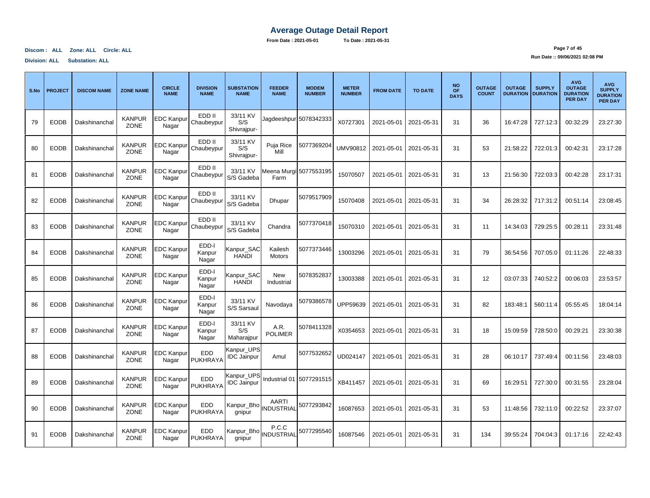**From Date : 2021-05-01**

**To Date : 2021-05-31**

**Discom : ALL Zone: ALL Circle: ALL**

**Division: ALL Substation: ALL**

**Page 7 of 45**

| S.No | <b>PROJECT</b> | <b>DISCOM NAME</b> | <b>ZONE NAME</b>             | <b>CIRCLE</b><br><b>NAME</b> | <b>DIVISION</b><br><b>NAME</b> | <b>SUBSTATION</b><br><b>NAME</b> | <b>FEEDER</b><br><b>NAME</b>                           | <b>MODEM</b><br><b>NUMBER</b> | <b>METER</b><br><b>NUMBER</b> | <b>FROM DATE</b>               | <b>TO DATE</b>        | <b>NO</b><br><b>OF</b><br><b>DAYS</b> | <b>OUTAGE</b><br><b>COUNT</b> | <b>OUTAGE</b><br><b>DURATION</b> | <b>SUPPLY</b><br><b>DURATION</b> | <b>AVG</b><br><b>OUTAGE</b><br><b>DURATION</b><br><b>PER DAY</b> | <b>AVG</b><br><b>SUPPLY</b><br><b>DURATION</b><br><b>PER DAY</b> |
|------|----------------|--------------------|------------------------------|------------------------------|--------------------------------|----------------------------------|--------------------------------------------------------|-------------------------------|-------------------------------|--------------------------------|-----------------------|---------------------------------------|-------------------------------|----------------------------------|----------------------------------|------------------------------------------------------------------|------------------------------------------------------------------|
| 79   | <b>EODB</b>    | Dakshinanchal      | <b>KANPUR</b><br><b>ZONE</b> | <b>EDC Kanpur</b><br>Nagar   | EDD II<br>Chaubeypur           | 33/11 KV<br>S/S<br>Shivrajpur-   |                                                        | Jagdeeshpur 5078342333        | X0727301                      | 2021-05-01                     | 2021-05-31            | 31                                    | 36                            | 16:47:28                         | 727:12:3                         | 00:32:29                                                         | 23:27:30                                                         |
| 80   | <b>EODB</b>    | Dakshinanchal      | <b>KANPUR</b><br><b>ZONE</b> | <b>EDC Kanpur</b><br>Nagar   | EDD II<br>Chaubeypur           | 33/11 KV<br>S/S<br>Shivrajpur-   | Puja Rice<br>Mill                                      | 5077369204                    | UMV90812                      | 2021-05-01                     | 2021-05-31            | 31                                    | 53                            | 21:58:22                         | 722:01:3                         | 00:42:31                                                         | 23:17:28                                                         |
| 81   | <b>EODB</b>    | Dakshinanchal      | <b>KANPUR</b><br><b>ZONE</b> | EDC Kanpur<br>Nagar          | EDD II<br>Chaubeypur           | 33/11 KV<br>S/S Gadeba           | Meena Murgi 5077553195<br>Farm                         |                               | 15070507                      | 2021-05-01                     | 2021-05-31            | 31                                    | 13                            | 21:56:30                         | 722:03:3                         | 00:42:28                                                         | 23:17:31                                                         |
| 82   | <b>EODB</b>    | Dakshinanchal      | <b>KANPUR</b><br><b>ZONE</b> | <b>EDC Kanpur</b><br>Nagar   | EDD II<br>Chaubeypur           | 33/11 KV<br>S/S Gadeba           | Dhupar                                                 | 5079517909                    | 15070408                      | 2021-05-01                     | 2021-05-31            | 31                                    | 34                            | 26:28:32                         | 717:31:2                         | 00:51:14                                                         | 23:08:45                                                         |
| 83   | <b>EODB</b>    | Dakshinanchal      | <b>KANPUR</b><br><b>ZONE</b> | <b>EDC Kanpur</b><br>Nagar   | EDD II<br>Chaubeypur           | 33/11 KV<br>S/S Gadeba           | Chandra                                                | 5077370418                    | 15070310                      | 2021-05-01                     | 2021-05-31            | 31                                    | 11                            | 14:34:03                         | 729:25:5                         | 00:28:11                                                         | 23:31:48                                                         |
| 84   | <b>EODB</b>    | Dakshinanchal      | <b>KANPUR</b><br><b>ZONE</b> | <b>EDC Kanpur</b><br>Nagar   | EDD-I<br>Kanpur<br>Nagar       | Kanpur_SAC<br><b>HANDI</b>       | Kailesh<br><b>Motors</b>                               | 5077373446                    | 13003296                      | 2021-05-01                     | 2021-05-31            | 31                                    | 79                            | 36:54:56                         | 707:05:0                         | 01:11:26                                                         | 22:48:33                                                         |
| 85   | <b>EODB</b>    | Dakshinanchal      | <b>KANPUR</b><br><b>ZONE</b> | <b>EDC Kanpur</b><br>Nagar   | EDD-I<br>Kanpur<br>Nagar       | Kanpur_SAC<br><b>HANDI</b>       | <b>New</b><br>Industrial                               | 5078352837                    | 13003388                      | 2021-05-01                     | 2021-05-31            | 31                                    | 12                            | 03:07:33                         | 740:52:2                         | 00:06:03                                                         | 23:53:57                                                         |
| 86   | EODB           | Dakshinanchal      | <b>KANPUR</b><br><b>ZONE</b> | <b>EDC Kanpur</b><br>Nagar   | EDD-I<br>Kanpur<br>Nagar       | 33/11 KV<br>S/S Sarsaul          | Navodaya                                               | 5079386578                    | <b>UPP59639</b>               | 2021-05-01                     | 2021-05-31            | 31                                    | 82                            | 183:48:1                         | 560:11:4                         | 05:55:45                                                         | 18:04:14                                                         |
| 87   | <b>EODB</b>    | Dakshinanchal      | <b>KANPUR</b><br>ZONE        | <b>EDC Kanpur</b><br>Nagar   | EDD-I<br>Kanpur<br>Nagar       | 33/11 KV<br>S/S<br>Maharajpur    | A.R.<br><b>POLIMER</b>                                 | 5078411328                    | X0354653                      | 2021-05-01                     | 2021-05-31            | 31                                    | 18                            | 15:09:59                         | 728:50:0                         | 00:29:21                                                         | 23:30:38                                                         |
| 88   | <b>EODB</b>    | Dakshinanchal      | <b>KANPUR</b><br>ZONE        | <b>EDC</b> Kanpur<br>Nagar   | <b>EDD</b><br>PUKHRAYA         | Kanpur_UPS<br><b>IDC</b> Jainpur | Amul                                                   | 5077532652                    |                               | UD024147 2021-05-01 2021-05-31 |                       | 31                                    | 28                            | 06:10:17                         | 737:49:4                         | 00:11:56                                                         | 23:48:03                                                         |
| 89   | <b>EODB</b>    | Dakshinanchal      | <b>KANPUR</b><br>ZONE        | <b>EDC</b> Kanpur<br>Nagar   | EDD<br>PUKHRAYA                |                                  | Kanpur_UPS<br>IDC Jainpur   Industrial 01   5077291515 |                               | XB411457                      |                                | 2021-05-01 2021-05-31 | 31                                    | 69                            | 16:29:51                         | 727:30:0                         | 00:31:55                                                         | 23:28:04                                                         |
| 90   | <b>EODB</b>    | Dakshinanchal      | <b>KANPUR</b><br><b>ZONE</b> | <b>EDC Kanpur</b><br>Nagar   | EDD<br>PUKHRAYA                | gnipur                           | AARTI<br>Kanpur_Bho  INDUSTRIAL                        | 5077293842                    | 16087653                      |                                | 2021-05-01 2021-05-31 | 31                                    | 53                            | 11:48:56                         | 732:11:0                         | 00:22:52                                                         | 23:37:07                                                         |
| 91   | <b>EODB</b>    | Dakshinanchal      | <b>KANPUR</b><br>ZONE        | <b>EDC</b> Kanpur<br>Nagar   | EDD<br>PUKHRAYA                | gnipur                           | P.C.C<br>Kanpur_Bho  INDUSTRIAL                        | 5077295540                    | 16087546                      |                                | 2021-05-01 2021-05-31 | 31                                    | 134                           | 39:55:24                         | 704:04:3                         | 01:17:16                                                         | 22:42:43                                                         |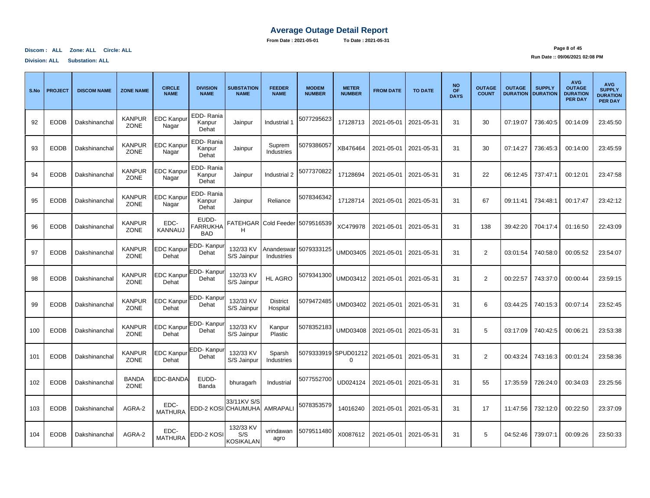**From Date : 2021-05-01**

**To Date : 2021-05-31**

**Discom : ALL Zone: ALL Circle: ALL**

**Division: ALL Substation: ALL**

**Page 8 of 45**

| S.No | <b>PROJECT</b> | <b>DISCOM NAME</b> | <b>ZONE NAME</b>             | <b>CIRCLE</b><br><b>NAME</b> | <b>DIVISION</b><br><b>NAME</b>         | <b>SUBSTATION</b><br><b>NAME</b>            | <b>FEEDER</b><br><b>NAME</b>        | <b>MODEM</b><br><b>NUMBER</b> | <b>METER</b><br><b>NUMBER</b> | <b>FROM DATE</b>                   | <b>TO DATE</b>          | <b>NO</b><br><b>OF</b><br><b>DAYS</b> | <b>OUTAGE</b><br><b>COUNT</b> | <b>OUTAGE</b><br><b>DURATION</b> | <b>SUPPLY</b><br><b>DURATION</b> | <b>AVG</b><br><b>OUTAGE</b><br><b>DURATION</b><br><b>PER DAY</b> | <b>AVG</b><br><b>SUPPLY</b><br><b>DURATION</b><br><b>PER DAY</b> |
|------|----------------|--------------------|------------------------------|------------------------------|----------------------------------------|---------------------------------------------|-------------------------------------|-------------------------------|-------------------------------|------------------------------------|-------------------------|---------------------------------------|-------------------------------|----------------------------------|----------------------------------|------------------------------------------------------------------|------------------------------------------------------------------|
| 92   | <b>EODB</b>    | Dakshinanchal      | <b>KANPUR</b><br><b>ZONE</b> | <b>EDC Kanpur</b><br>Nagar   | EDD-Rania<br>Kanpur<br>Dehat           | Jainpur                                     | Industrial 1                        | 5077295623                    | 17128713                      | 2021-05-01                         | 2021-05-31              | 31                                    | 30                            | 07:19:07                         | 736:40:5                         | 00:14:09                                                         | 23:45:50                                                         |
| 93   | <b>EODB</b>    | Dakshinanchal      | <b>KANPUR</b><br>ZONE        | <b>EDC Kanpur</b><br>Nagar   | EDD-Rania<br>Kanpur<br>Dehat           | Jainpur                                     | Suprem<br>Industries                | 5079386057                    | XB476464                      | 2021-05-01                         | 2021-05-31              | 31                                    | 30                            | 07:14:27                         | 736:45:3                         | 00:14:00                                                         | 23:45:59                                                         |
| 94   | <b>EODB</b>    | Dakshinanchal      | <b>KANPUR</b><br>ZONE        | <b>EDC</b> Kanpur<br>Nagar   | EDD-Rania<br>Kanpur<br>Dehat           | Jainpur                                     | Industrial 2                        | 5077370822                    | 17128694                      | 2021-05-01                         | 2021-05-31              | 31                                    | 22                            | 06:12:45                         | 737:47:1                         | 00:12:01                                                         | 23:47:58                                                         |
| 95   | <b>EODB</b>    | Dakshinanchal      | <b>KANPUR</b><br><b>ZONE</b> | <b>EDC Kanpur</b><br>Nagar   | EDD-Rania<br>Kanpur<br>Dehat           | Jainpur                                     | Reliance                            | 5078346342                    | 17128714                      | 2021-05-01                         | 2021-05-31              | 31                                    | 67                            | 09:11:41                         | 734:48:1                         | 00:17:47                                                         | 23:42:12                                                         |
| 96   | <b>EODB</b>    | Dakshinanchal      | <b>KANPUR</b><br><b>ZONE</b> | EDC-<br><b>KANNAUJ</b>       | EUDD-<br><b>FARRUKHA</b><br><b>BAD</b> | Н                                           | FATEHGAR   Cold Feeder   5079516539 |                               | XC479978                      | 2021-05-01                         | 2021-05-31              | 31                                    | 138                           | 39:42:20                         | 704:17:4                         | 01:16:50                                                         | 22:43:09                                                         |
| 97   | <b>EODB</b>    | Dakshinanchal      | <b>KANPUR</b><br>ZONE        | Dehat                        | EDC Kanpur EDD-Kanpur<br>Dehat         | 132/33 KV<br>S/S Jainpur                    | Industries                          | Anandeswar 5079333125         | UMD03405                      | 2021-05-01                         | 2021-05-31              | 31                                    | $\overline{2}$                | 03:01:54                         | 740:58:0                         | 00:05:52                                                         | 23:54:07                                                         |
| 98   | <b>EODB</b>    | Dakshinanchal      | <b>KANPUR</b><br><b>ZONE</b> | Dehat                        | <b>IEDC Kanpur EDD-Kanpur</b><br>Dehat | 132/33 KV<br>S/S Jainpur                    | HL AGRO                             | 5079341300                    | UMD03412                      | 2021-05-01                         | 2021-05-31              | 31                                    | $\overline{2}$                | 00:22:57                         | 743:37:0                         | 00:00:44                                                         | 23:59:15                                                         |
| 99   | EODB           | Dakshinanchal      | <b>KANPUR</b><br><b>ZONE</b> | <b>EDC Kanpur</b><br>Dehat   | <b>EDD-Kanpur</b><br>Dehat             | 132/33 KV<br>S/S Jainpur                    | <b>District</b><br>Hospital         | 5079472485                    | UMD03402                      | 2021-05-01                         | 2021-05-31              | 31                                    | 6                             | 03:44:25                         | 740:15:3                         | 00:07:14                                                         | 23:52:45                                                         |
| 100  | <b>EODB</b>    | Dakshinanchal      | <b>KANPUR</b><br>ZONE        | Dehat                        | EDC Kanpur EDD- Kanpur<br>Dehat        | 132/33 KV<br>S/S Jainpur                    | Kanpur<br>Plastic                   | 5078352183                    |                               | UMD03408   2021-05-01   2021-05-31 |                         | 31                                    | 5                             | 03:17:09                         | 740:42:5                         | 00:06:21                                                         | 23:53:38                                                         |
| 101  | <b>EODB</b>    | Dakshinanchal      | <b>KANPUR</b><br>ZONE        | <b>EDC</b> Kanpur<br>Dehat   | <b>EDD-Kanpur</b><br>Dehat             | 132/33 KV<br>S/S Jainpur                    | Sparsh<br>Industries                | 5079333919 SPUD01212          | $\Omega$                      |                                    | 2021-05-01 2021-05-31   | 31                                    | $\overline{2}$                | 00:43:24                         | 743:16:3                         | 00:01:24                                                         | 23:58:36                                                         |
| 102  | <b>EODB</b>    | Dakshinanchal      | <b>BANDA</b><br>ZONE         | EDC-BANDA                    | EUDD-<br>Banda                         | bhuragarh                                   | Industrial                          | 5077552700                    | UD024124                      |                                    | 2021-05-01 2021-05-31   | 31                                    | 55                            | 17:35:59                         | 726:24:0                         | 00:34:03                                                         | 23:25:56                                                         |
| 103  | <b>EODB</b>    | Dakshinanchal      | AGRA-2                       | EDC-<br><b>MATHURA</b>       |                                        | 33/11KV S/S<br>EDD-2 KOSI CHAUMUHA AMRAPALI |                                     | 5078353579                    | 14016240                      |                                    | 2021-05-01   2021-05-31 | 31                                    | 17                            | 11:47:56                         | 732:12:0                         | 00:22:50                                                         | 23:37:09                                                         |
| 104  | <b>EODB</b>    | Dakshinanchal      | AGRA-2                       | EDC-<br><b>MATHURA</b>       | EDD-2 KOSI                             | 132/33 KV<br>S/S<br>KOSIKALAN               | vrindawan<br>agro                   | 5079511480                    | X0087612                      |                                    | 2021-05-01   2021-05-31 | 31                                    | 5                             | 04:52:46                         | 739:07:1                         | 00:09:26                                                         | 23:50:33                                                         |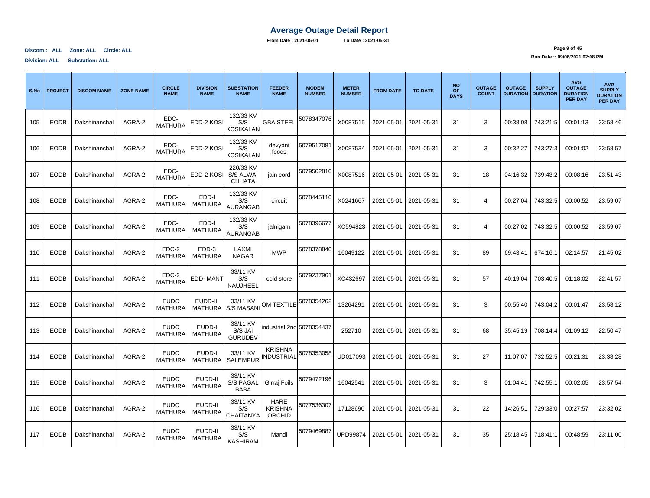**From Date : 2021-05-01**

**To Date : 2021-05-31**

**Discom : ALL Zone: ALL Circle: ALL**

**Division: ALL Substation: ALL**

**Page 9 of 45**

| S.No | <b>PROJECT</b> | <b>DISCOM NAME</b> | <b>ZONE NAME</b> | <b>CIRCLE</b><br><b>NAME</b>  | <b>DIVISION</b><br><b>NAME</b> | <b>SUBSTATION</b><br><b>NAME</b>            | <b>FEEDER</b><br><b>NAME</b>                   | <b>MODEM</b><br><b>NUMBER</b>    | <b>METER</b><br><b>NUMBER</b> | <b>FROM DATE</b>               | <b>TO DATE</b>          | <b>NO</b><br><b>OF</b><br><b>DAYS</b> | <b>OUTAGE</b><br><b>COUNT</b> | <b>OUTAGE</b><br><b>DURATION</b> | <b>SUPPLY</b><br><b>DURATION</b> | <b>AVG</b><br><b>OUTAGE</b><br><b>DURATION</b><br><b>PER DAY</b> | <b>AVG</b><br><b>SUPPLY</b><br><b>DURATION</b><br><b>PER DAY</b> |
|------|----------------|--------------------|------------------|-------------------------------|--------------------------------|---------------------------------------------|------------------------------------------------|----------------------------------|-------------------------------|--------------------------------|-------------------------|---------------------------------------|-------------------------------|----------------------------------|----------------------------------|------------------------------------------------------------------|------------------------------------------------------------------|
| 105  | <b>EODB</b>    | Dakshinanchal      | AGRA-2           | EDC-<br><b>MATHURA</b>        | EDD-2 KOSI                     | 132/33 KV<br>S/S<br><b>KOSIKALAN</b>        | <b>GBA STEEL</b>                               | 5078347076                       | X0087515                      |                                | 2021-05-01   2021-05-31 | 31                                    | 3                             | 00:38:08                         | 743:21:5                         | 00:01:13                                                         | 23:58:46                                                         |
| 106  | <b>EODB</b>    | Dakshinanchal      | AGRA-2           | EDC-<br><b>MATHURA</b>        | EDD-2 KOSI                     | 132/33 KV<br>S/S<br>KOSIKALAN               | devyani<br>foods                               | 5079517081                       | X0087534                      |                                | 2021-05-01 2021-05-31   | 31                                    | 3                             | 00:32:27                         | 743:27:3                         | 00:01:02                                                         | 23:58:57                                                         |
| 107  | <b>EODB</b>    | Dakshinanchal      | AGRA-2           | EDC-<br><b>MATHURA</b>        | EDD-2 KOSI                     | 220/33 KV<br>S/S ALWAI<br><b>CHHATA</b>     | jain cord                                      | 5079502810                       | X0087516                      | 2021-05-01                     | 2021-05-31              | 31                                    | 18                            | 04:16:32                         | 739:43:2                         | 00:08:16                                                         | 23:51:43                                                         |
| 108  | <b>EODB</b>    | Dakshinanchal      | AGRA-2           | EDC-<br><b>MATHURA</b>        | EDD-I<br><b>MATHURA</b>        | 132/33 KV<br>S/S<br><b>AURANGAB</b>         | circuit                                        | 5078445110                       | X0241667                      |                                | 2021-05-01 2021-05-31   | 31                                    | 4                             | 00:27:04                         | 743:32:5                         | 00:00:52                                                         | 23:59:07                                                         |
| 109  | <b>EODB</b>    | Dakshinanchal      | AGRA-2           | EDC-<br><b>MATHURA</b>        | EDD-I<br><b>MATHURA</b>        | 132/33 KV<br>S/S<br><b>AURANGAB</b>         | jalnigam                                       | 5078396677                       | XC594823                      |                                | 2021-05-01 2021-05-31   | 31                                    | 4                             | 00:27:02                         | 743:32:5                         | 00:00:52                                                         | 23:59:07                                                         |
| 110  | <b>EODB</b>    | Dakshinanchal      | AGRA-2           | EDC-2<br><b>MATHURA</b>       | EDD-3<br><b>MATHURA</b>        | LAXMI<br><b>NAGAR</b>                       | <b>MWP</b>                                     | 5078378840                       | 16049122                      |                                | 2021-05-01   2021-05-31 | 31                                    | 89                            | 69:43:41                         | 674:16:1                         | 02:14:57                                                         | 21:45:02                                                         |
| 111  | <b>EODB</b>    | Dakshinanchal      | AGRA-2           | EDC-2<br><b>MATHURA</b>       | <b>EDD-MANT</b>                | 33/11 KV<br>S/S<br>NAUJHEEL                 | cold store                                     | 5079237961                       | XC432697                      | 2021-05-01                     | 2021-05-31              | 31                                    | 57                            | 40:19:04                         | 703:40:5                         | 01:18:02                                                         | 22:41:57                                                         |
| 112  | <b>EODB</b>    | Dakshinanchal      | AGRA-2           | <b>EUDC</b><br><b>MATHURA</b> | EUDD-III<br><b>MATHURA</b>     |                                             |                                                | S/S MASANI OM TEXTILE 5078354262 | 13264291                      |                                | 2021-05-01 2021-05-31   | 31                                    | 3                             | 00:55:40                         | 743:04:2                         | 00:01:47                                                         | 23:58:12                                                         |
| 113  | <b>EODB</b>    | Dakshinanchal      | AGRA-2           | <b>EUDC</b><br>MATHURA        | EUDD-I<br>MATHURA              | 33/11 KV<br>S/S JAI<br>GURUDEV              | industrial 2nd 5078354437                      |                                  | 252710                        |                                | 2021-05-01   2021-05-31 | 31                                    | 68                            | 35:45:19                         | 708:14:4                         | 01:09:12                                                         | 22:50:47                                                         |
| 114  | <b>EODB</b>    | Dakshinanchal      | AGRA-2           | <b>EUDC</b><br><b>MATHURA</b> | EUDD-I<br><b>MATHURA</b>       | 33/11 KV<br>SALEMPUR                        | <b>KRISHNA</b>                                 | INDUSTRIAL 5078353058            |                               | UD017093 2021-05-01 2021-05-31 |                         | 31                                    | 27                            | 11:07:07                         | 732:52:5                         | 00:21:31                                                         | 23:38:28                                                         |
| 115  | <b>EODB</b>    | Dakshinanchal      | AGRA-2           | <b>EUDC</b><br><b>MATHURA</b> | EUDD-II<br><b>MATHURA</b>      | 33/11 KV<br><b>S/S PAGAL</b><br><b>BABA</b> | Girraj Foils                                   | 5079472196                       | 16042541                      |                                | 2021-05-01 2021-05-31   | 31                                    | 3                             | 01:04:41                         | 742:55:1                         | 00:02:05                                                         | 23:57:54                                                         |
| 116  | <b>EODB</b>    | Dakshinanchal      | AGRA-2           | <b>EUDC</b><br><b>MATHURA</b> | EUDD-II<br><b>MATHURA</b>      | 33/11 KV<br>S/S<br><b>CHAITANYA</b>         | <b>HARE</b><br><b>KRISHNA</b><br><b>ORCHID</b> | 5077536307                       | 17128690                      |                                | 2021-05-01 2021-05-31   | 31                                    | 22                            | 14:26:51                         | 729:33:0                         | 00:27:57                                                         | 23:32:02                                                         |
| 117  | <b>EODB</b>    | Dakshinanchal      | AGRA-2           | <b>EUDC</b><br><b>MATHURA</b> | EUDD-II<br><b>MATHURA</b>      | 33/11 KV<br>S/S<br><b>KASHIRAM</b>          | Mandi                                          | 5079469887                       |                               | UPD99874 2021-05-01 2021-05-31 |                         | 31                                    | 35                            | 25:18:45                         | 718:41:1                         | 00:48:59                                                         | 23:11:00                                                         |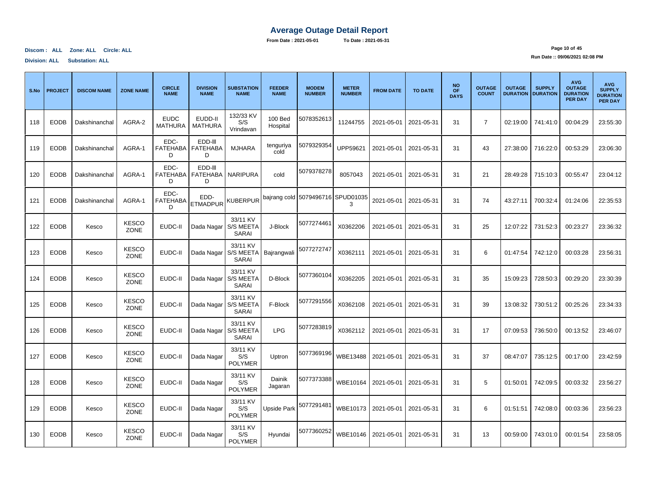**From Date : 2021-05-01**

**To Date : 2021-05-31**

**Discom : ALL Zone: ALL Circle: ALL**

**Division: ALL Substation: ALL**

**Page 10 of 45**

| S.No | <b>PROJECT</b> | <b>DISCOM NAME</b> | <b>ZONE NAME</b>     | <b>CIRCLE</b><br><b>NAME</b>  | <b>DIVISION</b><br><b>NAME</b> | <b>SUBSTATION</b><br><b>NAME</b>  | <b>FEEDER</b><br><b>NAME</b>       | <b>MODEM</b><br><b>NUMBER</b>                  | <b>METER</b><br><b>NUMBER</b> | <b>FROM DATE</b>                   | <b>TO DATE</b>    | <b>NO</b><br>OF<br><b>DAYS</b> | <b>OUTAGE</b><br><b>COUNT</b> | <b>OUTAGE</b><br><b>DURATION DURATION</b> | <b>SUPPLY</b>       | <b>AVG</b><br><b>OUTAGE</b><br><b>DURATION</b><br><b>PER DAY</b> | <b>AVG</b><br><b>SUPPLY</b><br><b>DURATION</b><br><b>PER DAY</b> |
|------|----------------|--------------------|----------------------|-------------------------------|--------------------------------|-----------------------------------|------------------------------------|------------------------------------------------|-------------------------------|------------------------------------|-------------------|--------------------------------|-------------------------------|-------------------------------------------|---------------------|------------------------------------------------------------------|------------------------------------------------------------------|
| 118  | <b>EODB</b>    | Dakshinanchal      | AGRA-2               | <b>EUDC</b><br><b>MATHURA</b> | EUDD-II<br><b>MATHURA</b>      | 132/33 KV<br>S/S<br>Vrindavan     | 100 Bed<br>Hospital                | 5078352613                                     | 11244755                      | 2021-05-01                         | $ 2021 - 05 - 31$ | 31                             | $\overline{7}$                | 02:19:00                                  | 741:41:0            | 00:04:29                                                         | 23:55:30                                                         |
| 119  | <b>EODB</b>    | Dakshinanchal      | AGRA-1               | EDC-<br><b>FATEHABA</b><br>D  | EDD-III<br>FATEHABA<br>D       | <b>MJHARA</b>                     | tenguriya<br>cold                  | 5079329354                                     | UPP59621                      | 2021-05-01                         | $ 2021 - 05 - 31$ | 31                             | 43                            | 27:38:00                                  | 716:22:0            | 00:53:29                                                         | 23:06:30                                                         |
| 120  | <b>EODB</b>    | Dakshinanchal      | AGRA-1               | EDC-<br><b>FATEHABA</b><br>D  | EDD-III<br>D                   | FATEHABA   NARIPURA               | cold                               | 5079378278                                     | 8057043                       | 2021-05-01                         | 2021-05-31        | 31                             | 21                            | 28:49:28                                  | 715:10:3            | 00:55:47                                                         | 23:04:12                                                         |
| 121  | <b>EODB</b>    | Dakshinanchal      | AGRA-1               | EDC-<br><b>FATEHABA</b><br>D  | EDD-<br><b>ETMADPUR</b>        |                                   |                                    | KUBERPUR bajrang cold 5079496716 SPUD01035     |                               | 2021-05-01                         | $ 2021 - 05 - 31$ | 31                             | 74                            | 43:27:11                                  | 700:32:4            | 01:24:06                                                         | 22:35:53                                                         |
| 122  | <b>EODB</b>    | Kesco              | <b>KESCO</b><br>ZONE | EUDC-II                       | Dada Nagar S/S MEETA           | 33/11 KV<br><b>SARAI</b>          | J-Block                            | 5077274461                                     | X0362206                      | 2021-05-01 2021-05-31              |                   | 31                             | 25                            | 12:07:22                                  | 731:52:3            | 00:23:27                                                         | 23:36:32                                                         |
| 123  | <b>EODB</b>    | Kesco              | <b>KESCO</b><br>ZONE | EUDC-II                       |                                | 33/11 KV<br><b>SARAI</b>          | Dada Nagar S/S MEETA   Bajrangwali | 5077272747                                     | X0362111                      | 2021-05-01                         | $ 2021 - 05 - 31$ | 31                             | 6                             | 01:47:54                                  | 742:12:0            | 00:03:28                                                         | 23:56:31                                                         |
| 124  | <b>EODB</b>    | Kesco              | <b>KESCO</b><br>ZONE | EUDC-II                       | Dada Nagar   S/S MEETA         | 33/11 KV<br><b>SARAI</b>          | D-Block                            | 5077360104                                     | X0362205                      | 2021-05-01                         | 2021-05-31        | 31                             | 35                            | 15:09:23                                  | 728:50:3            | 00:29:20                                                         | 23:30:39                                                         |
| 125  | <b>EODB</b>    | Kesco              | <b>KESCO</b><br>ZONE | EUDC-II                       | Dada Nagar   S/S MEETA         | 33/11 KV<br><b>SARAI</b>          | F-Block                            | 5077291556                                     | X0362108                      | 2021-05-01 2021-05-31              |                   | 31                             | 39                            | 13:08:32                                  | 730:51:2            | 00:25:26                                                         | 23:34:33                                                         |
| 126  | <b>EODB</b>    | Kesco              | <b>KESCO</b><br>ZONE | EUDC-II                       | Dada Nagar   S/S MEETA         | 33/11 KV<br>SARAI                 | <b>LPG</b>                         | 5077283819                                     | X0362112                      | 2021-05-01 2021-05-31              |                   | 31                             | 17                            | 07:09:53                                  | 736:50:0            | 00:13:52                                                         | 23:46:07                                                         |
| 127  | <b>EODB</b>    | Kesco              | <b>KESCO</b><br>ZONE | EUDC-II                       | Dada Nagar                     | 33/11 KV<br>S/S<br><b>POLYMER</b> | Uptron                             | 5077369196                                     |                               | WBE13488 2021-05-01 2021-05-31     |                   | 31                             | 37                            | 08:47:07                                  | 735:12:5            | 00:17:00                                                         | 23:42:59                                                         |
| 128  | <b>EODB</b>    | Kesco              | <b>KESCO</b><br>ZONE | EUDC-II                       | Dada Nagar                     | 33/11 KV<br>S/S<br><b>POLYMER</b> | Dainik<br>Jagaran                  | 5077373388                                     |                               | WBE10164 2021-05-01 2021-05-31     |                   | 31                             | $\sqrt{5}$                    | 01:50:01                                  | 742:09:5            | 00:03:32                                                         | 23:56:27                                                         |
| 129  | <b>EODB</b>    | Kesco              | <b>KESCO</b><br>ZONE | EUDC-II                       | Dada Nagar                     | 33/11 KV<br>S/S<br><b>POLYMER</b> |                                    | Upside Park 5077291481                         |                               | WBE10173   2021-05-01   2021-05-31 |                   | 31                             | 6                             | 01:51:51                                  | 742:08:0            | 00:03:36                                                         | 23:56:23                                                         |
| 130  | EODB           | Kesco              | <b>KESCO</b><br>ZONE | EUDC-II                       | Dada Nagar                     | 33/11 KV<br>S/S<br>POLYMER        | Hyundai                            | 5077360252  WBE10146   2021-05-01   2021-05-31 |                               |                                    |                   | 31                             | 13                            |                                           | 00:59:00   743:01:0 | 00:01:54                                                         | 23:58:05                                                         |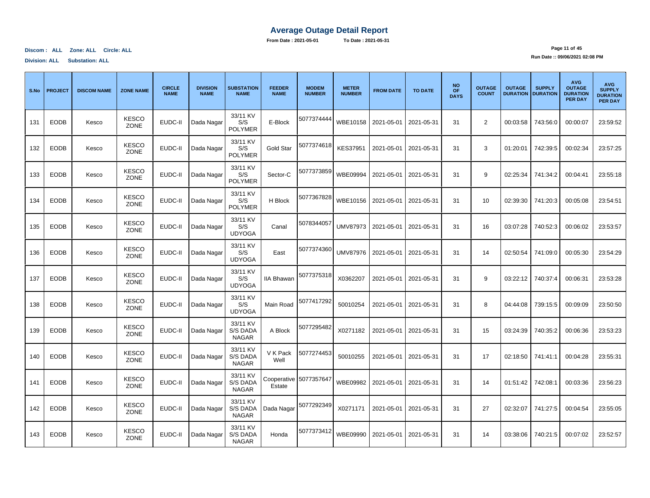**From Date : 2021-05-01**

**To Date : 2021-05-31**

**Discom : ALL Zone: ALL Circle: ALL**

**Division: ALL Substation: ALL**

**Page 11 of 45**

| S.No | <b>PROJECT</b> | <b>DISCOM NAME</b> | <b>ZONE NAME</b>     | <b>CIRCLE</b><br><b>NAME</b> | <b>DIVISION</b><br><b>NAME</b> | <b>SUBSTATION</b><br><b>NAME</b>     | <b>FEEDER</b><br><b>NAME</b> | <b>MODEM</b><br><b>NUMBER</b>                  | <b>METER</b><br><b>NUMBER</b> | <b>FROM DATE</b>                   | <b>TO DATE</b>          | <b>NO</b><br>OF<br><b>DAYS</b> | <b>OUTAGE</b><br><b>COUNT</b> | <b>OUTAGE</b><br><b>DURATION</b> | <b>SUPPLY</b><br><b>DURATION</b> | <b>AVG</b><br><b>OUTAGE</b><br><b>DURATION</b><br><b>PER DAY</b> | <b>AVG</b><br><b>SUPPLY</b><br><b>DURATION</b><br><b>PER DAY</b> |
|------|----------------|--------------------|----------------------|------------------------------|--------------------------------|--------------------------------------|------------------------------|------------------------------------------------|-------------------------------|------------------------------------|-------------------------|--------------------------------|-------------------------------|----------------------------------|----------------------------------|------------------------------------------------------------------|------------------------------------------------------------------|
| 131  | <b>EODB</b>    | Kesco              | <b>KESCO</b><br>ZONE | EUDC-II                      | Dada Nagar                     | 33/11 KV<br>S/S<br><b>POLYMER</b>    | E-Block                      | 5077374444                                     |                               | WBE10158 2021-05-01 2021-05-31     |                         | 31                             | $\overline{2}$                | 00:03:58                         | 743:56:0                         | 00:00:07                                                         | 23:59:52                                                         |
| 132  | <b>EODB</b>    | Kesco              | <b>KESCO</b><br>ZONE | EUDC-II                      | Dada Nagar                     | 33/11 KV<br>S/S<br><b>POLYMER</b>    | Gold Star                    | 5077374618                                     | <b>KES37951</b>               | 2021-05-01 2021-05-31              |                         | 31                             | 3                             | 01:20:01                         | 742:39:5                         | 00:02:34                                                         | 23:57:25                                                         |
| 133  | <b>EODB</b>    | Kesco              | KESCO<br>ZONE        | EUDC-II                      | Dada Nagar                     | 33/11 KV<br>S/S<br><b>POLYMER</b>    | Sector-C                     | 5077373859  WBE09994   2021-05-01   2021-05-31 |                               |                                    |                         | 31                             | 9                             | 02:25:34                         | 741:34:2                         | 00:04:41                                                         | 23:55:18                                                         |
| 134  | <b>EODB</b>    | Kesco              | KESCO<br>ZONE        | EUDC-II                      | Dada Nagar                     | 33/11 KV<br>S/S<br><b>POLYMER</b>    | H Block                      | 5077367828                                     |                               | WBE10156   2021-05-01   2021-05-31 |                         | 31                             | 10                            | 02:39:30                         | 741:20:3                         | 00:05:08                                                         | 23:54:51                                                         |
| 135  | <b>EODB</b>    | Kesco              | <b>KESCO</b><br>ZONE | EUDC-II                      | Dada Nagar                     | 33/11 KV<br>S/S<br><b>UDYOGA</b>     | Canal                        | 5078344057                                     |                               | UMV87973 2021-05-01 2021-05-31     |                         | 31                             | 16                            | 03:07:28                         | 740:52:3                         | 00:06:02                                                         | 23:53:57                                                         |
| 136  | <b>EODB</b>    | Kesco              | <b>KESCO</b><br>ZONE | EUDC-II                      | Dada Nagar                     | 33/11 KV<br>S/S<br><b>UDYOGA</b>     | East                         | 5077374360                                     |                               | UMV87976 2021-05-01 2021-05-31     |                         | 31                             | 14                            | 02:50:54                         | 741:09:0                         | 00:05:30                                                         | 23:54:29                                                         |
| 137  | <b>EODB</b>    | Kesco              | KESCO<br>ZONE        | EUDC-II                      | Dada Nagar                     | 33/11 KV<br>S/S<br><b>UDYOGA</b>     | <b>IIA Bhawan</b>            | 5077375318                                     | X0362207                      |                                    | 2021-05-01   2021-05-31 | 31                             | 9                             | 03:22:12                         | 740:37:4                         | 00:06:31                                                         | 23:53:28                                                         |
| 138  | <b>EODB</b>    | Kesco              | <b>KESCO</b><br>ZONE | EUDC-II                      | Dada Nagar                     | 33/11 KV<br>S/S<br><b>UDYOGA</b>     |                              | Main Road   5077417292                         | 50010254                      |                                    | 2021-05-01 2021-05-31   | 31                             | 8                             | 04:44:08                         | 739:15:5                         | 00:09:09                                                         | 23:50:50                                                         |
| 139  | <b>EODB</b>    | Kesco              | <b>KESCO</b><br>ZONE | EUDC-II                      | Dada Nagar                     | 33/11 KV<br>S/S DADA<br>NAGAR        | A Block                      | 5077295482                                     |                               | X0271182 2021-05-01 2021-05-31     |                         | 31                             | 15                            | 03:24:39                         | 740:35:2                         | 00:06:36                                                         | 23:53:23                                                         |
| 140  | <b>EODB</b>    | Kesco              | KESCO<br>ZONE        | EUDC-II                      | Dada Nagar                     | 33/11 KV<br>S/S DADA<br><b>NAGAR</b> | Well                         | V K Pack   5077274453                          | 50010255                      | 2021-05-01   2021-05-31            |                         | 31                             | 17                            | 02:18:50                         | 741:41:1                         | 00:04:28                                                         | 23:55:31                                                         |
| 141  | <b>EODB</b>    | Kesco              | <b>KESCO</b><br>ZONE | EUDC-II                      | Dada Nagar                     | 33/11 KV<br>S/S DADA<br><b>NAGAR</b> | Estate                       | Cooperative   5077357647                       |                               | WBE09982   2021-05-01   2021-05-31 |                         | 31                             | 14                            | 01:51:42                         | 742:08:1                         | 00:03:36                                                         | 23:56:23                                                         |
| 142  | <b>EODB</b>    | Kesco              | <b>KESCO</b><br>ZONE | EUDC-II                      | Dada Nagar                     | 33/11 KV<br>S/S DADA<br><b>NAGAR</b> | Dada Nagar                   | 5077292349                                     | X0271171                      | 2021-05-01 2021-05-31              |                         | 31                             | 27                            | 02:32:07                         | 741:27:5                         | 00:04:54                                                         | 23:55:05                                                         |
| 143  | <b>EODB</b>    | Kesco              | KESCO<br>ZONE        | EUDC-II                      | Dada Nagar                     | 33/11 KV<br>S/S DADA<br><b>NAGAR</b> | Honda                        | 5077373412                                     |                               | WBE09990   2021-05-01   2021-05-31 |                         | 31                             | 14                            | 03:38:06                         | 740:21:5                         | 00:07:02                                                         | 23:52:57                                                         |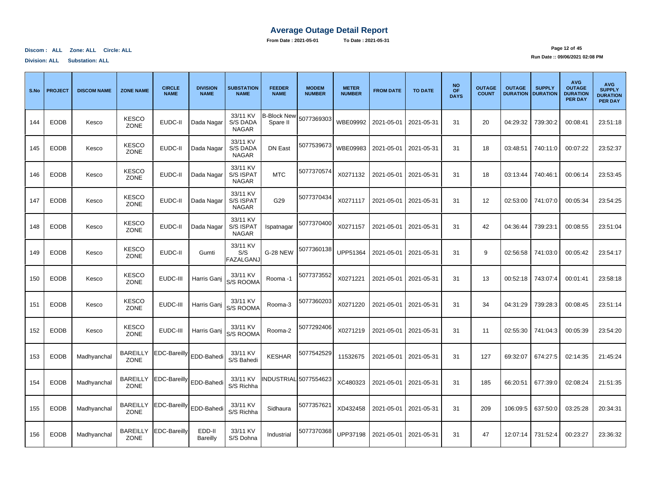**From Date : 2021-05-01**

**To Date : 2021-05-31**

**Discom : ALL Zone: ALL Circle: ALL**

**Division: ALL Substation: ALL**

**Page 12 of 45**

| S.No | <b>PROJECT</b> | <b>DISCOM NAME</b> | <b>ZONE NAME</b>        | <b>CIRCLE</b><br><b>NAME</b>     | <b>DIVISION</b><br><b>NAME</b> | <b>SUBSTATION</b><br><b>NAME</b>      | <b>FEEDER</b><br><b>NAME</b>                                      | <b>MODEM</b><br><b>NUMBER</b> | <b>METER</b><br><b>NUMBER</b> | <b>FROM DATE</b>               | <b>TO DATE</b>    | <b>NO</b><br>OF<br><b>DAYS</b> | <b>OUTAGE</b><br><b>COUNT</b> | <b>OUTAGE</b><br><b>DURATION</b> | <b>SUPPLY</b><br><b>DURATION</b> | <b>AVG</b><br><b>OUTAGE</b><br><b>DURATION</b><br><b>PER DAY</b> | <b>AVG</b><br><b>SUPPLY</b><br><b>DURATION</b><br><b>PER DAY</b> |
|------|----------------|--------------------|-------------------------|----------------------------------|--------------------------------|---------------------------------------|-------------------------------------------------------------------|-------------------------------|-------------------------------|--------------------------------|-------------------|--------------------------------|-------------------------------|----------------------------------|----------------------------------|------------------------------------------------------------------|------------------------------------------------------------------|
| 144  | <b>EODB</b>    | Kesco              | <b>KESCO</b><br>ZONE    | EUDC-II                          | Dada Nagar                     | 33/11 KV<br>S/S DADA<br><b>NAGAR</b>  | $\left \text{B-Block New}\right _{5077369303}\right $<br>Spare II |                               | WBE09992                      | 2021-05-01                     | 2021-05-31        | 31                             | 20                            | 04:29:32                         | 739:30:2                         | 00:08:41                                                         | 23:51:18                                                         |
| 145  | <b>EODB</b>    | Kesco              | <b>KESCO</b><br>ZONE    | EUDC-II                          | Dada Nagar                     | 33/11 KV<br>S/S DADA<br><b>NAGAR</b>  | <b>DN East</b>                                                    | 5077539673                    |                               | WBE09983   2021-05-01          | 2021-05-31        | 31                             | 18                            | 03:48:51                         | 740:11:0                         | 00:07:22                                                         | 23:52:37                                                         |
| 146  | <b>EODB</b>    | Kesco              | KESCO<br>ZONE           | <b>EUDC-II</b>                   | Dada Nagar                     | 33/11 KV<br>S/S ISPAT<br><b>NAGAR</b> | <b>MTC</b>                                                        | 5077370574                    | X0271132                      | 2021-05-01                     | 2021-05-31        | 31                             | 18                            | 03:13:44                         | 740:46:1                         | 00:06:14                                                         | 23:53:45                                                         |
| 147  | <b>EODB</b>    | Kesco              | <b>KESCO</b><br>ZONE    | EUDC-II                          | Dada Nagar                     | 33/11 KV<br>S/S ISPAT<br><b>NAGAR</b> | G29                                                               | 5077370434                    | X0271117                      | 2021-05-01                     | 2021-05-31        | 31                             | 12                            | 02:53:00                         | 741:07:0                         | 00:05:34                                                         | 23:54:25                                                         |
| 148  | <b>EODB</b>    | Kesco              | <b>KESCO</b><br>ZONE    | EUDC-II                          | Dada Nagar                     | 33/11 KV<br>S/S ISPAT<br><b>NAGAR</b> | Ispatnagar                                                        | 5077370400                    | X0271157                      | 2021-05-01                     | $ 2021 - 05 - 31$ | 31                             | 42                            | 04:36:44                         | 739:23:1                         | 00:08:55                                                         | 23:51:04                                                         |
| 149  | <b>EODB</b>    | Kesco              | <b>KESCO</b><br>ZONE    | <b>EUDC-II</b>                   | Gumti                          | 33/11 KV<br>S/S<br>FAZALGANJ          | <b>G-28 NEW</b>                                                   | 5077360138                    | UPP51364                      | 2021-05-01                     | 2021-05-31        | 31                             | 9                             | 02:56:58                         | 741:03:0                         | 00:05:42                                                         | 23:54:17                                                         |
| 150  | <b>EODB</b>    | Kesco              | <b>KESCO</b><br>ZONE    | EUDC-III                         | Harris Ganj                    | 33/11 KV<br>S/S ROOMA                 | Rooma -1                                                          | 5077373552                    | X0271221                      | 2021-05-01                     | 2021-05-31        | 31                             | 13                            | 00:52:18                         | 743:07:4                         | 00:01:41                                                         | 23:58:18                                                         |
| 151  | <b>EODB</b>    | Kesco              | <b>KESCO</b><br>ZONE    | EUDC-III                         | Harris Ganj                    | 33/11 KV<br><b>S/S ROOMA</b>          | Rooma-3                                                           | 5077360203                    | X0271220                      | 2021-05-01                     | $ 2021 - 05 - 31$ | 31                             | 34                            | 04:31:29                         | 739:28:3                         | 00:08:45                                                         | 23:51:14                                                         |
| 152  | <b>EODB</b>    | Kesco              | <b>KESCO</b><br>ZONE    | EUDC-III                         |                                | 33/11 KV<br>Harris Ganj S/S ROOMA     | Rooma-2                                                           | 5077292406                    | X0271219                      | 2021-05-01   2021-05-31        |                   | 31                             | 11                            | 02:55:30                         | 741:04:3                         | 00:05:39                                                         | 23:54:20                                                         |
| 153  | EODB           | Madhyanchal        | <b>BAREILLY</b><br>ZONE | EDC-Bareilly EDD-Bahedi          |                                | 33/11 KV<br>S/S Bahedi                | <b>KESHAR</b>                                                     | 5077542529                    | 11532675                      | 2021-05-01 2021-05-31          |                   | 31                             | 127                           | 69:32:07                         | 674:27:5                         | 02:14:35                                                         | 21:45:24                                                         |
| 154  | <b>EODB</b>    | Madhyanchal        | ZONE                    | BAREILLY EDC-Bareilly EDD-Bahedi |                                | 33/11 KV<br>S/S Richha                | INDUSTRIAL 5077554623                                             |                               | XC480323                      | 2021-05-01 2021-05-31          |                   | 31                             | 185                           | 66:20:51                         | 677:39:0                         | 02:08:24                                                         | 21:51:35                                                         |
| 155  | EODB           | Madhyanchal        | ZONE                    | BAREILLY EDC-Bareilly EDD-Bahedi |                                | 33/11 KV<br>S/S Richha                | Sidhaura                                                          | 5077357621                    |                               | XD432458 2021-05-01 2021-05-31 |                   | 31                             | 209                           | 106:09:5                         | 637:50:0                         | 03:25:28                                                         | 20:34:31                                                         |
| 156  | EODB           | Madhyanchal        | <b>BAREILLY</b><br>ZONE | <b>EDC-Bareilly</b>              | EDD-II<br><b>Bareilly</b>      | 33/11 KV<br>S/S Dohna                 | Industrial                                                        | 5077370368                    |                               | UPP37198 2021-05-01 2021-05-31 |                   | 31                             | 47                            |                                  | 12:07:14 731:52:4                | 00:23:27                                                         | 23:36:32                                                         |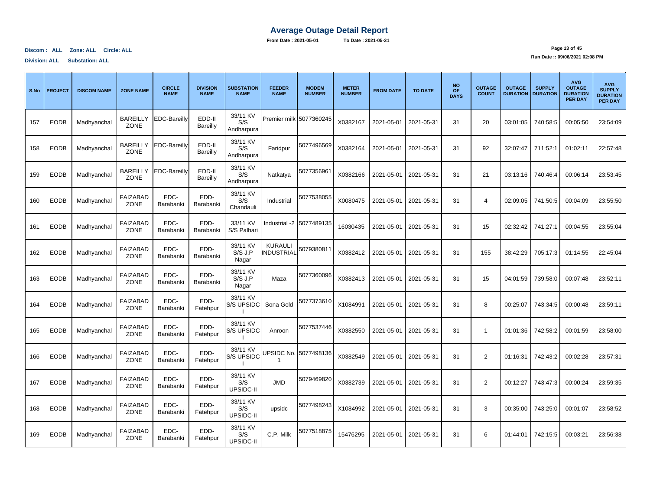**From Date : 2021-05-01**

**To Date : 2021-05-31**

**Discom : ALL Zone: ALL Circle: ALL**

**Division: ALL Substation: ALL**

**Page 13 of 45**

| S.No | <b>PROJECT</b> | <b>DISCOM NAME</b> | <b>ZONE NAME</b>               | <b>CIRCLE</b><br><b>NAME</b> | <b>DIVISION</b><br><b>NAME</b> | <b>SUBSTATION</b><br><b>NAME</b> | <b>FEEDER</b><br><b>NAME</b> | <b>MODEM</b><br><b>NUMBER</b> | <b>METER</b><br><b>NUMBER</b> | <b>FROM DATE</b>               | <b>TO DATE</b>        | <b>NO</b><br><b>OF</b><br><b>DAYS</b> | <b>OUTAGE</b><br><b>COUNT</b> | <b>OUTAGE</b><br><b>DURATION</b> | <b>SUPPLY</b><br><b>DURATION</b> | <b>AVG</b><br><b>OUTAGE</b><br><b>DURATION</b><br><b>PER DAY</b> | <b>AVG</b><br><b>SUPPLY</b><br><b>DURATION</b><br><b>PER DAY</b> |
|------|----------------|--------------------|--------------------------------|------------------------------|--------------------------------|----------------------------------|------------------------------|-------------------------------|-------------------------------|--------------------------------|-----------------------|---------------------------------------|-------------------------------|----------------------------------|----------------------------------|------------------------------------------------------------------|------------------------------------------------------------------|
| 157  | EODB           | Madhyanchal        | <b>ZONE</b>                    | BAREILLY EDC-Bareilly        | EDD-II<br><b>Bareilly</b>      | 33/11 KV<br>S/S<br>Andharpura    |                              | Premier milk   5077360245     | X0382167                      | 2021-05-01                     | 2021-05-31            | 31                                    | 20                            | 03:01:05                         | 740:58:5                         | 00:05:50                                                         | 23:54:09                                                         |
| 158  | EODB           | Madhyanchal        | <b>BAREILLY</b><br>ZONE        | <b>EDC-Bareilly</b>          | EDD-II<br><b>Bareilly</b>      | 33/11 KV<br>S/S<br>Andharpura    | Faridpur                     | 5077496569                    | X0382164                      | 2021-05-01                     | 2021-05-31            | 31                                    | 92                            | 32:07:47                         | 711:52:1                         | 01:02:11                                                         | 22:57:48                                                         |
| 159  | <b>EODB</b>    | Madhyanchal        | <b>BAREILLY</b><br><b>ZONE</b> | <b>EDC-Bareilly</b>          | EDD-II<br><b>Bareilly</b>      | 33/11 KV<br>S/S<br>Andharpura    | Natkatya                     | 5077356961                    | X0382166                      | 2021-05-01                     | $ 2021 - 05 - 31$     | 31                                    | 21                            | 03:13:16                         | 740:46:4                         | 00:06:14                                                         | 23:53:45                                                         |
| 160  | EODB           | Madhyanchal        | <b>FAIZABAD</b><br><b>ZONE</b> | EDC-<br>Barabanki            | EDD-<br>Barabanki              | 33/11 KV<br>S/S<br>Chandauli     | Industrial                   | 5077538055                    | X0080475                      | 2021-05-01                     | 2021-05-31            | 31                                    | 4                             | 02:09:05                         | 741:50:5                         | 00:04:09                                                         | 23:55:50                                                         |
| 161  | EODB           | Madhyanchal        | <b>FAIZABAD</b><br><b>ZONE</b> | EDC-<br>Barabanki            | EDD-<br>Barabanki              | 33/11 KV<br>S/S Palhari          |                              | Industrial -2   5077489135    | 16030435                      | 2021-05-01 2021-05-31          |                       | 31                                    | 15                            | 02:32:42                         | 741:27:1                         | 00:04:55                                                         | 23:55:04                                                         |
| 162  | <b>EODB</b>    | Madhyanchal        | <b>FAIZABAD</b><br><b>ZONE</b> | EDC-<br>Barabanki            | EDD-<br>Barabanki              | 33/11 KV<br>S/S J.P<br>Nagar     |                              | INDUSTRIAL 5079380811         | X0382412                      | 2021-05-01                     | 2021-05-31            | 31                                    | 155                           | 38:42:29                         | 705:17:3                         | 01:14:55                                                         | 22:45:04                                                         |
| 163  | EODB           | Madhyanchal        | <b>FAIZABAD</b><br><b>ZONE</b> | EDC-<br>Barabanki            | EDD-<br>Barabanki              | 33/11 KV<br>S/S J.P<br>Nagar     | Maza                         | 5077360096                    | X0382413                      | 2021-05-01                     | 2021-05-31            | 31                                    | 15                            | 04:01:59                         | 739:58:0                         | 00:07:48                                                         | 23:52:11                                                         |
| 164  | EODB           | Madhyanchal        | <b>FAIZABAD</b><br><b>ZONE</b> | EDC-<br>Barabanki            | EDD-<br>Fatehpur               | 33/11 KV<br>S/SUPSIDC            | Sona Gold                    | 5077373610                    | X1084991                      | 2021-05-01                     | 2021-05-31            | 31                                    | 8                             | 00:25:07                         | 743:34:5                         | 00:00:48                                                         | 23:59:11                                                         |
| 165  | <b>EODB</b>    | Madhyanchal        | <b>FAIZABAD</b><br>ZONE        | EDC-<br>Barabanki            | EDD-<br>Fatehpur               | 33/11 KV<br>S/S UPSIDC           | Anroon                       | 5077537446                    | X0382550                      | 2021-05-01 2021-05-31          |                       | 31                                    | $\overline{\mathbf{1}}$       | 01:01:36                         | 742:58:2                         | 00:01:59                                                         | 23:58:00                                                         |
| 166  | <b>EODB</b>    | Madhyanchal        | FAIZABAD<br>ZONE               | EDC-<br>Barabanki            | EDD-<br>Fatehpur               | 33/11 KV<br>S/SUPSIDC            |                              | UPSIDC No. 5077498136         | X0382549                      | 2021-05-01 2021-05-31          |                       | 31                                    | $\overline{2}$                | 01:16:31                         | 742:43:2                         | 00:02:28                                                         | 23:57:31                                                         |
| 167  | <b>EODB</b>    | Madhyanchal        | <b>FAIZABAD</b><br>ZONE        | EDC-<br>Barabanki            | EDD-<br>Fatehpur               | 33/11 KV<br>S/S<br>UPSIDC-II     | <b>JMD</b>                   | 5079469820                    | X0382739                      |                                | 2021-05-01 2021-05-31 | 31                                    | $\overline{2}$                | 00:12:27                         | 743:47:3                         | 00:00:24                                                         | 23:59:35                                                         |
| 168  | <b>EODB</b>    | Madhyanchal        | FAIZABAD<br>ZONE               | EDC-<br>Barabanki            | EDD-<br>Fatehpur               | 33/11 KV<br>S/S<br>UPSIDC-II     | upsidc                       | 5077498243                    |                               | X1084992 2021-05-01 2021-05-31 |                       | 31                                    | 3                             | 00:35:00                         | 743:25:0                         | 00:01:07                                                         | 23:58:52                                                         |
| 169  | <b>EODB</b>    | Madhyanchal        | FAIZABAD<br>ZONE               | EDC-<br>Barabanki            | EDD-<br>Fatehpur               | 33/11 KV<br>S/S<br>UPSIDC-II     | C.P. Milk                    | 5077518875                    | 15476295                      | 2021-05-01   2021-05-31        |                       | 31                                    | 6                             | 01:44:01                         | 742:15:5                         | 00:03:21                                                         | 23:56:38                                                         |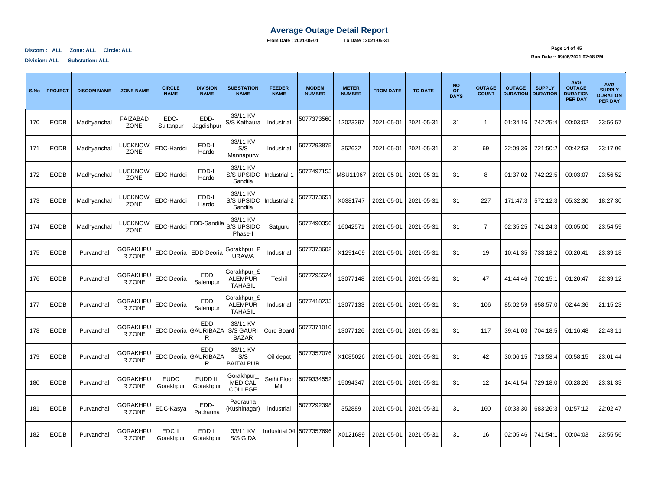**From Date : 2021-05-01**

**To Date : 2021-05-31**

**Discom : ALL Zone: ALL Circle: ALL**

**Division: ALL Substation: ALL**

**Page 14 of 45**

| S.No | <b>PROJECT</b> | <b>DISCOM NAME</b> | <b>ZONE NAME</b>                        | <b>CIRCLE</b><br><b>NAME</b> | <b>DIVISION</b><br><b>NAME</b>                     | <b>SUBSTATION</b><br><b>NAME</b>                | <b>FEEDER</b><br><b>NAME</b> | <b>MODEM</b><br><b>NUMBER</b> | <b>METER</b><br><b>NUMBER</b> | <b>FROM DATE</b>               | <b>TO DATE</b>          | <b>NO</b><br>OF<br><b>DAYS</b> | <b>OUTAGE</b><br><b>COUNT</b> | <b>OUTAGE</b><br><b>DURATION</b> | <b>SUPPLY</b><br><b>DURATION</b> | <b>AVG</b><br><b>OUTAGE</b><br><b>DURATION</b><br><b>PER DAY</b> | <b>AVG</b><br><b>SUPPLY</b><br><b>DURATION</b><br><b>PER DAY</b> |
|------|----------------|--------------------|-----------------------------------------|------------------------------|----------------------------------------------------|-------------------------------------------------|------------------------------|-------------------------------|-------------------------------|--------------------------------|-------------------------|--------------------------------|-------------------------------|----------------------------------|----------------------------------|------------------------------------------------------------------|------------------------------------------------------------------|
| 170  | <b>EODB</b>    | Madhyanchal        | <b>FAIZABAD</b><br><b>ZONE</b>          | EDC-<br>Sultanpur            | EDD-<br>Jagdishpur                                 | 33/11 KV<br>S/S Kathaura                        | Industrial                   | 5077373560                    | 12023397                      | 2021-05-01                     | $ 2021 - 05 - 31$       | 31                             |                               | 01:34:16                         | 742:25:4                         | 00:03:02                                                         | 23:56:57                                                         |
| 171  | <b>EODB</b>    | Madhyanchal        | LUCKNOW<br><b>ZONE</b>                  | EDC-Hardoi                   | EDD-II<br>Hardoi                                   | 33/11 KV<br>S/S<br>Mannapurw                    | Industrial                   | 5077293875                    | 352632                        |                                | 2021-05-01   2021-05-31 | 31                             | 69                            | 22:09:36                         | 721:50:2                         | 00:42:53                                                         | 23:17:06                                                         |
| 172  | <b>EODB</b>    | Madhyanchal        | <b>LUCKNOW</b><br><b>ZONE</b>           | EDC-Hardoi                   | EDD-II<br>Hardoi                                   | 33/11 KV<br>S/SUPSIDC<br>Sandila                | Industrial-1                 | 5077497153                    |                               | MSU11967 2021-05-01 2021-05-31 |                         | 31                             | 8                             | 01:37:02                         | 742:22:5                         | 00:03:07                                                         | 23:56:52                                                         |
| 173  | <b>EODB</b>    | Madhyanchal        | LUCKNOW<br><b>ZONE</b>                  | EDC-Hardoi                   | EDD-II<br>Hardoi                                   | 33/11 KV<br>S/SUPSIDC<br>Sandila                |                              | Industrial-2   5077373651     | X0381747                      | 2021-05-01                     | 2021-05-31              | 31                             | 227                           | 171:47:3                         | 572:12:3                         | 05:32:30                                                         | 18:27:30                                                         |
| 174  | <b>EODB</b>    | Madhyanchal        | <b>LUCKNOW</b><br>ZONE                  | EDC-Hardoi                   | EDD-Sandila S/S UPSIDC                             | 33/11 KV<br>Phase-I                             | Satguru                      | 5077490356                    | 16042571                      |                                | 2021-05-01 2021-05-31   | 31                             | $\overline{7}$                | 02:35:25                         | 741:24:3                         | 00:05:00                                                         | 23:54:59                                                         |
| 175  | <b>EODB</b>    | Purvanchal         | <b>GORAKHPU</b><br>R ZONE               |                              | EDC Deoria   EDD Deoria                            | Gorakhpur_P<br><b>URAWA</b>                     | Industrial                   | 5077373602                    | X1291409                      |                                | 2021-05-01 2021-05-31   | 31                             | 19                            | 10:41:35                         | 733:18:2                         | 00:20:41                                                         | 23:39:18                                                         |
| 176  | <b>EODB</b>    | Purvanchal         | <b>GORAKHPU</b><br>R ZONE               | <b>EDC</b> Deoria            | <b>EDD</b><br>Salempur                             | Gorakhpur_S<br><b>ALEMPUR</b><br><b>TAHASIL</b> | Teshil                       | 5077295524                    | 13077148                      | 2021-05-01                     | $ 2021 - 05 - 31$       | 31                             | 47                            | 41:44:46                         | 702:15:1                         | 01:20:47                                                         | 22:39:12                                                         |
| 177  | <b>EODB</b>    | Purvanchal         | <b>GORAKHPU</b><br>R ZONE               | <b>EDC</b> Deoria            | <b>EDD</b><br>Salempur                             | Gorakhpur_S<br><b>ALEMPUR</b><br><b>TAHASIL</b> | Industrial                   | 5077418233                    | 13077133                      |                                | 2021-05-01 2021-05-31   | 31                             | 106                           | 85:02:59                         | 658:57:0                         | 02:44:36                                                         | 21:15:23                                                         |
| 178  | <b>EODB</b>    | Purvanchal         | <b>GORAKHPU</b><br>R ZONE               |                              | <b>EDD</b><br>EDC Deoria GAURIBAZA<br>$\mathsf{R}$ | 33/11 KV<br>S/S GAURI<br><b>BAZAR</b>           |                              | Cord Board   5077371010       | 13077126                      |                                | 2021-05-01 2021-05-31   | 31                             | 117                           | 39:41:03                         | 704:18:5                         | 01:16:48                                                         | 22:43:11                                                         |
| 179  | <b>EODB</b>    | Purvanchal         | GORAKHPU EDC Deoria GAURIBAZA<br>R ZONE |                              | EDD<br>R                                           | 33/11 KV<br>S/S<br><b>BAITALPUR</b>             | Oil depot                    | 5077357076                    |                               | X1085026 2021-05-01 2021-05-31 |                         | 31                             | 42                            | 30:06:15                         | 713:53:4                         | 00:58:15                                                         | 23:01:44                                                         |
| 180  | <b>EODB</b>    | Purvanchal         | <b>GORAKHPU</b><br>R ZONE               | <b>EUDC</b><br>Gorakhpur     | EUDD III<br>Gorakhpur                              | Gorakhpur_<br><b>MEDICAL</b><br>COLLEGE         | Mill                         | Sethi Floor   5079334552      | 15094347                      |                                | 2021-05-01 2021-05-31   | 31                             | 12                            | 14:41:54                         | 729:18:0                         | 00:28:26                                                         | 23:31:33                                                         |
| 181  | <b>EODB</b>    | Purvanchal         | GORAKHPU<br>R ZONE                      | EDC-Kasya                    | EDD-<br>Padrauna                                   | Padrauna<br>(Kushinagar)                        | industrial                   | 5077292398                    | 352889                        | 2021-05-01 2021-05-31          |                         | 31                             | 160                           | 60:33:30                         | 683:26:3                         | 01:57:12                                                         | 22:02:47                                                         |
| 182  | EODB           | Purvanchal         | <b>GORAKHPU</b><br>R ZONE               | EDC II<br>Gorakhpur          | EDD II<br>Gorakhpur                                | 33/11 KV<br>S/S GIDA                            |                              | Industrial 04   5077357696    |                               | X0121689 2021-05-01 2021-05-31 |                         | 31                             | 16                            | 02:05:46                         | 741:54:1                         | 00:04:03                                                         | 23:55:56                                                         |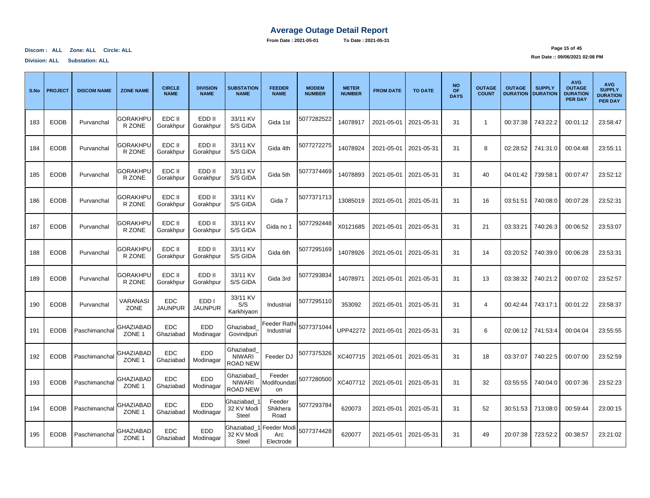**From Date : 2021-05-01**

**To Date : 2021-05-31**

**Discom : ALL Zone: ALL Circle: ALL**

**Division: ALL Substation: ALL**

**Page 15 of 45**

| S.No | <b>PROJECT</b> | <b>DISCOM NAME</b> | <b>ZONE NAME</b>               | <b>CIRCLE</b><br><b>NAME</b> | <b>DIVISION</b><br><b>NAME</b> | <b>SUBSTATION</b><br><b>NAME</b>               | <b>FEEDER</b><br><b>NAME</b> | <b>MODEM</b><br><b>NUMBER</b>        | <b>METER</b><br><b>NUMBER</b> | <b>FROM DATE</b>                   | <b>TO DATE</b> | <b>NO</b><br>OF<br><b>DAYS</b> | <b>OUTAGE</b><br><b>COUNT</b> | <b>OUTAGE</b><br><b>DURATION DURATION</b> | <b>SUPPLY</b> | <b>AVG</b><br><b>OUTAGE</b><br><b>DURATION</b><br><b>PER DAY</b> | <b>AVG</b><br><b>SUPPLY</b><br><b>DURATION</b><br><b>PER DAY</b> |
|------|----------------|--------------------|--------------------------------|------------------------------|--------------------------------|------------------------------------------------|------------------------------|--------------------------------------|-------------------------------|------------------------------------|----------------|--------------------------------|-------------------------------|-------------------------------------------|---------------|------------------------------------------------------------------|------------------------------------------------------------------|
| 183  | <b>EODB</b>    | Purvanchal         | GORAKHPU<br>R ZONE             | EDC II<br>Gorakhpur          | EDD II<br>Gorakhpur            | 33/11 KV<br>S/S GIDA                           | Gida 1st                     | 5077282522                           | 14078917                      | 2021-05-01                         | 2021-05-31     | 31                             | $\mathbf 1$                   | 00:37:38                                  | 743:22:2      | 00:01:12                                                         | 23:58:47                                                         |
| 184  | <b>EODB</b>    | Purvanchal         | <b>GORAKHPU</b><br>R ZONE      | EDC II<br>Gorakhpur          | EDD II<br>Gorakhpur            | 33/11 KV<br>S/S GIDA                           | Gida 4th                     | 5077272275                           | 14078924                      | 2021-05-01                         | 2021-05-31     | 31                             | 8                             | 02:28:52                                  | 741:31:0      | 00:04:48                                                         | 23:55:11                                                         |
| 185  | <b>EODB</b>    | Purvanchal         | <b>GORAKHPU</b><br>R ZONE      | EDC II<br>Gorakhpur          | EDD II<br>Gorakhpur            | 33/11 KV<br>S/S GIDA                           | Gida 5th                     | 5077374469                           | 14078893                      | 2021-05-01                         | 2021-05-31     | 31                             | 40                            | 04:01:42                                  | 739:58:1      | 00:07:47                                                         | 23:52:12                                                         |
| 186  | <b>EODB</b>    | Purvanchal         | GORAKHPU<br>R ZONE             | EDC II<br>Gorakhpur          | EDD II<br>Gorakhpur            | 33/11 KV<br>S/S GIDA                           | Gida 7                       | 5077371713                           | 13085019                      | 2021-05-01                         | 2021-05-31     | 31                             | 16                            | 03:51:51                                  | 740:08:0      | 00:07:28                                                         | 23:52:31                                                         |
| 187  | <b>EODB</b>    | Purvanchal         | <b>GORAKHPU</b><br>R ZONE      | EDC II<br>Gorakhpur          | EDD II<br>Gorakhpur            | 33/11 KV<br>S/S GIDA                           | Gida no 1                    | 5077292448                           | X0121685                      | 2021-05-01                         | 2021-05-31     | 31                             | 21                            | 03:33:21                                  | 740:26:3      | 00:06:52                                                         | 23:53:07                                                         |
| 188  | <b>EODB</b>    | Purvanchal         | <b>GORAKHPU</b><br>R ZONE      | EDC II<br>Gorakhpur          | EDD II<br>Gorakhpur            | 33/11 KV<br>S/S GIDA                           | Gida 6th                     | 5077295169                           | 14078926                      | 2021-05-01                         | 2021-05-31     | 31                             | 14                            | 03:20:52                                  | 740:39:0      | 00:06:28                                                         | 23:53:31                                                         |
| 189  | <b>EODB</b>    | Purvanchal         | GORAKHPU<br>R ZONE             | EDC II<br>Gorakhpur          | EDD II<br>Gorakhpur            | 33/11 KV<br>S/S GIDA                           | Gida 3rd                     | 5077293834                           | 14078971                      | 2021-05-01                         | 2021-05-31     | 31                             | 13                            | 03:38:32                                  | 740:21:2      | 00:07:02                                                         | 23:52:57                                                         |
| 190  | <b>EODB</b>    | Purvanchal         | <b>VARANASI</b><br><b>ZONE</b> | <b>EDC</b><br><b>JAUNPUR</b> | EDD I<br><b>JAUNPUR</b>        | 33/11 KV<br>S/S<br>Karkhiyaon                  | Industrial                   | 5077295110                           | 353092                        | 2021-05-01                         | 2021-05-31     | 31                             | 4                             | 00:42:44                                  | 743:17:1      | 00:01:22                                                         | 23:58:37                                                         |
| 191  | <b>EODB</b>    | Paschimanchal      | GHAZIABAD<br>ZONE 1            | <b>EDC</b><br>Ghaziabad      | EDD<br>Modinagar               | Ghaziabad<br>Govindpuri                        | Industrial                   | Feeder Rathi 5077371044              |                               | UPP42272 2021-05-01 2021-05-31     |                | 31                             | 6                             | 02:06:12                                  | 741:53:4      | 00:04:04                                                         | 23:55:55                                                         |
| 192  | <b>EODB</b>    | Paschimanchal      | GHAZIABAD <br>ZONE 1           | <b>EDC</b><br>Ghaziabad      | EDD<br>Modinagar               | Ghaziabad_<br><b>NIWARI</b><br><b>ROAD NEW</b> | Feeder DJ                    | 5077375326                           |                               | XC407715   2021-05-01   2021-05-31 |                | 31                             | 18                            | 03:37:07                                  | 740:22:5      | 00:07:00                                                         | 23:52:59                                                         |
| 193  | <b>EODB</b>    | Paschimanchal      | <b>GHAZIABAD</b><br>ZONE 1     | <b>EDC</b><br>Ghaziabad      | <b>EDD</b><br>Modinagar        | Ghaziabad<br><b>NIWARI</b><br><b>ROAD NEW</b>  | Feeder<br>Modifoundati<br>on | 5077280500                           |                               | XC407712   2021-05-01   2021-05-31 |                | 31                             | 32                            | 03:55:55                                  | 740:04:0      | 00:07:36                                                         | 23:52:23                                                         |
| 194  | <b>EODB</b>    | Paschimanchal      | GHAZIABAD  <br>ZONE 1          | <b>EDC</b><br>Ghaziabad      | <b>EDD</b><br>Modinagar        | Ghaziabad_<br>32 KV Modi<br>Steel              | Feeder<br>Shikhera<br>Road   | 5077293784                           | 620073                        | 2021-05-01 2021-05-31              |                | 31                             | 52                            | 30:51:53                                  | 713:08:0      | 00:59:44                                                         | 23:00:15                                                         |
| 195  | <b>EODB</b>    | Paschimanchal      | GHAZIABAD <br>ZONE 1           | <b>EDC</b><br>Ghaziabad      | <b>EDD</b><br>Modinagar        | 32 KV Modi<br>Steel                            | Arc<br>Electrode             | Ghaziabad_1 Feeder Modi   5077374428 | 620077                        | 2021-05-01 2021-05-31              |                | 31                             | 49                            | 20:07:38                                  | 723:52:2      | 00:38:57                                                         | 23:21:02                                                         |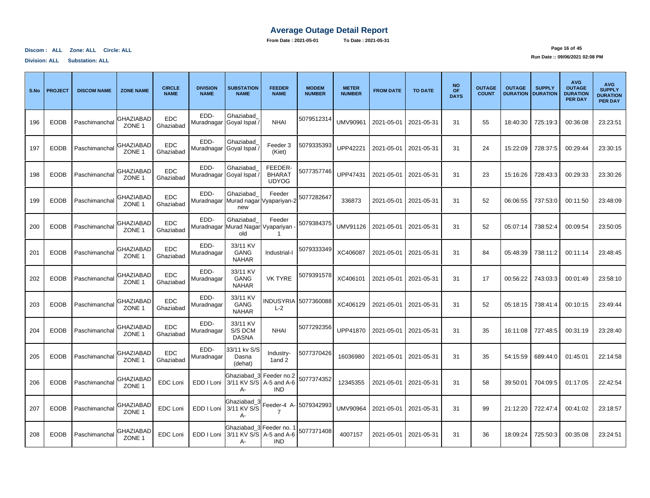**From Date : 2021-05-01**

**To Date : 2021-05-31**

**Discom : ALL Zone: ALL Circle: ALL**

**Division: ALL Substation: ALL**

**Page 16 of 45**

| S.No | <b>PROJECT</b> | <b>DISCOM NAME</b> | <b>ZONE NAME</b>           | <b>CIRCLE</b><br><b>NAME</b> | <b>DIVISION</b><br><b>NAME</b> | <b>SUBSTATION</b><br><b>NAME</b>                        | <b>FEEDER</b><br><b>NAME</b>                                                | <b>MODEM</b><br><b>NUMBER</b>                                       | <b>METER</b><br><b>NUMBER</b> | <b>FROM DATE</b>               | <b>TO DATE</b>          | <b>NO</b><br><b>OF</b><br><b>DAYS</b> | <b>OUTAGE</b><br><b>COUNT</b> | <b>OUTAGE</b><br><b>DURATION</b> | <b>SUPPLY</b><br><b>DURATION</b> | <b>AVG</b><br><b>OUTAGE</b><br><b>DURATION</b><br><b>PER DAY</b> | <b>AVG</b><br><b>SUPPLY</b><br><b>DURATION</b><br><b>PER DAY</b> |
|------|----------------|--------------------|----------------------------|------------------------------|--------------------------------|---------------------------------------------------------|-----------------------------------------------------------------------------|---------------------------------------------------------------------|-------------------------------|--------------------------------|-------------------------|---------------------------------------|-------------------------------|----------------------------------|----------------------------------|------------------------------------------------------------------|------------------------------------------------------------------|
| 196  | <b>EODB</b>    | Paschimanchal      | <b>GHAZIABAD</b><br>ZONE 1 | <b>EDC</b><br>Ghaziabad      | EDD-                           | Ghaziabad<br>Muradnagar Goyal Ispat /                   | <b>NHAI</b>                                                                 | 5079512314                                                          | <b>UMV90961</b>               | 2021-05-01 2021-05-31          |                         | 31                                    | 55                            | 18:40:30                         | 725:19:3                         | 00:36:08                                                         | 23:23:51                                                         |
| 197  | <b>EODB</b>    | Paschimanchal      | GHAZIABAD<br>ZONE 1        | <b>EDC</b><br>Ghaziabad      | EDD-                           | Ghaziabad<br>Muradnagar Goyal Ispat /                   | Feeder 3<br>(Kiet)                                                          | 5079335393                                                          | <b>UPP42221</b>               | 2021-05-01 2021-05-31          |                         | 31                                    | 24                            | 15:22:09                         | 728:37:5                         | 00:29:44                                                         | 23:30:15                                                         |
| 198  | <b>EODB</b>    | Paschimanchal      | <b>GHAZIABAD</b><br>ZONE 1 | <b>EDC</b><br>Ghaziabad      | EDD-                           | Ghaziabad<br>Muradnagar Goyal Ispat /                   | FEEDER-<br><b>BHARAT</b><br><b>UDYOG</b>                                    | 5077357746                                                          | <b>UPP47431</b>               |                                | 2021-05-01   2021-05-31 | 31                                    | 23                            | 15:16:26                         | 728:43:3                         | 00:29:33                                                         | 23:30:26                                                         |
| 199  | <b>EODB</b>    | Paschimanchal      | <b>GHAZIABAD</b><br>ZONE 1 | <b>EDC</b><br>Ghaziabad      | EDD-                           | Ghaziabad<br>new                                        | Feeder<br>Muradnagar Murad nagar Vyapariyan-2                               | 5077282647                                                          | 336873                        |                                | 2021-05-01 2021-05-31   | 31                                    | 52                            | 06:06:55                         | 737:53:0                         | 00:11:50                                                         | 23:48:09                                                         |
| 200  | <b>EODB</b>    | Paschimanchal      | <b>GHAZIABAD</b><br>ZONE 1 | <b>EDC</b><br>Ghaziabad      | EDD-                           | Ghaziabad<br>Muradnagar Murad Nagar Vyapariyan -<br>old | Feeder                                                                      | 5079384375                                                          | UMV91126                      | 2021-05-01                     | 2021-05-31              | 31                                    | 52                            | 05:07:14                         | 738:52:4                         | 00:09:54                                                         | 23:50:05                                                         |
| 201  | <b>EODB</b>    | Paschimanchal      | <b>GHAZIABAD</b><br>ZONE 1 | <b>EDC</b><br>Ghaziabad      | EDD-<br>Muradnagar             | 33/11 KV<br>GANG<br><b>NAHAR</b>                        | Industrial-I                                                                | 5079333349                                                          | XC406087                      | 2021-05-01                     | 2021-05-31              | 31                                    | 84                            | 05:48:39                         | 738:11:2                         | 00:11:14                                                         | 23:48:45                                                         |
| 202  | <b>EODB</b>    | Paschimanchal      | <b>GHAZIABAD</b><br>ZONE 1 | <b>EDC</b><br>Ghaziabad      | EDD-<br>Muradnagar             | 33/11 KV<br>GANG<br><b>NAHAR</b>                        | <b>VK TYRE</b>                                                              | 5079391578                                                          | XC406101                      | 2021-05-01                     | 2021-05-31              | 31                                    | 17                            | 00:56:22                         | 743:03:3                         | 00:01:49                                                         | 23:58:10                                                         |
| 203  | <b>EODB</b>    | Paschimanchal      | <b>GHAZIABAD</b><br>ZONE 1 | <b>EDC</b><br>Ghaziabad      | EDD-<br>Muradnagar             | 33/11 KV<br>GANG<br><b>NAHAR</b>                        | $L-2$                                                                       | INDUSYRIA 5077360088                                                | XC406129                      | 2021-05-01 2021-05-31          |                         | 31                                    | 52                            | 05:18:15                         | 738:41:4                         | 00:10:15                                                         | 23:49:44                                                         |
| 204  | <b>EODB</b>    | Paschimanchal      | <b>GHAZIABAD</b><br>ZONE 1 | <b>EDC</b><br>Ghaziabad      | EDD-<br>Muradnagar             | 33/11 KV<br>S/S DCM<br><b>DASNA</b>                     | <b>NHAI</b>                                                                 | 5077292356                                                          | UPP41870                      | 2021-05-01   2021-05-31        |                         | 31                                    | 35                            | 16:11:08                         | 727:48:5                         | 00:31:19                                                         | 23:28:40                                                         |
| 205  | <b>EODB</b>    | Paschimanchal      | <b>GHAZIABAD</b><br>ZONE 1 | <b>EDC</b><br>Ghaziabad      | EDD-<br>Muradnagar             | 33/11 kv S/S<br>Dasna<br>(dehat)                        | Industry-<br>1and 2                                                         | 5077370426                                                          | 16036980                      | 2021-05-01 2021-05-31          |                         | 31                                    | 35                            | 54:15:59                         | 689:44:0                         | 01:45:01                                                         | 22:14:58                                                         |
| 206  | <b>EODB</b>    | Paschimanchal      | <b>GHAZIABAD</b><br>ZONE 1 | <b>EDC Loni</b>              |                                | A-                                                      | Ghaziabad_3 Feeder no.2<br>EDD I Loni 3/11 KV S/S A-5 and A-6<br><b>IND</b> | 5077374352                                                          | 12345355                      |                                | 2021-05-01 2021-05-31   | 31                                    | 58                            | 39:50:01                         | 704:09:5                         | 01:17:05                                                         | 22:42:54                                                         |
| 207  | <b>EODB</b>    | Paschimanchal      | GHAZIABAD<br>ZONE 1        | EDC Loni                     |                                | A-                                                      |                                                                             | Ghaziabad_3 <br>  EDD I Loni   3/11 KV S/S   Feeder-4 A- 5079342993 |                               | UMV90964 2021-05-01 2021-05-31 |                         | 31                                    | 99                            | 21:12:20                         | 722:47:4                         | 00:41:02                                                         | 23:18:57                                                         |
| 208  | <b>EODB</b>    | Paschimanchal      | GHAZIABAD<br>ZONE 1        | EDC Loni                     |                                | A-                                                      | EDD I Loni 3/11 KV S/S A-5 and A-6<br><b>IND</b>                            | Ghaziabad_3 Feeder no. 1   5077371408                               | 4007157                       |                                | 2021-05-01 2021-05-31   | 31                                    | 36                            | 18:09:24                         | 725:50:3                         | 00:35:08                                                         | 23:24:51                                                         |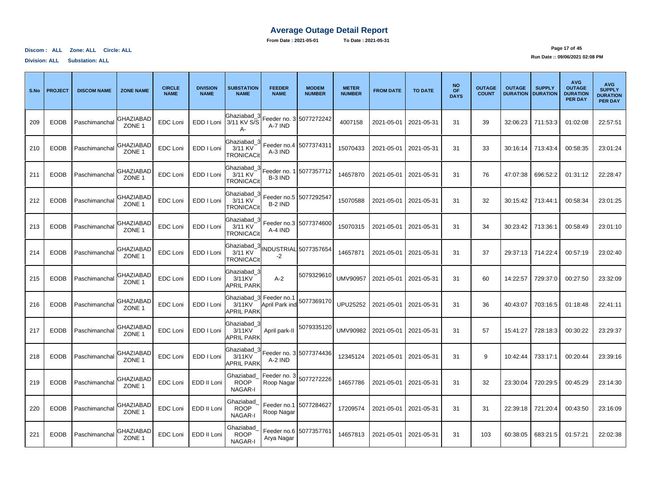**From Date : 2021-05-01**

**To Date : 2021-05-31**

**Discom : ALL Zone: ALL Circle: ALL**

**Division: ALL Substation: ALL**

**Page 17 of 45**

| S.No | <b>PROJECT</b> | <b>DISCOM NAME</b> | <b>ZONE NAME</b>           | <b>CIRCLE</b><br><b>NAME</b> | <b>DIVISION</b><br><b>NAME</b> | <b>SUBSTATION</b><br><b>NAME</b>            | <b>FEEDER</b><br><b>NAME</b>        | <b>MODEM</b><br><b>NUMBER</b>       | <b>METER</b><br><b>NUMBER</b> | <b>FROM DATE</b>                   | <b>TO DATE</b>          | <b>NO</b><br><b>OF</b><br><b>DAYS</b> | <b>OUTAGE</b><br><b>COUNT</b> | <b>OUTAGE</b><br><b>DURATION</b> | <b>SUPPLY</b><br><b>DURATION</b> | <b>AVG</b><br><b>OUTAGE</b><br><b>DURATION</b><br><b>PER DAY</b> | <b>AVG</b><br><b>SUPPLY</b><br><b>DURATION</b><br><b>PER DAY</b> |
|------|----------------|--------------------|----------------------------|------------------------------|--------------------------------|---------------------------------------------|-------------------------------------|-------------------------------------|-------------------------------|------------------------------------|-------------------------|---------------------------------------|-------------------------------|----------------------------------|----------------------------------|------------------------------------------------------------------|------------------------------------------------------------------|
| 209  | <b>EODB</b>    | Paschimanchal      | <b>GHAZIABAD</b><br>ZONE 1 | <b>EDC</b> Loni              |                                | Ghaziabad_3<br>EDD I Loni 3/11 KV S/S<br>A- | A-7 IND                             | Feeder no. 3 5077272242             | 4007158                       |                                    | 2021-05-01   2021-05-31 | 31                                    | 39                            | 32:06:23                         | 711:53:3                         | 01:02:08                                                         | 22:57:51                                                         |
| 210  | <b>EODB</b>    | Paschimanchal      | <b>GHAZIABAD</b><br>ZONE 1 | EDC Loni                     | EDD I Loni                     | Ghaziabad_3<br>3/11 KV<br>TRONICACit        | Feeder no.4   5077374311<br>A-3 IND |                                     | 15070433                      |                                    | 2021-05-01 2021-05-31   | 31                                    | 33                            | 30:16:14                         | 713:43:4                         | 00:58:35                                                         | 23:01:24                                                         |
| 211  | <b>EODB</b>    | Paschimanchal      | <b>GHAZIABAD</b><br>ZONE 1 | EDC Loni                     | EDD I Loni                     | TRONICACit                                  | B-3 IND                             | Ghaziabad_3 Feeder no. 1 5077357712 | 14657870                      |                                    | 2021-05-01   2021-05-31 | 31                                    | 76                            | 47:07:38                         | 696:52:2                         | 01:31:12                                                         | 22:28:47                                                         |
| 212  | <b>EODB</b>    | Paschimanchal      | <b>GHAZIABAD</b><br>ZONE 1 | <b>EDC</b> Loni              | EDD I Loni                     | Ghaziabad_3<br>3/11 KV<br><b>TRONICACit</b> | Feeder no.5 5077292547<br>B-2 IND   |                                     | 15070588                      |                                    | 2021-05-01   2021-05-31 | 31                                    | 32                            | 30:15:42                         | 713:44:1                         | 00:58:34                                                         | 23:01:25                                                         |
| 213  | <b>EODB</b>    | Paschimanchal      | <b>GHAZIABAD</b><br>ZONE 1 | EDC Loni                     | EDD I Loni                     | Ghaziabad_3<br>3/11 KV<br>TRONICACit        | A-4 IND                             | Feeder no.3 5077374600              | 15070315                      |                                    | 2021-05-01 2021-05-31   | 31                                    | 34                            | 30:23:42                         | 713:36:1                         | 00:58:49                                                         | 23:01:10                                                         |
| 214  | <b>EODB</b>    | Paschimanchal      | <b>GHAZIABAD</b><br>ZONE 1 | EDC Loni                     | EDD I Loni                     | 3/11 KV<br><b>TRONICACit</b>                | $-2$                                | Ghaziabad_3 INDUSTRIAL 5077357654   | 14657871                      |                                    | 2021-05-01   2021-05-31 | 31                                    | 37                            | 29:37:13                         | 714:22:4                         | 00:57:19                                                         | 23:02:40                                                         |
| 215  | <b>EODB</b>    | Paschimanchal      | <b>GHAZIABAD</b><br>ZONE 1 | <b>EDC</b> Loni              | EDD I Loni                     | Ghaziabad_3<br>3/11KV<br><b>APRIL PARK</b>  | $A-2$                               | 5079329610                          |                               | UMV90957   2021-05-01   2021-05-31 |                         | 31                                    | 60                            | 14:22:57                         | 729:37:0                         | 00:27:50                                                         | 23:32:09                                                         |
| 216  | <b>EODB</b>    | Paschimanchal      | <b>GHAZIABAD</b><br>ZONE 1 | EDC Loni                     | EDD I Loni                     | <b>APRIL PARK</b>                           |                                     | Ghaziabad_3 Feeder no.1 5077369170  | UPU25252                      | 2021-05-01 2021-05-31              |                         | 31                                    | 36                            | 40:43:07                         | 703:16:5                         | 01:18:48                                                         | 22:41:11                                                         |
| 217  | <b>EODB</b>    | Paschimanchal      | <b>GHAZIABAD</b><br>ZONE 1 | EDC Loni                     | EDD I Loni                     | Ghaziabad_3<br>3/11KV<br>APRIL PARK         |                                     | April park-II   5079335120          |                               | UMV90982   2021-05-01   2021-05-31 |                         | 31                                    | 57                            | 15:41:27                         | 728:18:3                         | 00:30:22                                                         | 23:29:37                                                         |
| 218  | <b>EODB</b>    | Paschimanchal      | <b>GHAZIABAD</b><br>ZONE 1 | EDC Loni                     | EDD I Loni                     | 3/11KV<br><b>APRIL PARK</b>                 | A-2 IND                             | Ghaziabad_3 Feeder no. 3 5077374436 | 12345124                      |                                    | 2021-05-01 2021-05-31   | 31                                    | 9                             | 10:42:44                         | 733:17:1                         | 00:20:44                                                         | 23:39:16                                                         |
| 219  | <b>EODB</b>    | Paschimanchal      | <b>GHAZIABAD</b><br>ZONE 1 | <b>EDC Loni</b>              | EDD II Loni                    | Ghaziabad<br><b>ROOP</b><br><b>NAGAR-I</b>  | Roop Nagar                          | Feeder no. 3 5077272226             | 14657786                      |                                    | 2021-05-01 2021-05-31   | 31                                    | 32                            | 23:30:04                         | 720:29:5                         | 00:45:29                                                         | 23:14:30                                                         |
| 220  | <b>EODB</b>    | Paschimanchal      | GHAZIABAD<br>ZONE 1        | EDC Loni                     | EDD II Loni                    | Ghaziabad<br><b>ROOP</b><br><b>NAGAR-I</b>  | Roop Nagar                          | Feeder no.1   5077284627            | 17209574                      |                                    | 2021-05-01   2021-05-31 | 31                                    | 31                            | 22:39:18                         | 721:20:4                         | 00:43:50                                                         | 23:16:09                                                         |
| 221  | <b>EODB</b>    | Paschimanchal      | <b>GHAZIABAD</b><br>ZONE 1 | EDC Loni                     | EDD II Loni                    | Ghaziabad_<br><b>ROOP</b><br><b>NAGAR-I</b> | Arya Nagar                          | Feeder no.6 5077357761              | 14657813                      |                                    | 2021-05-01   2021-05-31 | 31                                    | 103                           | 60:38:05                         | 683:21:5                         | 01:57:21                                                         | 22:02:38                                                         |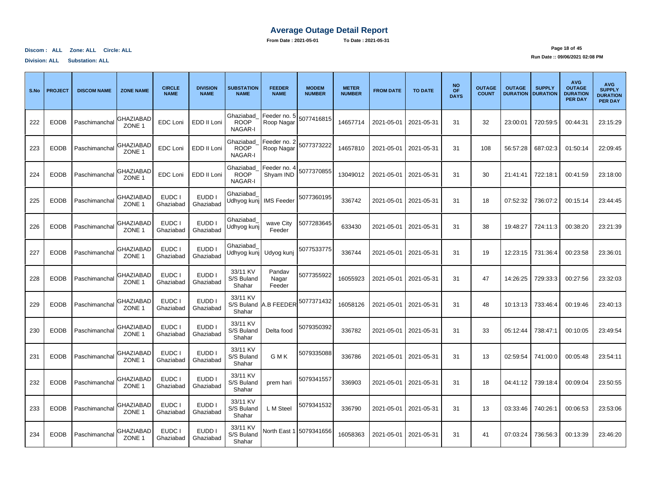**From Date : 2021-05-01**

**To Date : 2021-05-31**

**Discom : ALL Zone: ALL Circle: ALL**

**Division: ALL Substation: ALL**

**Page 18 of 45**

| S.No | <b>PROJECT</b> | <b>DISCOM NAME</b> | <b>ZONE NAME</b>           | <b>CIRCLE</b><br><b>NAME</b> | <b>DIVISION</b><br><b>NAME</b> | <b>SUBSTATION</b><br><b>NAME</b>           | <b>FEEDER</b><br><b>NAME</b> | <b>MODEM</b><br><b>NUMBER</b>    | <b>METER</b><br><b>NUMBER</b> | <b>FROM DATE</b>        | <b>TO DATE</b> | <b>NO</b><br>OF<br><b>DAYS</b> | <b>OUTAGE</b><br><b>COUNT</b> | <b>OUTAGE</b><br><b>DURATION DURATION</b> | <b>SUPPLY</b>       | <b>AVG</b><br><b>OUTAGE</b><br><b>DURATION</b><br><b>PER DAY</b> | <b>AVG</b><br><b>SUPPLY</b><br><b>DURATION</b><br><b>PER DAY</b> |
|------|----------------|--------------------|----------------------------|------------------------------|--------------------------------|--------------------------------------------|------------------------------|----------------------------------|-------------------------------|-------------------------|----------------|--------------------------------|-------------------------------|-------------------------------------------|---------------------|------------------------------------------------------------------|------------------------------------------------------------------|
| 222  | EODB           | Paschimanchal      | <b>GHAZIABAD</b><br>ZONE 1 | EDC Loni                     | <b>EDD II Loni</b>             | Ghaziabad<br><b>ROOP</b><br><b>NAGAR-I</b> | Roop Nagar                   | Feeder no. 5 5077416815          | 14657714                      | 2021-05-01              | 2021-05-31     | 31                             | 32                            | 23:00:01                                  | 720:59:5            | 00:44:31                                                         | 23:15:29                                                         |
| 223  | <b>EODB</b>    | Paschimanchal      | <b>GHAZIABAD</b><br>ZONE 1 | EDC Loni                     | <b>EDD II Loni</b>             | Ghaziabad<br><b>ROOP</b><br><b>NAGAR-I</b> | Roop Nagar                   | Feeder no. 2 5077373222          | 14657810                      | 2021-05-01              | 2021-05-31     | 31                             | 108                           | 56:57:28                                  | 687:02:3            | 01:50:14                                                         | 22:09:45                                                         |
| 224  | <b>EODB</b>    | Paschimanchal      | GHAZIABAD<br>ZONE 1        | <b>EDC Loni</b>              | EDD II Loni                    | Ghaziabad<br><b>ROOP</b><br><b>NAGAR-I</b> | Feeder no. 4<br>Shyam IND    | 5077370855                       | 13049012                      | 2021-05-01              | 2021-05-31     | 31                             | 30                            | 21:41:41                                  | 722:18:1            | 00:41:59                                                         | 23:18:00                                                         |
| 225  | <b>EODB</b>    | Paschimanchal      | <b>GHAZIABAD</b><br>ZONE 1 | EUDC I<br>Ghaziabad          | <b>EUDD</b><br>Ghaziabad       | Ghaziabad<br>Udhyog kunj                   | <b>IMS Feeder</b>            | 5077360195                       | 336742                        | 2021-05-01              | 2021-05-31     | 31                             | 18                            | 07:52:32                                  | 736:07:2            | 00:15:14                                                         | 23:44:45                                                         |
| 226  | <b>EODB</b>    | Paschimanchal      | <b>GHAZIABAD</b><br>ZONE 1 | EUDC I<br>Ghaziabad          | EUDD I<br>Ghaziabad            | Ghaziabad<br>Udhyog kunj                   | wave City<br>Feeder          | 5077283645                       | 633430                        | 2021-05-01   2021-05-31 |                | 31                             | 38                            | 19:48:27                                  | 724:11:3            | 00:38:20                                                         | 23:21:39                                                         |
| 227  | <b>EODB</b>    | Paschimanchal      | <b>GHAZIABAD</b><br>ZONE 1 | EUDC I<br>Ghaziabad          | <b>EUDD</b><br>Ghaziabad       | Ghaziabad<br>Udhyog kunj                   | Udyog kunj                   | 5077533775                       | 336744                        | 2021-05-01              | 2021-05-31     | 31                             | 19                            | 12:23:15                                  | 731:36:4            | 00:23:58                                                         | 23:36:01                                                         |
| 228  | <b>EODB</b>    | Paschimanchal      | <b>GHAZIABAD</b><br>ZONE 1 | EUDC I<br>Ghaziabad          | EUDD I<br>Ghaziabad            | 33/11 KV<br>S/S Buland<br>Shahar           | Pandav<br>Nagar<br>Feeder    | 5077355922                       | 16055923                      | 2021-05-01              | 2021-05-31     | 31                             | 47                            | 14:26:25                                  | 729:33:3            | 00:27:56                                                         | 23:32:03                                                         |
| 229  | <b>EODB</b>    | Paschimanchal      | <b>GHAZIABAD</b><br>ZONE 1 | EUDC I<br>Ghaziabad          | EUDD I<br>Ghaziabad            | 33/11 KV<br>Shahar                         |                              | S/S Buland A.B FEEDER 5077371432 | 16058126                      | 2021-05-01              | 2021-05-31     | 31                             | 48                            | 10:13:13                                  | 733:46:4            | 00:19:46                                                         | 23:40:13                                                         |
| 230  | <b>EODB</b>    | Paschimanchal      | <b>GHAZIABAD</b><br>ZONE 1 | EUDC I<br>Ghaziabad          | EUDD I<br>Ghaziabad            | 33/11 KV<br>S/S Buland<br>Shahar           | Delta food                   | 5079350392                       | 336782                        | 2021-05-01 2021-05-31   |                | 31                             | 33                            | 05:12:44                                  | 738:47:1            | 00:10:05                                                         | 23:49:54                                                         |
| 231  | <b>EODB</b>    | Paschimanchal      | GHAZIABAD<br>ZONE 1        | EUDC I<br>Ghaziabad          | EUDD I<br>Ghaziabad            | 33/11 KV<br>S/S Buland<br>Shahar           | GMK                          | 5079335088                       | 336786                        | 2021-05-01 2021-05-31   |                | 31                             | 13                            |                                           | 02:59:54   741:00:0 | 00:05:48                                                         | 23:54:11                                                         |
| 232  | <b>EODB</b>    | Paschimanchal      | GHAZIABAD<br>ZONE 1        | EUDC I<br>Ghaziabad          | EUDD I<br>Ghaziabad            | 33/11 KV<br>S/S Buland<br>Shahar           | prem hari                    | 5079341557                       | 336903                        | 2021-05-01   2021-05-31 |                | 31                             | 18                            |                                           | 04:41:12   739:18:4 | 00:09:04                                                         | 23:50:55                                                         |
| 233  | <b>EODB</b>    | Paschimanchal      | GHAZIABAD<br>ZONE 1        | EUDC I<br>Ghaziabad          | EUDD I<br>Ghaziabad            | 33/11 KV<br>S/S Buland<br>Shahar           | L M Steel                    | 5079341532                       | 336790                        | 2021-05-01 2021-05-31   |                | 31                             | 13                            | 03:33:46                                  | 740:26:1            | 00:06:53                                                         | 23:53:06                                                         |
| 234  | <b>EODB</b>    | Paschimanchal      | GHAZIABAD<br>ZONE 1        | EUDC I<br>Ghaziabad          | EUDD I<br>Ghaziabad            | 33/11 KV<br>S/S Buland<br>Shahar           |                              | North East 1 5079341656          | 16058363                      | 2021-05-01 2021-05-31   |                | 31                             | 41                            | 07:03:24                                  | 736:56:3            | 00:13:39                                                         | 23:46:20                                                         |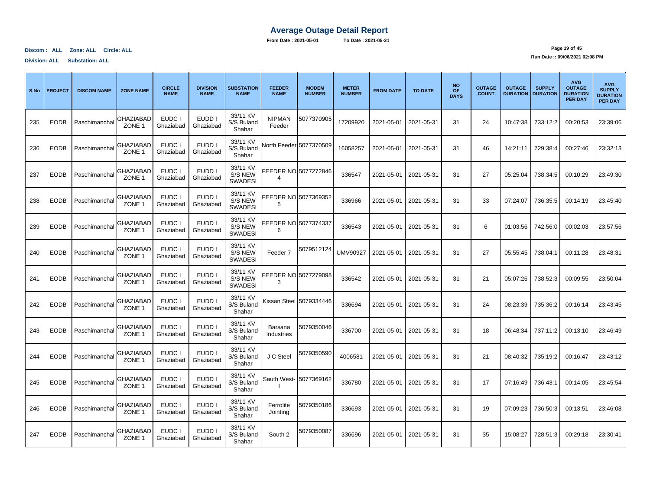**From Date : 2021-05-01**

**To Date : 2021-05-31**

**Discom : ALL Zone: ALL Circle: ALL**

**Division: ALL Substation: ALL**

**Page 19 of 45**

| S.No | <b>PROJECT</b> | <b>DISCOM NAME</b> | <b>ZONE NAME</b>           | <b>CIRCLE</b><br><b>NAME</b> | <b>DIVISION</b><br><b>NAME</b> | <b>SUBSTATION</b><br><b>NAME</b>      | <b>FEEDER</b><br><b>NAME</b> | <b>MODEM</b><br><b>NUMBER</b> | <b>METER</b><br><b>NUMBER</b> | <b>FROM DATE</b>        | <b>TO DATE</b>    | <b>NO</b><br>OF<br><b>DAYS</b> | <b>OUTAGE</b><br><b>COUNT</b> | <b>OUTAGE</b><br><b>DURATION</b> | <b>SUPPLY</b><br><b>DURATION</b> | <b>AVG</b><br><b>OUTAGE</b><br><b>DURATION</b><br><b>PER DAY</b> | <b>AVG</b><br><b>SUPPLY</b><br><b>DURATION</b><br><b>PER DAY</b> |
|------|----------------|--------------------|----------------------------|------------------------------|--------------------------------|---------------------------------------|------------------------------|-------------------------------|-------------------------------|-------------------------|-------------------|--------------------------------|-------------------------------|----------------------------------|----------------------------------|------------------------------------------------------------------|------------------------------------------------------------------|
| 235  | <b>EODB</b>    | Paschimanchal      | <b>GHAZIABAD</b><br>ZONE 1 | EUDC I<br>Ghaziabad          | EUDD I<br>Ghaziabad            | 33/11 KV<br>S/S Buland<br>Shahar      | <b>NIPMAN</b><br>Feeder      | 5077370905                    | 17209920                      | 2021-05-01   2021-05-31 |                   | 31                             | 24                            | 10:47:38                         | 733:12:2                         | 00:20:53                                                         | 23:39:06                                                         |
| 236  | <b>EODB</b>    | Paschimanchal      | <b>GHAZIABAD</b><br>ZONE 1 | EUDC I<br>Ghaziabad          | EUDD I<br>Ghaziabad            | 33/11 KV<br>S/S Buland<br>Shahar      | North Feeder 5077370509      |                               | 16058257                      | 2021-05-01   2021-05-31 |                   | 31                             | 46                            | 14:21:11                         | 729:38:4                         | 00:27:46                                                         | 23:32:13                                                         |
| 237  | <b>EODB</b>    | Paschimanchal      | <b>GHAZIABAD</b><br>ZONE 1 | EUDC I<br>Ghaziabad          | EUDD I<br>Ghaziabad            | 33/11 KV<br>S/S NEW<br><b>SWADESI</b> | $\overline{4}$               | FEEDER NO 5077272846          | 336547                        | 2021-05-01 2021-05-31   |                   | 31                             | 27                            | 05:25:04                         | 738:34:5                         | 00:10:29                                                         | 23:49:30                                                         |
| 238  | <b>EODB</b>    | Paschimanchal      | <b>GHAZIABAD</b><br>ZONE 1 | EUDC I<br>Ghaziabad          | EUDD I<br>Ghaziabad            | 33/11 KV<br>S/S NEW<br><b>SWADESI</b> | 5                            | FEEDER NO 5077369352          | 336966                        | 2021-05-01   2021-05-31 |                   | 31                             | 33                            | 07:24:07                         | 736:35:5                         | 00:14:19                                                         | 23:45:40                                                         |
| 239  | <b>EODB</b>    | Paschimanchal      | <b>GHAZIABAD</b><br>ZONE 1 | EUDC I<br>Ghaziabad          | EUDD I<br>Ghaziabad            | 33/11 KV<br>S/S NEW<br><b>SWADESI</b> | 6                            | FEEDER NO 5077374337          | 336543                        | 2021-05-01 2021-05-31   |                   | 31                             | 6                             | 01:03:56                         | 742:56:0                         | 00:02:03                                                         | 23:57:56                                                         |
| 240  | <b>EODB</b>    | Paschimanchal      | <b>GHAZIABAD</b><br>ZONE 1 | EUDC I<br>Ghaziabad          | EUDD I<br>Ghaziabad            | 33/11 KV<br>S/S NEW<br><b>SWADESI</b> | Feeder 7                     | 5079512124                    | <b>UMV90927</b>               | 2021-05-01              | $ 2021 - 05 - 31$ | 31                             | 27                            | 05:55:45                         | 738:04:1                         | 00:11:28                                                         | 23:48:31                                                         |
| 241  | <b>EODB</b>    | Paschimanchal      | <b>GHAZIABAD</b><br>ZONE 1 | EUDC I<br>Ghaziabad          | EUDD I<br>Ghaziabad            | 33/11 KV<br>S/S NEW<br><b>SWADESI</b> | 3                            | FEEDER NO 5077279098          | 336542                        | 2021-05-01   2021-05-31 |                   | 31                             | 21                            | 05:07:26                         | 738:52:3                         | 00:09:55                                                         | 23:50:04                                                         |
| 242  | <b>EODB</b>    | Paschimanchal      | <b>GHAZIABAD</b><br>ZONE 1 | EUDC I<br>Ghaziabad          | EUDD I<br>Ghaziabad            | 33/11 KV<br>S/S Buland<br>Shahar      |                              | Kissan Steel 5079334446       | 336694                        | 2021-05-01 2021-05-31   |                   | 31                             | 24                            | 08:23:39                         | 735:36:2                         | 00:16:14                                                         | 23:43:45                                                         |
| 243  | <b>EODB</b>    | Paschimanchal      | <b>GHAZIABAD</b><br>ZONE 1 | EUDC I<br>Ghaziabad          | EUDD I<br>Ghaziabad            | 33/11 KV<br>S/S Buland<br>Shahar      | Barsana<br>Industries        | 5079350046                    | 336700                        | 2021-05-01   2021-05-31 |                   | 31                             | 18                            | 06:48:34                         | 737:11:2                         | 00:13:10                                                         | 23:46:49                                                         |
| 244  | <b>EODB</b>    | Paschimanchal      | <b>GHAZIABAD</b><br>ZONE 1 | EUDC I<br>Ghaziabad          | EUDD I<br>Ghaziabad            | 33/11 KV<br>S/S Buland<br>Shahar      | J C Steel                    | 5079350590                    | 4006581                       | 2021-05-01   2021-05-31 |                   | 31                             | 21                            | 08:40:32                         | 735:19:2                         | 00:16:47                                                         | 23:43:12                                                         |
| 245  | <b>EODB</b>    | Paschimanchal      | <b>GHAZIABAD</b><br>ZONE 1 | EUDC I<br>Ghaziabad          | EUDD I<br>Ghaziabad            | 33/11 KV<br>S/S Buland<br>Shahar      |                              | Sauth West- 5077369162        | 336780                        | 2021-05-01   2021-05-31 |                   | 31                             | 17                            | 07:16:49                         | 736:43:1                         | 00:14:05                                                         | 23:45:54                                                         |
| 246  | <b>EODB</b>    | Paschimanchal      | <b>GHAZIABAD</b><br>ZONE 1 | EUDC I<br>Ghaziabad          | EUDD I<br>Ghaziabad            | 33/11 KV<br>S/S Buland<br>Shahar      | Ferrolite<br>Jointing        | 5079350186                    | 336693                        | 2021-05-01 2021-05-31   |                   | 31                             | 19                            | 07:09:23                         | 736:50:3                         | 00:13:51                                                         | 23:46:08                                                         |
| 247  | <b>EODB</b>    | Paschimanchal      | <b>GHAZIABAD</b><br>ZONE 1 | EUDC I<br>Ghaziabad          | EUDD I<br>Ghaziabad            | 33/11 KV<br>S/S Buland<br>Shahar      | South 2                      | 5079350087                    | 336696                        | 2021-05-01 2021-05-31   |                   | 31                             | 35                            | 15:08:27                         | 728:51:3                         | 00:29:18                                                         | 23:30:41                                                         |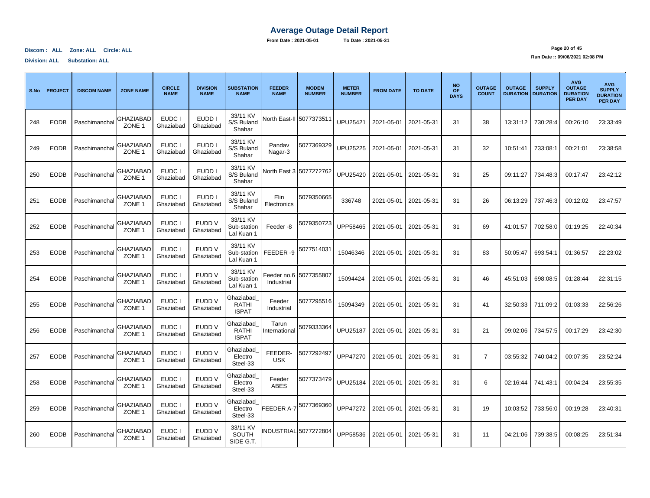**From Date : 2021-05-01**

**To Date : 2021-05-31**

**Discom : ALL Zone: ALL Circle: ALL**

**Division: ALL Substation: ALL**

**Page 20 of 45**

| S.No | <b>PROJECT</b> | <b>DISCOM NAME</b> | <b>ZONE NAME</b>           | <b>CIRCLE</b><br><b>NAME</b> | <b>DIVISION</b><br><b>NAME</b> | <b>SUBSTATION</b><br><b>NAME</b>          | <b>FEEDER</b><br><b>NAME</b> | <b>MODEM</b><br><b>NUMBER</b> | <b>METER</b><br><b>NUMBER</b> | <b>FROM DATE</b>               | <b>TO DATE</b> | <b>NO</b><br>OF<br><b>DAYS</b> | <b>OUTAGE</b><br><b>COUNT</b> | <b>OUTAGE</b><br><b>DURATION DURATION</b> | <b>SUPPLY</b>         | <b>AVG</b><br><b>OUTAGE</b><br><b>DURATION</b><br><b>PER DAY</b> | <b>AVG</b><br><b>SUPPLY</b><br><b>DURATION</b><br><b>PER DAY</b> |
|------|----------------|--------------------|----------------------------|------------------------------|--------------------------------|-------------------------------------------|------------------------------|-------------------------------|-------------------------------|--------------------------------|----------------|--------------------------------|-------------------------------|-------------------------------------------|-----------------------|------------------------------------------------------------------|------------------------------------------------------------------|
| 248  | <b>EODB</b>    | Paschimanchal      | <b>GHAZIABAD</b><br>ZONE 1 | EUDC I<br>Ghaziabad          | EUDD I<br>Ghaziabad            | 33/11 KV<br>S/S Buland<br>Shahar          |                              | North East-II 5077373511      | <b>UPU25421</b>               | 2021-05-01                     | 2021-05-31     | 31                             | 38                            | 13:31:12                                  | 730:28:4              | 00:26:10                                                         | 23:33:49                                                         |
| 249  | <b>EODB</b>    | Paschimanchal      | <b>GHAZIABAD</b><br>ZONE 1 | EUDC I<br>Ghaziabad          | EUDD I<br>Ghaziabad            | 33/11 KV<br>S/S Buland<br>Shahar          | Pandav<br>Nagar-3            | 5077369329                    | <b>UPU25225</b>               | 2021-05-01                     | 2021-05-31     | 31                             | 32                            | 10:51:41                                  | 733:08:1              | 00:21:01                                                         | 23:38:58                                                         |
| 250  | <b>EODB</b>    | Paschimanchal      | <b>GHAZIABAD</b><br>ZONE 1 | EUDC I<br>Ghaziabad          | EUDD I<br>Ghaziabad            | 33/11 KV<br>S/S Buland<br>Shahar          |                              | North East 3 5077272762       | <b>UPU25420</b>               | 2021-05-01                     | 2021-05-31     | 31                             | 25                            | 09:11:27                                  | 734:48:3              | 00:17:47                                                         | 23:42:12                                                         |
| 251  | <b>EODB</b>    | Paschimanchal      | <b>GHAZIABAD</b><br>ZONE 1 | EUDC I<br>Ghaziabad          | EUDD I<br>Ghaziabad            | 33/11 KV<br>S/S Buland<br>Shahar          | Elin<br>Electronics          | 5079350665                    | 336748                        | 2021-05-01                     | 2021-05-31     | 31                             | 26                            | 06:13:29                                  | 737:46:3              | 00:12:02                                                         | 23:47:57                                                         |
| 252  | <b>EODB</b>    | Paschimanchal      | <b>GHAZIABAD</b><br>ZONE 1 | EUDC I<br>Ghaziabad          | EUDD V<br>Ghaziabad            | 33/11 KV<br>Sub-station<br>Lal Kuan 1     | Feeder-8                     | 5079350723                    | UPP58465                      | 2021-05-01                     | 2021-05-31     | 31                             | 69                            | 41:01:57                                  | 702:58:0              | 01:19:25                                                         | 22:40:34                                                         |
| 253  | <b>EODB</b>    | Paschimanchal      | <b>GHAZIABAD</b><br>ZONE 1 | EUDC I<br>Ghaziabad          | EUDD V<br>Ghaziabad            | 33/11 KV<br>Sub-station<br>Lal Kuan 1     | FEEDER-9                     | 5077514031                    | 15046346                      | 2021-05-01                     | 2021-05-31     | 31                             | 83                            | 50:05:47                                  | 693:54:1              | 01:36:57                                                         | 22:23:02                                                         |
| 254  | <b>EODB</b>    | Paschimanchal      | GHAZIABAD<br>ZONE 1        | EUDC I<br>Ghaziabad          | EUDD V<br>Ghaziabad            | 33/11 KV<br>Sub-station<br>Lal Kuan 1     | Industrial                   | Feeder no.6 5077355807        | 15094424                      | 2021-05-01                     | 2021-05-31     | 31                             | 46                            | 45:51:03                                  | 698:08:5              | 01:28:44                                                         | 22:31:15                                                         |
| 255  | <b>EODB</b>    | Paschimanchal      | <b>GHAZIABAD</b><br>ZONE 1 | EUDC I<br>Ghaziabad          | EUDD V<br>Ghaziabad            | Ghaziabad<br><b>RATHI</b><br><b>ISPAT</b> | Feeder<br>Industrial         | 5077295516                    | 15094349                      | 2021-05-01 2021-05-31          |                | 31                             | 41                            | 32:50:33                                  | 711:09:2              | 01:03:33                                                         | 22:56:26                                                         |
| 256  | <b>EODB</b>    | Paschimanchal      | <b>GHAZIABAD</b><br>ZONE 1 | EUDC I<br>Ghaziabad          | EUDD V<br>Ghaziabad            | Ghaziabad<br><b>RATHI</b><br><b>ISPAT</b> | Tarun<br>International       | 5079333364                    | <b>UPU25187</b>               | 2021-05-01   2021-05-31        |                | 31                             | 21                            | 09:02:06                                  | 734:57:5              | 00:17:29                                                         | 23:42:30                                                         |
| 257  | <b>EODB</b>    | Paschimanchal      | GHAZIABAD<br>ZONE 1        | EUDC I<br>Ghaziabad          | EUDD V<br>Ghaziabad            | Ghaziabad<br>Electro<br>Steel-33          | FEEDER-<br><b>USK</b>        | 5077292497                    |                               | UPP47270 2021-05-01 2021-05-31 |                | 31                             | $\overline{7}$                |                                           | 03:55:32   740:04:2   | 00:07:35                                                         | 23:52:24                                                         |
| 258  | <b>EODB</b>    | Paschimanchal      | GHAZIABAD<br>ZONE 1        | EUDC I<br>Ghaziabad          | EUDD V<br>Ghaziabad            | Ghaziabad<br>Electro<br>Steel-33          | Feeder<br><b>ABES</b>        | 5077373479                    |                               | UPU25184 2021-05-01 2021-05-31 |                | 31                             | 6                             |                                           | $02:16:44$   741:43:1 | 00:04:24                                                         | 23:55:35                                                         |
| 259  | <b>EODB</b>    | Paschimanchal      | GHAZIABAD<br>ZONE 1        | EUDC I<br>Ghaziabad          | EUDD V<br>Ghaziabad            | Ghaziabad<br>Electro<br>Steel-33          |                              | FEEDER A-7 5077369360         |                               | UPP47272 2021-05-01 2021-05-31 |                | 31                             | 19                            | 10:03:52                                  | 733:56:0              | 00:19:28                                                         | 23:40:31                                                         |
| 260  | <b>EODB</b>    | Paschimanchal      | GHAZIABAD  <br>ZONE 1      | EUDC I<br>Ghaziabad          | EUDD V<br>Ghaziabad            | 33/11 KV<br>SOUTH<br>SIDE G.T.            |                              | INDUSTRIAL 5077272804         |                               | UPP58536 2021-05-01 2021-05-31 |                | 31                             | 11                            |                                           | 04:21:06   739:38:5   | 00:08:25                                                         | 23:51:34                                                         |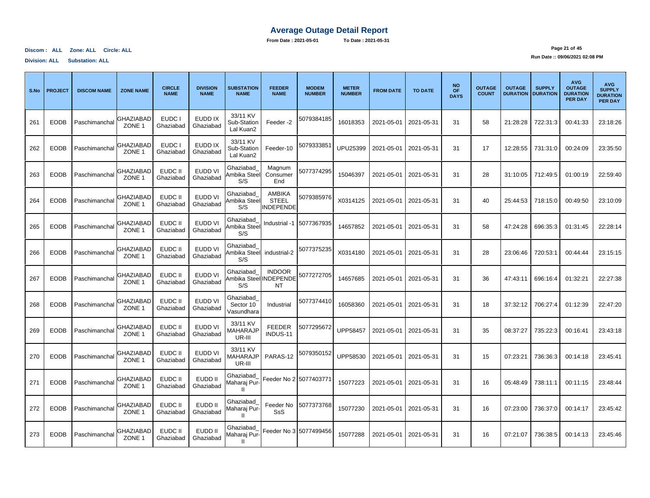**From Date : 2021-05-01**

**To Date : 2021-05-31**

**Discom : ALL Zone: ALL Circle: ALL**

**Division: ALL Substation: ALL**

**Page 21 of 45**

| S.No | <b>PROJECT</b> | <b>DISCOM NAME</b>      | <b>ZONE NAME</b>           | <b>CIRCLE</b><br><b>NAME</b> | <b>DIVISION</b><br><b>NAME</b> | <b>SUBSTATION</b><br><b>NAME</b>      | <b>FEEDER</b><br><b>NAME</b>               | <b>MODEM</b><br><b>NUMBER</b>                                        | <b>METER</b><br><b>NUMBER</b> | <b>FROM DATE</b>                   | <b>TO DATE</b>    | $\overline{OC}$<br><b>DAYS</b> | <b>OUTAGE</b><br><b>COUNT</b> | <b>OUTAGE</b><br><b>DURATION</b> | <b>SUPPLY</b><br><b>DURATION</b> | <b>AVG</b><br><b>OUTAGE</b><br><b>DURATION</b><br><b>PER DAY</b> | <b>AVG</b><br><b>SUPPLY</b><br><b>DURATION</b><br><b>PER DAY</b> |
|------|----------------|-------------------------|----------------------------|------------------------------|--------------------------------|---------------------------------------|--------------------------------------------|----------------------------------------------------------------------|-------------------------------|------------------------------------|-------------------|--------------------------------|-------------------------------|----------------------------------|----------------------------------|------------------------------------------------------------------|------------------------------------------------------------------|
| 261  | EODB           | Paschimanchal           | <b>GHAZIABAD</b><br>ZONE 1 | EUDC I<br>Ghaziabad          | EUDD IX<br>Ghaziabad           | 33/11 KV<br>Sub-Station<br>Lal Kuan2  | Feeder -2                                  | 5079384185                                                           | 16018353                      | 2021-05-01 2021-05-31              |                   | 31                             | 58                            | 21:28:28                         | 722:31:3                         | 00:41:33                                                         | 23:18:26                                                         |
| 262  | EODB           | Paschimanchal GHAZIABAD | ZONE 1                     | EUDC I<br>Ghaziabad          | EUDD IX<br>Ghaziabad           | 33/11 KV<br>Sub-Station<br>Lal Kuan2  | Feeder-10                                  | 5079333851                                                           |                               | UPU25399 2021-05-01 2021-05-31     |                   | 31                             | 17                            | 12:28:55                         | 731:31:0                         | 00:24:09                                                         | 23:35:50                                                         |
| 263  | <b>EODB</b>    | Paschimanchal           | GHAZIABAD                  | <b>EUDC II</b><br>Ghaziabad  | EUDD VI<br>Ghaziabad           | Ghaziabad_<br>Ambika Steel<br>S/S     | Magnum<br>Consumer<br>End                  | 5077374295                                                           | 15046397                      | 2021-05-01                         | $ 2021 - 05 - 31$ | 31                             | 28                            | 31:10:05                         | 712:49:5                         | 01:00:19                                                         | 22:59:40                                                         |
| 264  | EODB           | Paschimanchal           | GHAZIABAD<br>ZONE 1        | EUDC II<br>Ghaziabad         | EUDD VI<br>Ghaziabad           | Ghaziabad<br>Ambika Steel<br>S/S      | AMBIKA<br><b>STEEL</b><br><b>INDEPENDE</b> | 5079385976                                                           | X0314125                      | 2021-05-01 2021-05-31              |                   | 31                             | 40                            | 25:44:53                         | 718:15:0                         | 00:49:50                                                         | 23:10:09                                                         |
| 265  | EODB           | Paschimanchal GHAZIABAD | ZONE 1                     | <b>EUDC II</b><br>Ghaziabad  | EUDD VI<br>Ghaziabad           | Ghaziabad_<br>Ambika Steel<br>S/S     |                                            | Industrial -1   5077367935                                           | 14657852                      | 2021-05-01 2021-05-31              |                   | 31                             | 58                            | 47:24:28                         | 696:35:3                         | 01:31:45                                                         | 22:28:14                                                         |
| 266  | <b>EODB</b>    | Paschimanchal           | GHAZIABAD<br>ZONE 1        | EUDC II<br>Ghaziabad         | EUDD VI<br>Ghaziabad           | Ghaziabad<br>Ambika Steel<br>S/S      |                                            | $\begin{bmatrix} 1 & \text{industrial-2} & 5077375235 \end{bmatrix}$ |                               | X0314180 2021-05-01                | 2021-05-31        | 31                             | 28                            | 23:06:46                         | 720:53:1                         | 00:44:44                                                         | 23:15:15                                                         |
| 267  | EODB           | Paschimanchal           | GHAZIABAD<br>ZONE 1        | EUDC II<br>Ghaziabad         | EUDD VI<br>Ghaziabad           | S/S                                   | <b>INDOOR</b><br><b>NT</b>                 | Ambika Steel INDEPENDE 5077272705                                    | 14657685                      | 2021-05-01 2021-05-31              |                   | 31                             | 36                            | 47:43:11                         | 696:16:4                         | 01:32:21                                                         | 22:27:38                                                         |
| 268  | EODB           | Paschimanchal GHAZIABAD | ZONE 1                     | <b>EUDC II</b><br>Ghaziabad  | EUDD VI<br>Ghaziabad           | Ghaziabad_<br>Sector 10<br>Vasundhara | Industrial                                 | 5077374410                                                           | 16058360                      | 2021-05-01 2021-05-31              |                   | 31                             | 18                            | 37:32:12                         | 706:27:4                         | 01:12:39                                                         | 22:47:20                                                         |
| 269  | EODB           | Paschimanchal GHAZIABAD |                            | EUDC II<br>Ghaziabad         | EUDD VI<br>Ghaziabad           | 33/11 KV<br>MAHARAJP<br>UR-III        | INDUS-11                                   | FEEDER   5077295672                                                  | <b>UPP58457</b>               | 2021-05-01 2021-05-31              |                   | 31                             | 35                            | 08:37:27                         | 735:22:3                         | 00:16:41                                                         | 23:43:18                                                         |
| 270  | <b>EODB</b>    | Paschimanchal           | <b>GHAZIABAD</b><br>ZONE 1 | EUDC II<br>Ghaziabad         | EUDD VI<br>Ghaziabad           | 33/11 KV<br>MAHARAJP<br>UR-III        | PARAS-12                                   | 5079350152                                                           |                               | UPP58530   2021-05-01   2021-05-31 |                   | 31                             | 15                            | 07:23:21                         | 736:36:3                         | 00:14:18                                                         | 23:45:41                                                         |
| 271  | <b>EODB</b>    | Paschimanchal           | <b>GHAZIABAD</b><br>ZONE 1 | EUDC II<br>Ghaziabad         | EUDD II<br>Ghaziabad           | Ghaziabad_<br>Maharaj Pur-            | Feeder No 2 5077403771                     |                                                                      | 15077223                      | 2021-05-01   2021-05-31            |                   | 31                             | 16                            | 05:48:49                         | 738:11:1                         | 00:11:15                                                         | 23:48:44                                                         |
| 272  | EODB           | Paschimanchal           | GHAZIABAD<br>ZONE 1        | EUDC II<br>Ghaziabad         | EUDD II<br>Ghaziabad           | Ghaziabad_<br>Maharaj Pur-            | <b>SsS</b>                                 | Feeder No   5077373768                                               | 15077230                      | 2021-05-01 2021-05-31              |                   | 31                             | 16                            | 07:23:00                         | 736:37:0                         | 00:14:17                                                         | 23:45:42                                                         |
| 273  | <b>EODB</b>    | Paschimanchal           | <b>GHAZIABAD</b><br>ZONE 1 | EUDC II<br>Ghaziabad         | EUDD II<br>Ghaziabad           | Ghaziabad_<br>Maharaj Pur-            |                                            | Feeder No 3 5077499456                                               | 15077288                      | 2021-05-01 2021-05-31              |                   | 31                             | 16                            | 07:21:07                         | 736:38:5                         | 00:14:13                                                         | 23:45:46                                                         |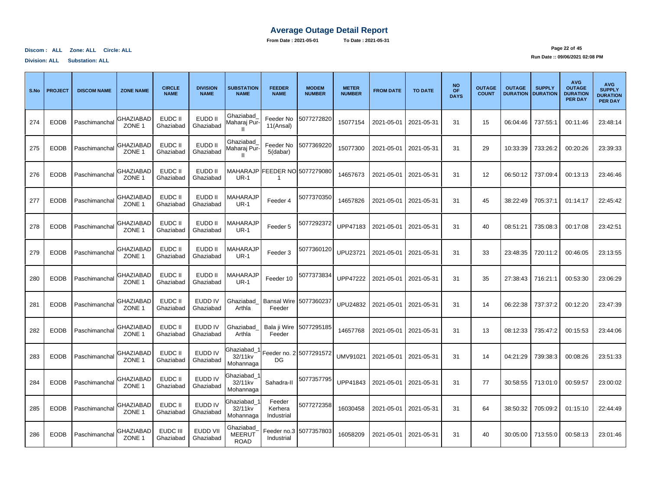**From Date : 2021-05-01**

**To Date : 2021-05-31**

**Discom : ALL Zone: ALL Circle: ALL**

**Division: ALL Substation: ALL**

**Page 22 of 45**

| S.No | <b>PROJECT</b> | <b>DISCOM NAME</b> | <b>ZONE NAME</b>           | <b>CIRCLE</b><br><b>NAME</b> | <b>DIVISION</b><br><b>NAME</b> | <b>SUBSTATION</b><br><b>NAME</b>                | <b>FEEDER</b><br><b>NAME</b>                    | <b>MODEM</b><br><b>NUMBER</b>                  | <b>METER</b><br><b>NUMBER</b> | <b>FROM DATE</b>               | <b>TO DATE</b>    | <b>NO</b><br>OF<br><b>DAYS</b> | <b>OUTAGE</b><br><b>COUNT</b> | <b>OUTAGE</b><br><b>DURATION DURATION</b> | <b>SUPPLY</b>       | <b>AVG</b><br><b>OUTAGE</b><br><b>DURATION</b><br><b>PER DAY</b> | <b>AVG</b><br><b>SUPPLY</b><br><b>DURATION</b><br><b>PER DAY</b> |
|------|----------------|--------------------|----------------------------|------------------------------|--------------------------------|-------------------------------------------------|-------------------------------------------------|------------------------------------------------|-------------------------------|--------------------------------|-------------------|--------------------------------|-------------------------------|-------------------------------------------|---------------------|------------------------------------------------------------------|------------------------------------------------------------------|
| 274  | <b>EODB</b>    | Paschimanchal      | GHAZIABAD<br>ZONE 1        | EUDC II<br>Ghaziabad         | EUDD II<br>Ghaziabad           | Ghaziabad_<br>Maharaj Pur-                      | 11(Ansal)                                       | Feeder No   5077272820                         | 15077154                      | 2021-05-01 2021-05-31          |                   | 31                             | 15                            | 06:04:46                                  | 737:55:1            | 00:11:46                                                         | 23:48:14                                                         |
| 275  | <b>EODB</b>    | Paschimanchal      | <b>GHAZIABAD</b><br>ZONE 1 | EUDC II<br>Ghaziabad         | EUDD II<br>Ghaziabad           | Ghaziabad<br>Maharaj Pur-<br>$\mathbf{II}$      | 5(dabar)                                        | Feeder No   5077369220                         | 15077300                      | 2021-05-01 2021-05-31          |                   | 31                             | 29                            | 10:33:39                                  | 733:26:2            | 00:20:26                                                         | 23:39:33                                                         |
| 276  | <b>EODB</b>    | Paschimanchal      | GHAZIABAD<br>ZONE 1        | EUDC II<br>Ghaziabad         | EUDD II<br>Ghaziabad           | <b>UR-1</b>                                     | MAHARAJP FEEDER NO 5077279080<br>$\overline{1}$ |                                                | 14657673                      | 2021-05-01                     | $ 2021 - 05 - 31$ | 31                             | 12                            | 06:50:12                                  | 737:09:4            | 00:13:13                                                         | 23:46:46                                                         |
| 277  | <b>EODB</b>    | Paschimanchal      | GHAZIABAD<br>ZONE 1        | EUDC II<br>Ghaziabad         | EUDD II<br>Ghaziabad           | <b>MAHARAJP</b><br><b>UR-1</b>                  | Feeder 4                                        | 5077370350                                     | 14657826                      | 2021-05-01                     | $ 2021 - 05 - 31$ | 31                             | 45                            | 38:22:49                                  | 705:37:1            | 01:14:17                                                         | 22:45:42                                                         |
| 278  | <b>EODB</b>    | Paschimanchal      | GHAZIABAD<br>ZONE 1        | EUDC II<br>Ghaziabad         | EUDD II<br>Ghaziabad           | <b>MAHARAJP</b><br><b>UR-1</b>                  | Feeder 5                                        | 5077292372                                     |                               | UPP47183 2021-05-01 2021-05-31 |                   | 31                             | 40                            | 08:51:21                                  | 735:08:3            | 00:17:08                                                         | 23:42:51                                                         |
| 279  | <b>EODB</b>    | Paschimanchal      | GHAZIABAD<br>ZONE 1        | EUDC II<br>Ghaziabad         | EUDD II<br>Ghaziabad           | MAHARAJP<br><b>UR-1</b>                         | Feeder 3                                        | 5077360120  UPU23721   2021-05-01   2021-05-31 |                               |                                |                   | 31                             | 33                            | 23:48:35                                  | 720:11:2            | 00:46:05                                                         | 23:13:55                                                         |
| 280  | <b>EODB</b>    | Paschimanchal      | GHAZIABAD<br>ZONE 1        | EUDC II<br>Ghaziabad         | EUDD II<br>Ghaziabad           | <b>MAHARAJP</b><br>$UR-1$                       | Feeder 10                                       | 5077373834                                     | UPP47222                      | 2021-05-01                     | $ 2021 - 05 - 31$ | 31                             | 35                            |                                           | 27:38:43   716:21:1 | 00:53:30                                                         | 23:06:29                                                         |
| 281  | <b>EODB</b>    | Paschimanchal      | GHAZIABAD<br>ZONE 1        | EUDC II<br>Ghaziabad         | EUDD IV<br>Ghaziabad           | Ghaziabad_<br>Arthla                            | Bansal Wire 5077360237<br>Feeder                |                                                | UPU24832                      | 2021-05-01 2021-05-31          |                   | 31                             | 14                            | 06:22:38                                  | 737:37:2            | 00:12:20                                                         | 23:47:39                                                         |
| 282  | <b>EODB</b>    | Paschimanchal      | GHAZIABAD<br>ZONE 1        | EUDC II<br>Ghaziabad         | EUDD IV<br>Ghaziabad           | Ghaziabad_<br>Arthla                            | Feeder                                          | Bala ji Wire   5077295185                      | 14657768                      | 2021-05-01 2021-05-31          |                   | 31                             | 13                            | 08:12:33                                  | 735:47:2            | 00:15:53                                                         | 23:44:06                                                         |
| 283  | <b>EODB</b>    | Paschimanchal      | GHAZIABAD<br>ZONE 1        | EUDC II<br>Ghaziabad         | EUDD IV<br>Ghaziabad           | 32/11kv<br>Mohannaga                            | DG                                              | Ghaziabad_1 Feeder no. 2 5077291572            | <b>UMV91021</b>               | 2021-05-01 2021-05-31          |                   | 31                             | 14                            | 04:21:29                                  | 739:38:3            | 00:08:26                                                         | 23:51:33                                                         |
| 284  | <b>EODB</b>    | Paschimanchal      | GHAZIABAD<br>ZONE 1        | EUDC II<br>Ghaziabad         | EUDD IV<br>Ghaziabad           | Ghaziabad_ <sup>.</sup><br>32/11kv<br>Mohannaga | Sahadra-II                                      | 5077357795                                     | UPP41843                      | 2021-05-01 2021-05-31          |                   | 31                             | 77                            | 30:58:55                                  | 713:01:0            | 00:59:57                                                         | 23:00:02                                                         |
| 285  | <b>EODB</b>    | Paschimanchal      | GHAZIABAD<br>ZONE 1        | EUDC II<br>Ghaziabad         | EUDD IV<br>Ghaziabad           | Ghaziabad_ <sup>.</sup><br>32/11kv<br>Mohannaga | Feeder<br>Kerhera<br>Industrial                 | 5077272358                                     | 16030458                      | 2021-05-01 2021-05-31          |                   | 31                             | 64                            | 38:50:32                                  | 705:09:2            | 01:15:10                                                         | 22:44:49                                                         |
| 286  | <b>EODB</b>    | Paschimanchal      | GHAZIABAD<br>ZONE 1        | EUDC III<br>Ghaziabad        | EUDD VII<br>Ghaziabad          | Ghaziabad<br>MEERUT<br><b>ROAD</b>              | Industrial                                      | Feeder no.3 5077357803                         | 16058209                      | 2021-05-01 2021-05-31          |                   | 31                             | 40                            | 30:05:00                                  | 713:55:0            | 00:58:13                                                         | 23:01:46                                                         |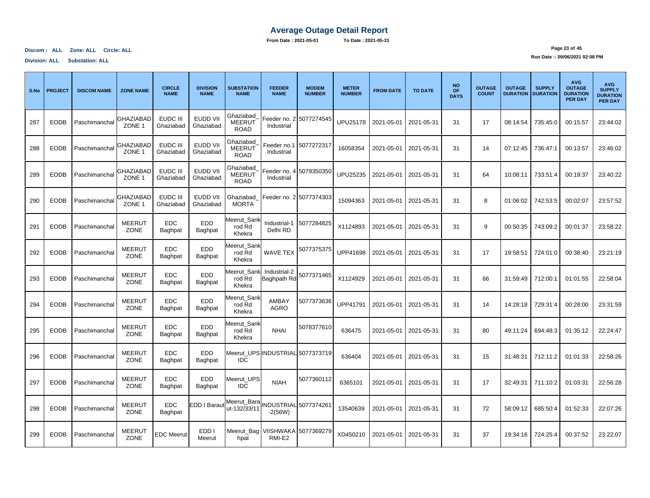**From Date : 2021-05-01**

**To Date : 2021-05-31**

**Discom : ALL Zone: ALL Circle: ALL**

**Division: ALL Substation: ALL**

**Page 23 of 45**

| S.No | <b>PROJECT</b> | <b>DISCOM NAME</b> | <b>ZONE NAME</b>             | <b>CIRCLE</b><br><b>NAME</b> | <b>DIVISION</b><br><b>NAME</b>                  | <b>SUBSTATION</b><br><b>NAME</b>                       | <b>FEEDER</b><br><b>NAME</b>              | <b>MODEM</b><br><b>NUMBER</b>    | <b>METER</b><br><b>NUMBER</b> | <b>FROM DATE</b>                   | <b>TO DATE</b>        | <b>NO</b><br><b>OF</b><br><b>DAYS</b> | <b>OUTAGE</b><br><b>COUNT</b> | <b>OUTAGE</b><br><b>DURATION</b> | <b>SUPPLY</b><br><b>DURATION</b> | <b>AVG</b><br><b>OUTAGE</b><br><b>DURATION</b><br><b>PER DAY</b> | <b>AVG</b><br><b>SUPPLY</b><br><b>DURATION</b><br><b>PER DAY</b> |
|------|----------------|--------------------|------------------------------|------------------------------|-------------------------------------------------|--------------------------------------------------------|-------------------------------------------|----------------------------------|-------------------------------|------------------------------------|-----------------------|---------------------------------------|-------------------------------|----------------------------------|----------------------------------|------------------------------------------------------------------|------------------------------------------------------------------|
| 287  | <b>EODB</b>    | Paschimanchal      | <b>GHAZIABAD</b><br>ZONE 1   | EUDC III<br>Ghaziabad        | <b>EUDD VII</b><br>Ghaziabad                    | Ghaziabad <sub>-</sub><br><b>MEERUT</b><br><b>ROAD</b> | Industrial                                | Feeder no. 2 5077274545          |                               | UPU25178 2021-05-01 2021-05-31     |                       | 31                                    | 17                            | 08:14:54                         | 735:45:0                         | 00:15:57                                                         | 23:44:02                                                         |
| 288  | <b>EODB</b>    | Paschimanchal      | GHAZIABAD<br>ZONE 1          | EUDC III<br>Ghaziabad        | EUDD VII<br>Ghaziabad                           | Ghaziabad<br><b>MEERUT</b><br><b>ROAD</b>              | Industrial                                | Feeder no.1   5077272317         | 16058354                      | 2021-05-01 2021-05-31              |                       | 31                                    | 14                            | 07:12:45                         | 736:47:1                         | 00:13:57                                                         | 23:46:02                                                         |
| 289  | EODB           | Paschimanchal      | GHAZIABAD<br>ZONE 1          | EUDC III<br>Ghaziabad        | EUDD VII<br>Ghaziabad                           | Ghaziabad<br><b>MEERUT</b><br><b>ROAD</b>              | Industrial                                | Feeder no. 4 5079350350          | <b>UPU25235</b>               | 2021-05-01                         | $ 2021 - 05 - 31$     | 31                                    | 64                            | 10:08:11                         | 733:51:4                         | 00:19:37                                                         | 23:40:22                                                         |
| 290  | <b>EODB</b>    | Paschimanchal      | <b>GHAZIABAD</b><br>ZONE 1   | EUDC III<br>Ghaziabad        | EUDD VII<br>Ghaziabad                           | <b>MORTA</b>                                           | Ghaziabad_   Feeder no. 2   5077374303    |                                  | 15094363                      | 2021-05-01   2021-05-31            |                       | 31                                    | 8                             | 01:06:02                         | 742:53:5                         | 00:02:07                                                         | 23:57:52                                                         |
| 291  | <b>EODB</b>    | Paschimanchal      | <b>MEERUT</b><br><b>ZONE</b> | <b>EDC</b><br>Baghpat        | <b>EDD</b><br>Baghpat                           | Meerut_Sank<br>rod Rd<br>Khekra                        | Delhi RD                                  | Industrial-1   5077284825        | X1124893                      | 2021-05-01 2021-05-31              |                       | 31                                    | 9                             | 00:50:35                         | 743:09:2                         | 00:01:37                                                         | 23:58:22                                                         |
| 292  | <b>EODB</b>    | Paschimanchal      | <b>MEERUT</b><br><b>ZONE</b> | <b>EDC</b><br>Baghpat        | <b>EDD</b><br><b>Baghpat</b>                    | Meerut_Sank<br>rod Rd<br>Khekra                        |                                           | WAVE TEX   5077375375            | <b>UPP41698</b>               | 2021-05-01                         | 2021-05-31            | 31                                    | 17                            | 19:58:51                         | 724:01:0                         | 00:38:40                                                         | 23:21:19                                                         |
| 293  | <b>EODB</b>    | Paschimanchal      | <b>MEERUT</b><br>ZONE        | <b>EDC</b><br>Baghpat        | <b>EDD</b><br>Baghpat                           | rod Rd<br>Khekra                                       | Meerut_Sank Industrial-2                  | Baghpath Rd 5077371465           | X1124929                      | 2021-05-01                         | $ 2021 - 05 - 31$     | 31                                    | 66                            | 31:59:49                         | 712:00:1                         | 01:01:55                                                         | 22:58:04                                                         |
| 294  | <b>EODB</b>    | Paschimanchal      | <b>MEERUT</b><br><b>ZONE</b> | <b>EDC</b><br>Baghpat        | <b>EDD</b><br>Baghpat                           | Meerut_Sank<br>rod Rd<br>Khekra                        | <b>AMBAY</b><br><b>AGRO</b>               | 5077373636                       | <b>UPP41791</b>               | 2021-05-01 2021-05-31              |                       | 31                                    | 14                            | 14:28:18                         | 729:31:4                         | 00:28:00                                                         | 23:31:59                                                         |
| 295  | <b>EODB</b>    | Paschimanchal      | <b>MEERUT</b><br>ZONE        | <b>EDC</b><br>Baghpat        | <b>EDD</b><br>Baghpat                           | Meerut_Sank<br>rod Rd<br>Khekra                        | <b>NHAI</b>                               | 5078377610                       | 636475                        | 2021-05-01   2021-05-31            |                       | 31                                    | 80                            | 49:11:24                         | 694:48:3                         | 01:35:12                                                         | 22:24:47                                                         |
| 296  | <b>EODB</b>    | Paschimanchal      | <b>MEERUT</b><br>ZONE        | <b>EDC</b><br>Baghpat        | <b>EDD</b><br>Baghpat                           | <b>IDC</b>                                             |                                           | Meerut UPS INDUSTRIAL 5077373719 | 636404                        | 2021-05-01 2021-05-31              |                       | 31                                    | 15                            | 31:48:31                         | 712:11:2                         | 01:01:33                                                         | 22:58:26                                                         |
| 297  | <b>EODB</b>    | Paschimanchal      | <b>MEERUT</b><br>ZONE        | <b>EDC</b><br>Baghpat        | <b>EDD</b><br>Baghpat                           | Meerut_UPS<br><b>IDC</b>                               | <b>NIAH</b>                               | 5077360112                       | 6365101                       |                                    | 2021-05-01 2021-05-31 | 31                                    | 17                            | 32:49:31                         | 711:10:2                         | 01:03:31                                                         | 22:56:28                                                         |
| 298  | <b>EODB</b>    | Paschimanchal      | <b>MEERUT</b><br>ZONE        | <b>EDC</b><br>Baghpat        | EDD I Baraut Meerut_Bara<br>ut-132/33/11 2/66W) |                                                        | $-2(56W)$                                 |                                  | 13540639                      |                                    | 2021-05-01 2021-05-31 | 31                                    | 72                            | 58:09:12                         | 685:50:4                         | 01:52:33                                                         | 22:07:26                                                         |
| 299  | <b>EODB</b>    | Paschimanchal      | <b>MEERUT</b><br>ZONE        | <b>EDC Meerut</b>            | EDD I<br>Meerut                                 | hpat                                                   | Meerut_Bag VIISHWAKA 5077369279<br>RMI-E2 |                                  |                               | XD450210   2021-05-01   2021-05-31 |                       | 31                                    | 37                            | 19:34:16                         | 724:25:4                         | 00:37:52                                                         | 23:22:07                                                         |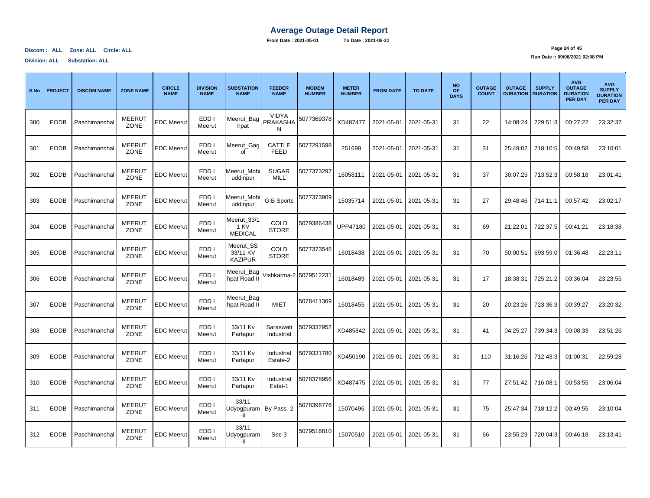**From Date : 2021-05-01**

**To Date : 2021-05-31**

**Discom : ALL Zone: ALL Circle: ALL**

**Division: ALL Substation: ALL**

**Page 24 of 45**

| S.No | <b>PROJECT</b> | <b>DISCOM NAME</b> | <b>ZONE NAME</b>             | <b>CIRCLE</b><br><b>NAME</b> | <b>DIVISION</b><br><b>NAME</b> | <b>SUBSTATION</b><br><b>NAME</b>           | <b>FEEDER</b><br><b>NAME</b> | <b>MODEM</b><br><b>NUMBER</b> | <b>METER</b><br><b>NUMBER</b> | <b>FROM DATE</b>                   | <b>TO DATE</b> | <b>NO</b><br>OF<br><b>DAYS</b> | <b>OUTAGE</b><br><b>COUNT</b> | <b>OUTAGE</b><br><b>DURATION</b> | <b>SUPPLY</b><br><b>DURATION</b> | <b>AVG</b><br><b>OUTAGE</b><br><b>DURATION</b><br><b>PER DAY</b> | <b>AVG</b><br><b>SUPPLY</b><br><b>DURATION</b><br><b>PER DAY</b> |
|------|----------------|--------------------|------------------------------|------------------------------|--------------------------------|--------------------------------------------|------------------------------|-------------------------------|-------------------------------|------------------------------------|----------------|--------------------------------|-------------------------------|----------------------------------|----------------------------------|------------------------------------------------------------------|------------------------------------------------------------------|
| 300  | <b>EODB</b>    | Paschimanchal      | <b>MEERUT</b><br><b>ZONE</b> | <b>EDC Meerut</b>            | EDD I<br>Meerut                | Meerut_Bag   PRAKASHA <sup> </sup><br>hpat | <b>VIDYA</b><br>$\mathsf{N}$ | 5077369378                    | XD487477                      | 2021-05-01                         | 2021-05-31     | 31                             | 22                            | 14:08:24                         | 729:51:3                         | 00:27:22                                                         | 23:32:37                                                         |
| 301  | <b>EODB</b>    | Paschimanchal      | <b>MEERUT</b><br><b>ZONE</b> | <b>EDC Meerut</b>            | EDD I<br>Meerut                | Meerut_Gag<br>0l                           | <b>CATTLE</b><br><b>FEED</b> | 5077291598                    | 251699                        | 2021-05-01                         | 2021-05-31     | 31                             | 31                            | 25:49:02                         | 718:10:5                         | 00:49:58                                                         | 23:10:01                                                         |
| 302  | <b>EODB</b>    | Paschimanchal      | <b>MEERUT</b><br>ZONE        | <b>EDC Meerut</b>            | EDD I<br>Meerut                | Meerut_Mohi<br>uddinpur                    | <b>SUGAR</b><br><b>MILL</b>  | 5077373297                    | 16058111                      | 2021-05-01                         | 2021-05-31     | 31                             | 37                            | 30:07:25                         | 713:52:3                         | 00:58:18                                                         | 23:01:41                                                         |
| 303  | <b>EODB</b>    | Paschimanchal      | <b>MEERUT</b><br><b>ZONE</b> | <b>EDC Meerut</b>            | EDD I<br>Meerut                | Meerut_Mohi<br>uddinpur                    | G B Sports                   | 5077373909                    | 15035714                      | 2021-05-01                         | 2021-05-31     | 31                             | 27                            | 29:48:46                         | 714:11:1                         | 00:57:42                                                         | 23:02:17                                                         |
| 304  | <b>EODB</b>    | Paschimanchal      | <b>MEERUT</b><br><b>ZONE</b> | <b>EDC Meerut</b>            | EDD I<br>Meerut                | Meerut_33/1<br>1 KV<br><b>MEDICAL</b>      | <b>COLD</b><br><b>STORE</b>  | 5079386438                    | UPP47180                      | 2021-05-01                         | 2021-05-31     | 31                             | 69                            | 21:22:01                         | 722:37:5                         | 00:41:21                                                         | 23:18:38                                                         |
| 305  | <b>EODB</b>    | Paschimanchal      | <b>MEERUT</b><br>ZONE        | <b>EDC Meerut</b>            | EDD I<br>Meerut                | Meerut_SS<br>33/11 KV<br><b>KAZIPUR</b>    | <b>COLD</b><br><b>STORE</b>  | 5077373545                    | 16018438                      | 2021-05-01                         | 2021-05-31     | 31                             | 70                            | 50:00:51                         | 693:59:0                         | 01:36:48                                                         | 22:23:11                                                         |
| 306  | <b>EODB</b>    | Paschimanchal      | <b>MEERUT</b><br><b>ZONE</b> | <b>EDC Meerut</b>            | EDD I<br>Meerut                | Meerut_Bag<br>hpat Road II                 | Vishkarma-2 5079512231       |                               | 16018489                      | 2021-05-01                         | 2021-05-31     | 31                             | 17                            | 18:38:31                         | 725:21:2                         | 00:36:04                                                         | 23:23:55                                                         |
| 307  | <b>EODB</b>    | Paschimanchal      | <b>MEERUT</b><br><b>ZONE</b> | <b>EDC Meerut</b>            | EDD I<br>Meerut                | Meerut_Bag<br>hpat Road II                 | <b>MIET</b>                  | 5078411369                    | 16018455                      | 2021-05-01                         | 2021-05-31     | 31                             | 20                            | 20:23:26                         | 723:36:3                         | 00:39:27                                                         | 23:20:32                                                         |
| 308  | <b>EODB</b>    | Paschimanchal      | <b>MEERUT</b><br>ZONE        | <b>EDC</b> Meerut            | EDD I<br>Meerut                | 33/11 Kv<br>Partapur                       | Saraswati<br>Industrial      | 5079332952                    | XD485842                      | 2021-05-01                         | 2021-05-31     | 31                             | 41                            | 04:25:27                         | 739:34:3                         | 00:08:33                                                         | 23:51:26                                                         |
| 309  | <b>EODB</b>    | Paschimanchal      | <b>MEERUT</b><br>ZONE        | <b>EDC</b> Meerut            | EDD I<br>Meerut                | 33/11 Kv<br>Partapur                       | Industrial<br>Estate-2       | 5079331780                    |                               | XD450190   2021-05-01   2021-05-31 |                | 31                             | 110                           | 31:16:26                         | 712:43:3                         | 01:00:31                                                         | 22:59:28                                                         |
| 310  | <b>EODB</b>    | Paschimanchal      | <b>MEERUT</b><br>ZONE        | <b>EDC Meerut</b>            | EDD I<br>Meerut                | 33/11 Kv<br>Partapur                       | Industrial<br>Estat-1        | 5078378956                    | XD487475                      | 2021-05-01 2021-05-31              |                | 31                             | 77                            | 27:51:42   716:08:1              |                                  | 00:53:55                                                         | 23:06:04                                                         |
| 311  | <b>EODB</b>    | Paschimanchal      | <b>MEERUT</b><br>ZONE        | <b>EDC</b> Meerut            | EDD I<br>Meerut                | 33/11<br>Udyogpuram<br>-11                 | By Pass -2                   | 5078396776                    | 15070496                      | 2021-05-01 2021-05-31              |                | 31                             | 75                            | 25:47:34                         | 718:12:2                         | 00:49:55                                                         | 23:10:04                                                         |
| 312  | <b>EODB</b>    | Paschimanchal      | <b>MEERUT</b><br>ZONE        | <b>EDC</b> Meerut            | EDD I<br>Meerut                | 33/11<br>Udyogpuram<br>-11                 | Sec-3                        | 5079516810                    | 15070510                      | 2021-05-01 2021-05-31              |                | 31                             | 66                            | 23:55:29                         | 720:04:3                         | 00:46:18                                                         | 23:13:41                                                         |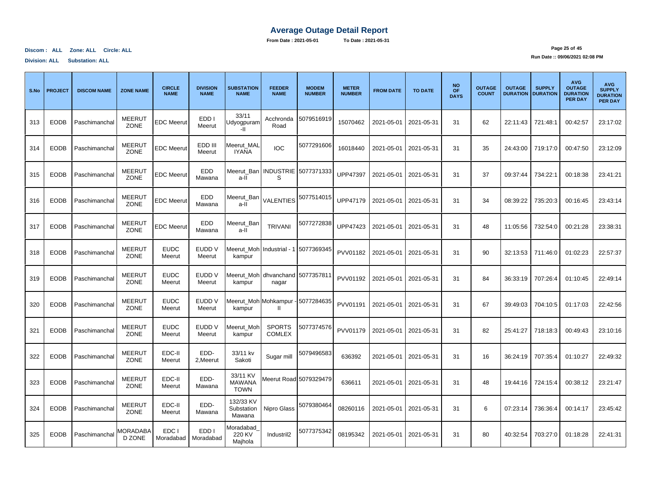**From Date : 2021-05-01**

**To Date : 2021-05-31**

**Discom : ALL Zone: ALL Circle: ALL**

**Division: ALL Substation: ALL**

**Page 25 of 45**

| S.No | <b>PROJECT</b> | <b>DISCOM NAME</b> | <b>ZONE NAME</b>             | <b>CIRCLE</b><br><b>NAME</b> | <b>DIVISION</b><br><b>NAME</b> | <b>SUBSTATION</b><br><b>NAME</b>             | <b>FEEDER</b><br><b>NAME</b>           | <b>MODEM</b><br><b>NUMBER</b>       | <b>METER</b><br><b>NUMBER</b> | <b>FROM DATE</b>      | <b>TO DATE</b>          | <b>NO</b><br><b>OF</b><br><b>DAYS</b> | <b>OUTAGE</b><br><b>COUNT</b> | <b>OUTAGE</b><br><b>DURATION</b> | <b>SUPPLY</b><br><b>DURATION</b> | <b>AVG</b><br><b>OUTAGE</b><br><b>DURATION</b><br><b>PER DAY</b> | <b>AVG</b><br><b>SUPPLY</b><br><b>DURATION</b><br><b>PER DAY</b> |
|------|----------------|--------------------|------------------------------|------------------------------|--------------------------------|----------------------------------------------|----------------------------------------|-------------------------------------|-------------------------------|-----------------------|-------------------------|---------------------------------------|-------------------------------|----------------------------------|----------------------------------|------------------------------------------------------------------|------------------------------------------------------------------|
| 313  | <b>EODB</b>    | Paschimanchal      | <b>MEERUT</b><br><b>ZONE</b> | <b>EDC</b> Meerut            | EDD I<br>Meerut                | 33/11<br> Udyogpuram <br>-11                 | Road                                   | Acchronda   5079516919              | 15070462                      |                       | 2021-05-01   2021-05-31 | 31                                    | 62                            | 22:11:43                         | 721:48:1                         | 00:42:57                                                         | 23:17:02                                                         |
| 314  | <b>EODB</b>    | Paschimanchal      | <b>MEERUT</b><br><b>ZONE</b> | <b>EDC</b> Meerut            | EDD III<br>Meerut              | Meerut_MAL<br><b>IYANA</b>                   | <b>IOC</b>                             | 5077291606                          | 16018440                      | 2021-05-01 2021-05-31 |                         | 31                                    | 35                            | 24:43:00                         | 719:17:0                         | 00:47:50                                                         | 23:12:09                                                         |
| 315  | <b>EODB</b>    | Paschimanchal      | <b>MEERUT</b><br>ZONE        | <b>EDC Meerut</b>            | <b>EDD</b><br>Mawana           | a-II                                         | S                                      | Meerut_Ban   INDUSTRIE   5077371333 | <b>UPP47397</b>               |                       | 2021-05-01   2021-05-31 | 31                                    | 37                            | 09:37:44                         | 734:22:1                         | 00:18:38                                                         | 23:41:21                                                         |
| 316  | <b>EODB</b>    | Paschimanchal      | <b>MEERUT</b><br><b>ZONE</b> | <b>EDC Meerut</b>            | EDD<br>Mawana                  | Meerut_Ban<br>a-II                           |                                        | VALENTIES 5077514015                | UPP47179                      | 2021-05-01            | 2021-05-31              | 31                                    | 34                            | 08:39:22                         | 735:20:3                         | 00:16:45                                                         | 23:43:14                                                         |
| 317  | <b>EODB</b>    | Paschimanchal      | <b>MEERUT</b><br><b>ZONE</b> | <b>EDC</b> Meerut            | <b>EDD</b><br>Mawana           | Meerut_Ban<br>a-II                           | <b>TRIVANI</b>                         | 5077272838                          | UPP47423                      | 2021-05-01 2021-05-31 |                         | 31                                    | 48                            | 11:05:56                         | 732:54:0                         | 00:21:28                                                         | 23:38:31                                                         |
| 318  | <b>EODB</b>    | Paschimanchal      | <b>MEERUT</b><br><b>ZONE</b> | <b>EUDC</b><br>Meerut        | EUDD V<br>Meerut               | kampur                                       |                                        |                                     | PVV01182                      | 2021-05-01 2021-05-31 |                         | 31                                    | 90                            | 32:13:53                         | 711:46:0                         | 01:02:23                                                         | 22:57:37                                                         |
| 319  | <b>EODB</b>    | Paschimanchal      | <b>MEERUT</b><br><b>ZONE</b> | <b>EUDC</b><br>Meerut        | EUDD V<br>Meerut               | Meerut_Moh dhvanchand   5077357811<br>kampur | nagar                                  |                                     | PVV01192                      | 2021-05-01            | 2021-05-31              | 31                                    | 84                            | 36:33:19                         | 707:26:4                         | 01:10:45                                                         | 22:49:14                                                         |
| 320  | <b>EODB</b>    | Paschimanchal      | <b>MEERUT</b><br>ZONE        | <b>EUDC</b><br>Meerut        | EUDD V<br>Meerut               | kampur                                       | Meerut_Moh Mohkampur - 5077284635<br>H |                                     | PVV01191                      | 2021-05-01 2021-05-31 |                         | 31                                    | 67                            | 39:49:03                         | 704:10:5                         | 01:17:03                                                         | 22:42:56                                                         |
| 321  | <b>EODB</b>    | Paschimanchal      | <b>MEERUT</b><br>ZONE        | <b>EUDC</b><br>Meerut        | EUDD V<br>Meerut               | Meerut_Moh<br>kampur                         | <b>SPORTS</b><br><b>COMLEX</b>         | 5077374576                          | PVV01179                      | 2021-05-01 2021-05-31 |                         | 31                                    | 82                            | 25:41:27                         | 718:18:3                         | 00:49:43                                                         | 23:10:16                                                         |
| 322  | <b>EODB</b>    | Paschimanchal      | <b>MEERUT</b><br>ZONE        | EDC-II<br>Meerut             | EDD-<br>2, Meerut              | 33/11 kv<br>Sakoti                           | Sugar mill                             | 5079496583                          | 636392                        |                       | 2021-05-01   2021-05-31 | 31                                    | 16                            | 36:24:19                         | 707:35:4                         | 01:10:27                                                         | 22:49:32                                                         |
| 323  | <b>EODB</b>    | Paschimanchal      | <b>MEERUT</b><br>ZONE        | EDC-II<br>Meerut             | EDD-<br>Mawana                 | 33/11 KV<br><b>MAWANA</b><br><b>TOWN</b>     |                                        | Meerut Road 5079329479              | 636611                        |                       | 2021-05-01 2021-05-31   | 31                                    | 48                            | 19:44:16                         | 724:15:4                         | 00:38:12                                                         | 23:21:47                                                         |
| 324  | <b>EODB</b>    | Paschimanchal      | <b>MEERUT</b><br>ZONE        | EDC-II<br>Meerut             | EDD-<br>Mawana                 | 132/33 KV<br>Substation<br>Mawana            | Nipro Glass                            | 5079380464                          | 08260116                      |                       | 2021-05-01   2021-05-31 | 31                                    | 6                             | 07:23:14                         | 736:36:4                         | 00:14:17                                                         | 23:45:42                                                         |
| 325  | <b>EODB</b>    | Paschimanchal      | MORADABA<br>D ZONE           | EDC I<br>Moradabad           | EDD I<br>Moradabad             | Moradabad<br>220 KV<br>Majhola               | Industril <sub>2</sub>                 | 5077375342                          | 08195342                      |                       | 2021-05-01   2021-05-31 | 31                                    | 80                            | 40:32:54                         | 703:27:0                         | 01:18:28                                                         | 22:41:31                                                         |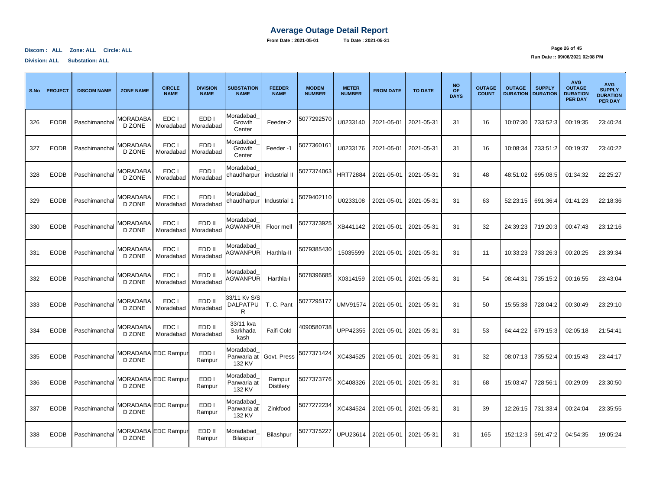**From Date : 2021-05-01**

**To Date : 2021-05-31**

**Discom : ALL Zone: ALL Circle: ALL**

**Division: ALL Substation: ALL**

**Page 26 of 45**

| S.No | <b>PROJECT</b> | <b>DISCOM NAME</b> | <b>ZONE NAME</b>          | <b>CIRCLE</b><br><b>NAME</b>   | <b>DIVISION</b><br><b>NAME</b> | <b>SUBSTATION</b><br><b>NAME</b>                | <b>FEEDER</b><br><b>NAME</b> | <b>MODEM</b><br><b>NUMBER</b>            | <b>METER</b><br><b>NUMBER</b> | <b>FROM DATE</b>                   | <b>TO DATE</b>          | <b>NO</b><br>OF<br><b>DAYS</b> | <b>OUTAGE</b><br><b>COUNT</b> | <b>OUTAGE</b><br><b>DURATION DURATION</b> | <b>SUPPLY</b> | <b>AVG</b><br><b>OUTAGE</b><br><b>DURATION</b><br><b>PER DAY</b> | <b>AVG</b><br><b>SUPPLY</b><br><b>DURATION</b><br><b>PER DAY</b> |
|------|----------------|--------------------|---------------------------|--------------------------------|--------------------------------|-------------------------------------------------|------------------------------|------------------------------------------|-------------------------------|------------------------------------|-------------------------|--------------------------------|-------------------------------|-------------------------------------------|---------------|------------------------------------------------------------------|------------------------------------------------------------------|
| 326  | <b>EODB</b>    | Paschimanchal      | MORADABA<br>D ZONE        | EDC I<br>Moradabad             | EDD I<br>Moradabad             | Moradabad_<br>Growth<br>Center                  | Feeder-2                     | 5077292570                               | U0233140                      | 2021-05-01 2021-05-31              |                         | 31                             | 16                            | 10:07:30                                  | 733:52:3      | 00:19:35                                                         | 23:40:24                                                         |
| 327  | <b>EODB</b>    | Paschimanchal      | <b>MORADABA</b><br>D ZONE | EDC I<br>Moradabad             | EDD I<br>Moradabad             | Moradabad<br>Growth<br>Center                   | Feeder -1                    | 5077360161                               |                               | U0233176 2021-05-01 2021-05-31     |                         | 31                             | 16                            | 10:08:34                                  | 733:51:2      | 00:19:37                                                         | 23:40:22                                                         |
| 328  | <b>EODB</b>    | Paschimanchal      | <b>MORADABA</b><br>D ZONE | EDC I<br>Moradabad             | EDD I<br>Moradabad             | Moradabad                                       |                              | chaudharpur   industrial II   5077374063 | <b>HRT72884</b>               | 2021-05-01 2021-05-31              |                         | 31                             | 48                            | 48:51:02                                  | 695:08:5      | 01:34:32                                                         | 22:25:27                                                         |
| 329  | <b>EODB</b>    | Paschimanchal      | <b>MORADABA</b><br>D ZONE | EDC I<br>Moradabad             | EDD I<br>Moradabad             | Moradabad<br>chaudharpur   Industrial 1         |                              | 5079402110                               | U0233108                      | 2021-05-01                         | 2021-05-31              | 31                             | 63                            | 52:23:15                                  | 691:36:4      | 01:41:23                                                         | 22:18:36                                                         |
| 330  | <b>EODB</b>    | Paschimanchal      | <b>MORADABA</b><br>D ZONE | EDC I<br>Moradabad             | EDD II<br>Moradabad            | Moradabad<br>AGWANPUR                           | Floor mell                   | 5077373925                               | XB441142                      | 2021-05-01 2021-05-31              |                         | 31                             | 32                            | 24:39:23                                  | 719:20:3      | 00:47:43                                                         | 23:12:16                                                         |
| 331  | <b>EODB</b>    | Paschimanchal      | <b>MORADABA</b><br>D ZONE | EDC I<br>Moradabad             | EDD II<br>Moradabad            | Moradabad<br><b>AGWANPUR</b>                    | Harthla-II                   | 5079385430                               | 15035599                      |                                    | 2021-05-01   2021-05-31 | 31                             | 11                            | 10:33:23                                  | 733:26:3      | 00:20:25                                                         | 23:39:34                                                         |
| 332  | <b>EODB</b>    | Paschimanchal      | <b>MORADABA</b><br>D ZONE | EDC I<br>Moradabad             | EDD II<br>Moradabad            | Moradabad_<br>AGWANPUR                          | Harthla-I                    | 5078396685                               | X0314159                      | 2021-05-01                         | 2021-05-31              | 31                             | 54                            | 08:44:31                                  | 735:15:2      | 00:16:55                                                         | 23:43:04                                                         |
| 333  | <b>EODB</b>    | Paschimanchal      | <b>MORADABA</b><br>D ZONE | EDC I<br>Moradabad             | EDD II<br>Moradabad            | 33/11 Kv S/S<br><b>DALPATPU</b><br>$\mathsf{R}$ | T. C. Pant                   | 5077295177                               |                               | UMV91574 2021-05-01 2021-05-31     |                         | 31                             | 50                            | 15:55:38                                  | 728:04:2      | 00:30:49                                                         | 23:29:10                                                         |
| 334  | EODB           | Paschimanchal      | MORADABA<br>D ZONE        | EDC I<br>Moradabad   Moradabad | EDD II                         | 33/11 kva<br>Sarkhada<br>kash                   | Faifi Cold                   | 4090580738                               |                               | UPP42355 2021-05-01 2021-05-31     |                         | 31                             | 53                            | 64:44:22                                  | 679:15:3      | 02:05:18                                                         | 21:54:41                                                         |
| 335  | <b>EODB</b>    | Paschimanchal      | D ZONE                    | MORADABA EDC Rampur            | EDD I<br>Rampur                | Moradabad<br>Panwaria at<br>132 KV              |                              | Govt. Press   5077371424                 |                               | XC434525   2021-05-01   2021-05-31 |                         | 31                             | 32                            | 08:07:13                                  | 735:52:4      | 00:15:43                                                         | 23:44:17                                                         |
| 336  | <b>EODB</b>    | Paschimanchal      | D ZONE                    | MORADABA EDC Rampur            | EDD I<br>Rampur                | Moradabad_<br>Panwaria at<br>132 KV             | Rampur<br><b>Distilery</b>   | 5077373776                               | XC408326                      | 2021-05-01 2021-05-31              |                         | 31                             | 68                            | 15:03:47                                  | 728:56:1      | 00:29:09                                                         | 23:30:50                                                         |
| 337  | <b>EODB</b>    | Paschimanchal      | D ZONE                    | MORADABA EDC Rampur            | EDD I<br>Rampur                | Moradabad<br>Panwaria at<br>132 KV              | Zinkfood                     | 5077272234                               |                               | XC434524 2021-05-01 2021-05-31     |                         | 31                             | 39                            | 12:26:15                                  | 731:33:4      | 00:24:04                                                         | 23:35:55                                                         |
| 338  | <b>EODB</b>    | Paschimanchal      | D ZONE                    | MORADABA EDC Rampur            | EDD II<br>Rampur               | Moradabad<br>Bilaspur                           | Bilashpur                    | 5077375227                               |                               | UPU23614   2021-05-01   2021-05-31 |                         | 31                             | 165                           | 152:12:3                                  | 591:47:2      | 04:54:35                                                         | 19:05:24                                                         |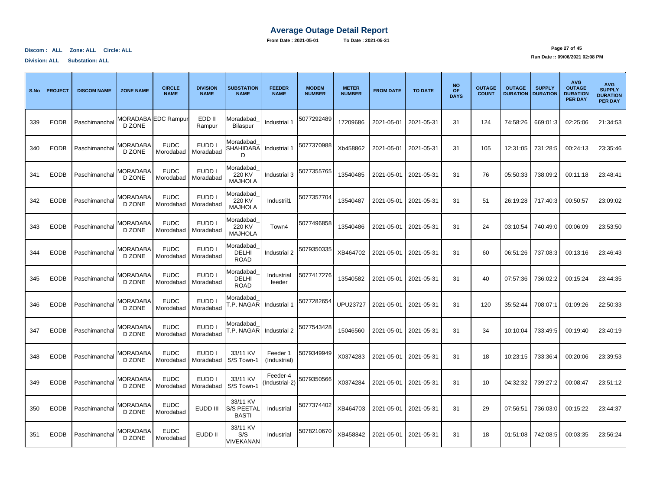**From Date : 2021-05-01**

**To Date : 2021-05-31**

**Discom : ALL Zone: ALL Circle: ALL**

**Division: ALL Substation: ALL**

**Page 27 of 45**

| S.No | <b>PROJECT</b> | <b>DISCOM NAME</b> | <b>ZONE NAME</b>          | <b>CIRCLE</b><br><b>NAME</b>         | <b>DIVISION</b><br><b>NAME</b> | <b>SUBSTATION</b><br><b>NAME</b>              | <b>FEEDER</b><br><b>NAME</b> | <b>MODEM</b><br><b>NUMBER</b> | <b>METER</b><br><b>NUMBER</b> | <b>FROM DATE</b>               | <b>TO DATE</b>          | <b>NO</b><br><b>OF</b><br><b>DAYS</b> | <b>OUTAGE</b><br><b>COUNT</b> | <b>OUTAGE</b><br><b>DURATION</b> | <b>SUPPLY</b><br><b>DURATION</b> | <b>AVG</b><br><b>OUTAGE</b><br><b>DURATION</b><br><b>PER DAY</b> | <b>AVG</b><br><b>SUPPLY</b><br><b>DURATION</b><br><b>PER DAY</b> |
|------|----------------|--------------------|---------------------------|--------------------------------------|--------------------------------|-----------------------------------------------|------------------------------|-------------------------------|-------------------------------|--------------------------------|-------------------------|---------------------------------------|-------------------------------|----------------------------------|----------------------------------|------------------------------------------------------------------|------------------------------------------------------------------|
| 339  | <b>EODB</b>    | Paschimanchal      | D ZONE                    | MORADABA EDC Rampur                  | EDD II<br>Rampur               | Moradabad_<br>Bilaspur                        | Industrial 1                 | 5077292489                    | 17209686                      |                                | 2021-05-01   2021-05-31 | 31                                    | 124                           | 74:58:26                         | 669:01:3                         | 02:25:06                                                         | 21:34:53                                                         |
| 340  | <b>EODB</b>    | Paschimanchal      | <b>MORADABA</b><br>D ZONE | <b>EUDC</b><br>Morodabad             | EUDD I<br>Moradabad            | Moradabad<br>SHAHIDABA Industrial 1<br>D      |                              | 5077370988                    | Xb458862                      | 2021-05-01 2021-05-31          |                         | 31                                    | 105                           | 12:31:05                         | 731:28:5                         | 00:24:13                                                         | 23:35:46                                                         |
| 341  | <b>EODB</b>    | Paschimanchal      | <b>MORADABA</b><br>D ZONE | <b>EUDC</b><br>Morodabad             | EUDD I<br>Moradabad            | Moradabad_<br>220 KV<br><b>MAJHOLA</b>        | Industrial 3                 | 5077355765                    | 13540485                      |                                | 2021-05-01   2021-05-31 | 31                                    | 76                            | 05:50:33                         | 738:09:2                         | 00:11:18                                                         | 23:48:41                                                         |
| 342  | <b>EODB</b>    | Paschimanchal      | <b>MORADABA</b><br>D ZONE | <b>EUDC</b><br>Morodabad             | EUDD I<br>Moradabad            | Moradabad<br>220 KV<br><b>MAJHOLA</b>         | Industril1                   | 5077357704                    | 13540487                      |                                | 2021-05-01   2021-05-31 | 31                                    | 51                            | 26:19:28                         | 717:40:3                         | 00:50:57                                                         | 23:09:02                                                         |
| 343  | <b>EODB</b>    | Paschimanchal      | <b>MORADABA</b><br>D ZONE | <b>EUDC</b><br>Morodabad             | EUDD I<br>Moradabad            | Moradabad_<br>220 KV<br><b>MAJHOLA</b>        | Town4                        | 5077496858                    | 13540486                      |                                | 2021-05-01 2021-05-31   | 31                                    | 24                            | 03:10:54                         | 740:49:0                         | 00:06:09                                                         | 23:53:50                                                         |
| 344  | <b>EODB</b>    | Paschimanchal      | <b>MORADABA</b><br>D ZONE | <b>EUDC</b><br>Morodabad             | EUDD I<br>Moradabad            | Moradabad<br><b>DELHI</b><br><b>ROAD</b>      | Industrial 2                 | 5079350335                    | XB464702                      |                                | 2021-05-01   2021-05-31 | 31                                    | 60                            | 06:51:26                         | 737:08:3                         | 00:13:16                                                         | 23:46:43                                                         |
| 345  | <b>EODB</b>    | Paschimanchal      | <b>MORADABA</b><br>D ZONE | <b>EUDC</b><br>Morodabad             | EUDD I<br>Moradabad            | Moradabad<br><b>DELHI</b><br><b>ROAD</b>      | Industrial<br>feeder         | 5077417276                    | 13540582                      |                                | 2021-05-01   2021-05-31 | 31                                    | 40                            | 07:57:36                         | 736:02:2                         | 00:15:24                                                         | 23:44:35                                                         |
| 346  | <b>EODB</b>    | Paschimanchal      | <b>MORADABA</b><br>D ZONE | <b>EUDC</b><br>Morodabad             | EUDD I<br>Moradabad            | Moradabad<br>T.P. NAGAR                       | Industrial 1                 | 5077282654                    | <b>UPU23727</b>               | 2021-05-01 2021-05-31          |                         | 31                                    | 120                           | 35:52:44                         | 708:07:1                         | 01:09:26                                                         | 22:50:33                                                         |
| 347  | <b>EODB</b>    | Paschimanchal      | <b>MORADABA</b><br>D ZONE | <b>EUDC</b><br>Morodabad   Moradabad | EUDD I                         | Moradabad_                                    | T.P. NAGAR   Industrial 2    | 5077543428                    | 15046560                      |                                | 2021-05-01 2021-05-31   | 31                                    | 34                            | 10:10:04                         | 733:49:5                         | 00:19:40                                                         | 23:40:19                                                         |
| 348  | <b>EODB</b>    | Paschimanchal      | <b>MORADABA</b><br>D ZONE | <b>EUDC</b><br>Morodabad             | EUDD I<br>Moradabad            | 33/11 KV<br>S/S Town-1                        | Feeder 1<br>(Industrial)     | 5079349949                    |                               | X0374283 2021-05-01 2021-05-31 |                         | 31                                    | 18                            | 10:23:15                         | 733:36:4                         | 00:20:06                                                         | 23:39:53                                                         |
| 349  | <b>EODB</b>    | Paschimanchal      | <b>MORADABA</b><br>D ZONE | <b>EUDC</b><br>Morodabad             | EUDD I<br>Moradabad            | 33/11 KV<br>S/S Town-1                        | Feeder-4<br>(Industrial-2)   | 5079350566                    | X0374284                      |                                | 2021-05-01   2021-05-31 | 31                                    | 10                            | 04:32:32                         | 739:27:2                         | 00:08:47                                                         | 23:51:12                                                         |
| 350  | <b>EODB</b>    | Paschimanchal      | <b>MORADABA</b><br>D ZONE | <b>EUDC</b><br>Morodabad             | EUDD III                       | 33/11 KV<br><b>S/S PEETAL</b><br><b>BASTI</b> | Industrial                   | 5077374402                    |                               | XB464703 2021-05-01 2021-05-31 |                         | 31                                    | 29                            | 07:56:51                         | 736:03:0                         | 00:15:22                                                         | 23:44:37                                                         |
| 351  | <b>EODB</b>    | Paschimanchal      | <b>MORADABA</b><br>D ZONE | <b>EUDC</b><br>Morodabad             | EUDD II                        | 33/11 KV<br>S/S<br>VIVEKANAN                  | Industrial                   | 5078210670                    | XB458842                      |                                | 2021-05-01 2021-05-31   | 31                                    | 18                            | 01:51:08                         | 742:08:5                         | 00:03:35                                                         | 23:56:24                                                         |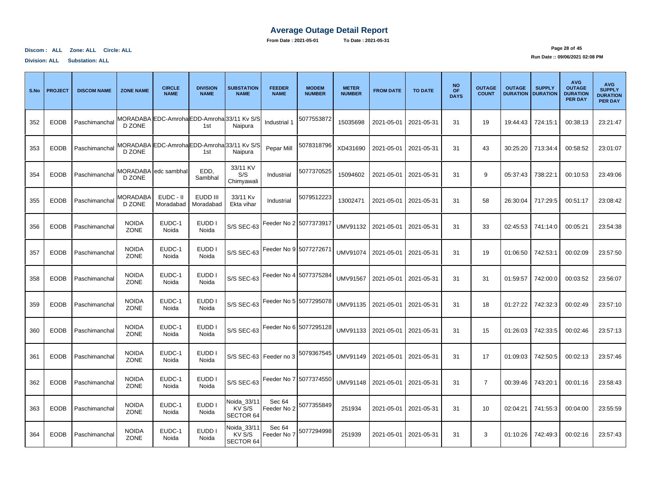**From Date : 2021-05-01**

**To Date : 2021-05-31**

**Discom : ALL Zone: ALL Circle: ALL**

**Division: ALL Substation: ALL**

**Page 28 of 45**

| S.No | <b>PROJECT</b> | <b>DISCOM NAME</b> | <b>ZONE NAME</b>                                    | <b>CIRCLE</b><br><b>NAME</b> | <b>DIVISION</b><br><b>NAME</b> | <b>SUBSTATION</b><br><b>NAME</b>   | <b>FEEDER</b><br><b>NAME</b> | <b>MODEM</b><br><b>NUMBER</b>           | <b>METER</b><br><b>NUMBER</b> | <b>FROM DATE</b>                   | <b>TO DATE</b> | <b>NO</b><br>OF<br><b>DAYS</b> | <b>OUTAGE</b><br><b>COUNT</b> | <b>OUTAGE</b><br><b>DURATION</b> | <b>SUPPLY</b><br><b>DURATION</b> | <b>AVG</b><br><b>OUTAGE</b><br><b>DURATION</b><br><b>PER DAY</b> | <b>AVG</b><br><b>SUPPLY</b><br><b>DURATION</b><br><b>PER DAY</b> |
|------|----------------|--------------------|-----------------------------------------------------|------------------------------|--------------------------------|------------------------------------|------------------------------|-----------------------------------------|-------------------------------|------------------------------------|----------------|--------------------------------|-------------------------------|----------------------------------|----------------------------------|------------------------------------------------------------------|------------------------------------------------------------------|
| 352  | <b>EODB</b>    | Paschimanchal      | MORADABA EDC-AmrohaEDD-Amroha33/11 Kv S/S<br>D ZONE |                              | 1st                            | Naipura                            | Industrial 1                 | 5077553872                              | 15035698                      | 2021-05-01   2021-05-31            |                | 31                             | 19                            | 19:44:43                         | 724:15:1                         | 00:38:13                                                         | 23:21:47                                                         |
| 353  | <b>EODB</b>    | Paschimanchal      | MORADABA EDC-AmrohaEDD-Amroha33/11 Kv S/S<br>D ZONE |                              | 1st                            | Naipura                            | Pepar Mill                   | 5078318796                              | XD431690                      | 2021-05-01 2021-05-31              |                | 31                             | 43                            | 30:25:20                         | 713:34:4                         | 00:58:52                                                         | 23:01:07                                                         |
| 354  | <b>EODB</b>    | Paschimanchal      | MORADABA edc sambhal<br>D ZONE                      |                              | EDD,<br>Sambhal                | 33/11 KV<br>S/S<br>Chimyawali      | Industrial                   | 5077370525                              | 15094602                      | 2021-05-01                         | 2021-05-31     | 31                             | 9                             | 05:37:43                         | 738:22:1                         | 00:10:53                                                         | 23:49:06                                                         |
| 355  | <b>EODB</b>    | Paschimanchal      | MORADABA<br>D ZONE                                  | EUDC - II<br>Moradabad       | EUDD III<br>Moradabad          | 33/11 Kv<br>Ekta vihar             | Industrial                   | 5079512223                              | 13002471                      | 2021-05-01   2021-05-31            |                | 31                             | 58                            | 26:30:04                         | 717:29:5                         | 00:51:17                                                         | 23:08:42                                                         |
| 356  | <b>EODB</b>    | Paschimanchal      | <b>NOIDA</b><br>ZONE                                | EUDC-1<br>Noida              | <b>EUDD</b><br>Noida           | <b>S/S SEC-63</b>                  | Feeder No 2 5077373917       |                                         |                               | UMV91132   2021-05-01   2021-05-31 |                | 31                             | 33                            | 02:45:53                         | 741:14:0                         | 00:05:21                                                         | 23:54:38                                                         |
| 357  | <b>EODB</b>    | Paschimanchal      | <b>NOIDA</b><br>ZONE                                | EUDC-1<br>Noida              | <b>EUDD</b><br>Noida           | <b>S/S SEC-63</b>                  | Feeder No 9 5077272671       |                                         |                               | UMV91074 2021-05-01                | 2021-05-31     | 31                             | 19                            | 01:06:50                         | 742:53:1                         | 00:02:09                                                         | 23:57:50                                                         |
| 358  | EODB           | Paschimanchal      | <b>NOIDA</b><br>ZONE                                | EUDC-1<br>Noida              | <b>EUDD</b><br>Noida           | S/S SEC-63                         |                              | Feeder No 4 5077375284                  | <b>UMV91567</b>               | 2021-05-01                         | 2021-05-31     | 31                             | 31                            | 01:59:57                         | 742:00:0                         | 00:03:52                                                         | 23:56:07                                                         |
| 359  | <b>EODB</b>    | Paschimanchal      | <b>NOIDA</b><br>ZONE                                | EUDC-1<br>Noida              | <b>EUDD</b><br>Noida           | <b>S/S SEC-63</b>                  |                              | Feeder No 5 5077295078                  |                               | UMV91135   2021-05-01   2021-05-31 |                | 31                             | 18                            | 01:27:22                         | 742:32:3                         | 00:02:49                                                         | 23:57:10                                                         |
| 360  | <b>EODB</b>    | Paschimanchal      | <b>NOIDA</b><br>ZONE                                | EUDC-1<br>Noida              | <b>EUDD</b><br>Noida           | S/S SEC-63                         |                              | Feeder No 6 5077295128                  |                               | UMV91133 2021-05-01 2021-05-31     |                | 31                             | 15                            | 01:26:03                         | 742:33:5                         | 00:02:46                                                         | 23:57:13                                                         |
| 361  | <b>EODB</b>    | Paschimanchal      | <b>NOIDA</b><br>ZONE                                | EUDC-1<br>Noida              | EUDD I<br>Noida                |                                    |                              | S/S SEC-63   Feeder no 3 $ 5079367545 $ |                               | UMV91149 2021-05-01 2021-05-31     |                | 31                             | 17                            | 01:09:03                         | 742:50:5                         | 00:02:13                                                         | 23:57:46                                                         |
| 362  | <b>EODB</b>    | Paschimanchal      | <b>NOIDA</b><br>ZONE                                | EUDC-1<br>Noida              | EUDD I<br>Noida                | S/S SEC-63                         |                              | Feeder No 7 5077374550                  |                               | UMV91148 2021-05-01 2021-05-31     |                | 31                             | $\overline{7}$                | 00:39:46                         | 743:20:1                         | 00:01:16                                                         | 23:58:43                                                         |
| 363  | <b>EODB</b>    | Paschimanchal      | <b>NOIDA</b><br>ZONE                                | EUDC-1<br>Noida              | EUDD I<br>Noida                | Noida_33/11<br>KV S/S<br>SECTOR 64 | Sec 64<br>Feeder No 2        | 5077355849                              | 251934                        | 2021-05-01 2021-05-31              |                | 31                             | 10                            | 02:04:21                         | 741:55:3                         | 00:04:00                                                         | 23:55:59                                                         |
| 364  | <b>EODB</b>    | Paschimanchal      | <b>NOIDA</b><br>ZONE                                | EUDC-1<br>Noida              | EUDD I<br>Noida                | Noida_33/11<br>KV S/S<br>SECTOR 64 | Sec 64                       | Feeder No 7 5077294998                  | 251939                        | 2021-05-01 2021-05-31              |                | 31                             | 3                             | 01:10:26                         | 742:49:3                         | 00:02:16                                                         | 23:57:43                                                         |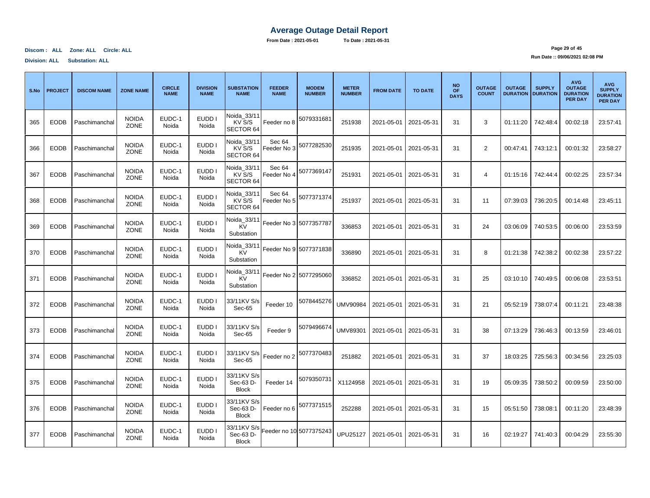**From Date : 2021-05-01**

**To Date : 2021-05-31**

**Discom : ALL Zone: ALL Circle: ALL**

**Division: ALL Substation: ALL**

**Page 29 of 45**

| S.No | <b>PROJECT</b> | <b>DISCOM NAME</b> | <b>ZONE NAME</b>            | <b>CIRCLE</b><br><b>NAME</b> | <b>DIVISION</b><br><b>NAME</b> | <b>SUBSTATION</b><br><b>NAME</b>          | <b>FEEDER</b><br><b>NAME</b> | <b>MODEM</b><br><b>NUMBER</b>             | <b>METER</b><br><b>NUMBER</b> | <b>FROM DATE</b>                   | <b>TO DATE</b> | <b>NO</b><br>OF<br><b>DAYS</b> | <b>OUTAGE</b><br><b>COUNT</b> | <b>OUTAGE</b><br><b>DURATION DURATION</b> | <b>SUPPLY</b> | <b>AVG</b><br><b>OUTAGE</b><br><b>DURATION</b><br><b>PER DAY</b> | <b>AVG</b><br><b>SUPPLY</b><br><b>DURATION</b><br><b>PER DAY</b> |
|------|----------------|--------------------|-----------------------------|------------------------------|--------------------------------|-------------------------------------------|------------------------------|-------------------------------------------|-------------------------------|------------------------------------|----------------|--------------------------------|-------------------------------|-------------------------------------------|---------------|------------------------------------------------------------------|------------------------------------------------------------------|
| 365  | <b>EODB</b>    | Paschimanchal      | <b>NOIDA</b><br><b>ZONE</b> | EUDC-1<br>Noida              | EUDD I<br>Noida                | Noida_33/11<br>KV S/S<br>SECTOR 64        |                              | Feeder no 8 5079331681                    | 251938                        | 2021-05-01   2021-05-31            |                | 31                             | 3                             | 01:11:20                                  | 742:48:4      | 00:02:18                                                         | 23:57:41                                                         |
| 366  | <b>EODB</b>    | Paschimanchal      | <b>NOIDA</b><br><b>ZONE</b> | EUDC-1<br>Noida              | EUDD I<br>Noida                | Noida_33/11<br>KV S/S<br>SECTOR 64        | Sec 64                       | Feeder No 3 5077282530                    | 251935                        | 2021-05-01   2021-05-31            |                | 31                             | 2                             | 00:47:41                                  | 743:12:1      | 00:01:32                                                         | 23:58:27                                                         |
| 367  | <b>EODB</b>    | Paschimanchal      | <b>NOIDA</b><br><b>ZONE</b> | EUDC-1<br>Noida              | EUDD I<br>Noida                | Noida_33/11<br>KV S/S<br>SECTOR 64        | Sec 64                       | Feeder No 4 5077369147                    | 251931                        | 2021-05-01   2021-05-31            |                | 31                             | 4                             | 01:15:16                                  | 742:44:4      | 00:02:25                                                         | 23:57:34                                                         |
| 368  | <b>EODB</b>    | Paschimanchal      | <b>NOIDA</b><br><b>ZONE</b> | EUDC-1<br>Noida              | EUDD I<br>Noida                | Noida_33/11<br>KV S/S<br><b>SECTOR 64</b> |                              | $\sqrt{56}$ Feeder No 5 5 5077371374      | 251937                        | 2021-05-01   2021-05-31            |                | 31                             | 11                            | 07:39:03                                  | 736:20:5      | 00:14:48                                                         | 23:45:11                                                         |
| 369  | <b>EODB</b>    | Paschimanchal      | <b>NOIDA</b><br><b>ZONE</b> | EUDC-1<br>Noida              | EUDD I<br>Noida                | Substation                                |                              | Noida_33/11 Feeder No 3 5077357787        | 336853                        | 2021-05-01   2021-05-31            |                | 31                             | 24                            | 03:06:09                                  | 740:53:5      | 00:06:00                                                         | 23:53:59                                                         |
| 370  | <b>EODB</b>    | Paschimanchal      | <b>NOIDA</b><br>ZONE        | EUDC-1<br>Noida              | EUDD I<br>Noida                | Substation                                |                              | Noida_33/11 Feeder No 9 5077371838        | 336890                        | 2021-05-01 2021-05-31              |                | 31                             | 8                             | 01:21:38                                  | 742:38:2      | 00:02:38                                                         | 23:57:22                                                         |
| 371  | <b>EODB</b>    | Paschimanchal      | <b>NOIDA</b><br>ZONE        | EUDC-1<br>Noida              | EUDD I<br>Noida                | $\overline{KV}$<br>Substation             |                              | Noida_33/11 Feeder No 2 5077295060 !      | 336852                        | 2021-05-01 2021-05-31              |                | 31                             | 25                            | 03:10:10                                  | 740:49:5      | 00:06:08                                                         | 23:53:51                                                         |
| 372  | <b>EODB</b>    | Paschimanchal      | <b>NOIDA</b><br><b>ZONE</b> | EUDC-1<br>Noida              | EUDD I<br>Noida                | 33/11KV S/s<br>Sec-65                     |                              | Feeder 10   5078445276                    |                               | UMV90984 2021-05-01 2021-05-31     |                | 31                             | 21                            | 05:52:19                                  | 738:07:4      | 00:11:21                                                         | 23:48:38                                                         |
| 373  | <b>EODB</b>    | Paschimanchal      | <b>NOIDA</b><br>ZONE        | EUDC-1<br>Noida              | EUDD I<br>Noida                | 33/11KV S/s<br>Sec-65                     | Feeder 9                     | 5079496674                                |                               | UMV89301 2021-05-01 2021-05-31     |                | 31                             | 38                            | 07:13:29                                  | 736:46:3      | 00:13:59                                                         | 23:46:01                                                         |
| 374  | <b>EODB</b>    | Paschimanchal      | <b>NOIDA</b><br>ZONE        | EUDC-1<br>Noida              | EUDD I<br>Noida                | Sec-65                                    |                              | $33/11$ KV S/s   Feeder no 2   5077370483 | 251882                        | 2021-05-01 2021-05-31              |                | 31                             | 37                            | 18:03:25                                  | 725:56:3      | 00:34:56                                                         | 23:25:03                                                         |
| 375  | <b>EODB</b>    | Paschimanchal      | <b>NOIDA</b><br>ZONE        | EUDC-1<br>Noida              | EUDD I<br>Noida                | 33/11KV S/s<br>Sec-63 D-<br><b>Block</b>  | Feeder 14                    | 5079350731                                | X1124958                      | 2021-05-01 2021-05-31              |                | 31                             | 19                            | 05:09:35                                  | 738:50:2      | 00:09:59                                                         | 23:50:00                                                         |
| 376  | <b>EODB</b>    | Paschimanchal      | <b>NOIDA</b><br>ZONE        | EUDC-1<br>Noida              | EUDD I<br>Noida                | 33/11KV S/s<br>Sec-63 D-<br><b>Block</b>  | Feeder no 6                  | 5077371515                                | 252288                        | 2021-05-01 2021-05-31              |                | 31                             | 15                            | 05:51:50                                  | 738:08:1      | 00:11:20                                                         | 23:48:39                                                         |
| 377  | <b>EODB</b>    | Paschimanchal      | <b>NOIDA</b><br>ZONE        | EUDC-1<br>Noida              | EUDD I<br>Noida                | <b>Block</b>                              |                              | 33/11KV S/s Feeder no 10 5077375243       |                               | UPU25127   2021-05-01   2021-05-31 |                | 31                             | 16                            | 02:19:27                                  | 741:40:3      | 00:04:29                                                         | 23:55:30                                                         |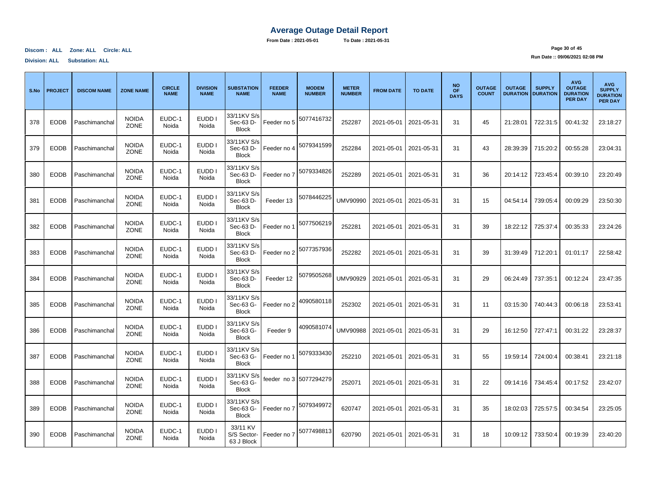**From Date : 2021-05-01**

**To Date : 2021-05-31**

**Discom : ALL Zone: ALL Circle: ALL**

**Division: ALL Substation: ALL**

**Page 30 of 45**

| S.No | <b>PROJECT</b> | <b>DISCOM NAME</b> | <b>ZONE NAME</b>     | <b>CIRCLE</b><br><b>NAME</b> | <b>DIVISION</b><br><b>NAME</b> | <b>SUBSTATION</b><br><b>NAME</b>         | <b>FEEDER</b><br><b>NAME</b> | <b>MODEM</b><br><b>NUMBER</b>             | <b>METER</b><br><b>NUMBER</b> | <b>FROM DATE</b>                   | <b>TO DATE</b>          | <b>NO</b><br>OF<br><b>DAYS</b> | <b>OUTAGE</b><br><b>COUNT</b> | <b>OUTAGE</b><br><b>DURATION DURATION</b> | <b>SUPPLY</b> | <b>AVG</b><br><b>OUTAGE</b><br><b>DURATION</b><br><b>PER DAY</b> | <b>AVG</b><br><b>SUPPLY</b><br><b>DURATION</b><br><b>PER DAY</b> |
|------|----------------|--------------------|----------------------|------------------------------|--------------------------------|------------------------------------------|------------------------------|-------------------------------------------|-------------------------------|------------------------------------|-------------------------|--------------------------------|-------------------------------|-------------------------------------------|---------------|------------------------------------------------------------------|------------------------------------------------------------------|
| 378  | <b>EODB</b>    | Paschimanchal      | <b>NOIDA</b><br>ZONE | EUDC-1<br>Noida              | EUDD I<br>Noida                | 33/11KV S/s<br><b>Block</b>              |                              | Sec-63 D-   Feeder no 5   5077416732      | 252287                        |                                    | 2021-05-01   2021-05-31 | 31                             | 45                            | 21:28:01                                  | 722:31:5      | 00:41:32                                                         | 23:18:27                                                         |
| 379  | <b>EODB</b>    | Paschimanchal      | <b>NOIDA</b><br>ZONE | EUDC-1<br>Noida              | EUDD I<br>Noida                | 33/11KV S/s<br>Sec-63 D-<br><b>Block</b> |                              | Feeder no 4   5079341599                  | 252284                        |                                    | 2021-05-01   2021-05-31 | 31                             | 43                            | 28:39:39                                  | 715:20:2      | 00:55:28                                                         | 23:04:31                                                         |
| 380  | <b>EODB</b>    | Paschimanchal      | <b>NOIDA</b><br>ZONE | EUDC-1<br>Noida              | EUDD I<br>Noida                | 33/11KV S/s<br>Sec-63 D-<br><b>Block</b> |                              | Feeder no 7   5079334826                  | 252289                        |                                    | 2021-05-01   2021-05-31 | 31                             | 36                            | 20:14:12                                  | 723:45:4      | 00:39:10                                                         | 23:20:49                                                         |
| 381  | <b>EODB</b>    | Paschimanchal      | <b>NOIDA</b><br>ZONE | EUDC-1<br>Noida              | EUDD I<br>Noida                | 33/11KV S/s<br>Sec-63 D-<br><b>Block</b> |                              | Feeder 13   5078446225                    |                               | UMV90990   2021-05-01   2021-05-31 |                         | 31                             | 15                            | 04:54:14                                  | 739:05:4      | 00:09:29                                                         | 23:50:30                                                         |
| 382  | <b>EODB</b>    | Paschimanchal      | <b>NOIDA</b><br>ZONE | EUDC-1<br>Noida              | EUDD I<br>Noida                | 33/11KV S/s<br>Sec-63 D-<br><b>Block</b> |                              | Feeder no 1   5077506219                  | 252281                        |                                    | 2021-05-01   2021-05-31 | 31                             | 39                            | 18:22:12                                  | 725:37:4      | 00:35:33                                                         | 23:24:26                                                         |
| 383  | <b>EODB</b>    | Paschimanchal      | <b>NOIDA</b><br>ZONE | EUDC-1<br>Noida              | EUDD I<br>Noida                | 33/11KV S/s<br>Sec-63 D-<br><b>Block</b> |                              | Feeder no 2   5077357936                  | 252282                        |                                    | 2021-05-01   2021-05-31 | 31                             | 39                            | 31:39:49                                  | 712:20:1      | 01:01:17                                                         | 22:58:42                                                         |
| 384  | <b>EODB</b>    | Paschimanchal      | <b>NOIDA</b><br>ZONE | EUDC-1<br>Noida              | EUDD I<br>Noida                | 33/11KV S/s<br>Sec-63 D-<br><b>Block</b> | Feeder 12                    | 5079505268                                |                               | UMV90929 2021-05-01 2021-05-31     |                         | 31                             | 29                            | 06:24:49                                  | 737:35:1      | 00:12:24                                                         | 23:47:35                                                         |
| 385  | <b>EODB</b>    | Paschimanchal      | <b>NOIDA</b><br>ZONE | EUDC-1<br>Noida              | EUDD I<br>Noida                | 33/11KV S/s<br>Sec-63 G-<br><b>Block</b> |                              | $"$ Feeder no 2 $\big ^{4090580118}\big $ | 252302                        |                                    | 2021-05-01   2021-05-31 | 31                             | 11                            | 03:15:30                                  | 740:44:3      | 00:06:18                                                         | 23:53:41                                                         |
| 386  | <b>EODB</b>    | Paschimanchal      | <b>NOIDA</b><br>ZONE | EUDC-1<br>Noida              | EUDD I<br>Noida                | 33/11KV S/s<br>Sec-63 G-<br>Block        | Feeder 9                     | 4090581074                                |                               | UMV90988   2021-05-01   2021-05-31 |                         | 31                             | 29                            | 16:12:50                                  | 727:47:1      | 00:31:22                                                         | 23:28:37                                                         |
| 387  | <b>EODB</b>    | Paschimanchal      | <b>NOIDA</b><br>ZONE | EUDC-1<br>Noida              | EUDD I<br>Noida                | 33/11KV S/s<br><b>Block</b>              |                              | Sec-63 G-   Feeder no 1   5079333430      | 252210                        | 2021-05-01 2021-05-31              |                         | 31                             | 55                            | 19:59:14                                  | 724:00:4      | 00:38:41                                                         | 23:21:18                                                         |
| 388  | <b>EODB</b>    | Paschimanchal      | <b>NOIDA</b><br>ZONE | EUDC-1<br>Noida              | EUDD I<br>Noida                | Sec-63 G-<br><b>Block</b>                |                              | 33/11KV S/s   feeder no 3   5077294279    | 252071                        |                                    | 2021-05-01   2021-05-31 | 31                             | 22                            | 09:14:16                                  | 734:45:4      | 00:17:52                                                         | 23:42:07                                                         |
| 389  | <b>EODB</b>    | Paschimanchal      | <b>NOIDA</b><br>ZONE | EUDC-1<br>Noida              | EUDD I<br>Noida                | 33/11KV S/s<br><b>Block</b>              |                              | Sec-63 G-   Feeder no 7   5079349972      | 620747                        |                                    | 2021-05-01 2021-05-31   | 31                             | 35                            | 18:02:03                                  | 725:57:5      | 00:34:54                                                         | 23:25:05                                                         |
| 390  | EODB           | Paschimanchal      | <b>NOIDA</b><br>ZONE | EUDC-1<br>Noida              | EUDD I<br>Noida                | 33/11 KV<br>63 J Block                   |                              | S/S Sector-   Feeder no 7   5077498813    | 620790                        |                                    | 2021-05-01 2021-05-31   | 31                             | 18                            | 10:09:12                                  | 733:50:4      | 00:19:39                                                         | 23:40:20                                                         |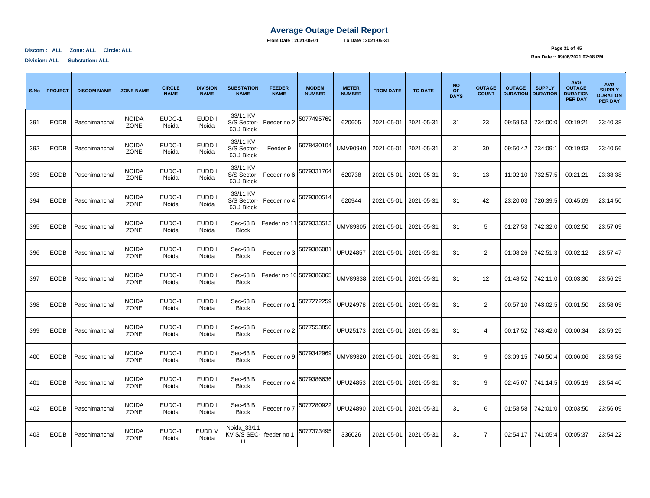**From Date : 2021-05-01**

**To Date : 2021-05-31**

**Discom : ALL Zone: ALL Circle: ALL**

**Division: ALL Substation: ALL**

**Page 31 of 45**

| S.No | <b>PROJECT</b> | <b>DISCOM NAME</b> | <b>ZONE NAME</b>     | <b>CIRCLE</b><br><b>NAME</b> | <b>DIVISION</b><br><b>NAME</b> | <b>SUBSTATION</b><br><b>NAME</b>             | <b>FEEDER</b><br><b>NAME</b> | <b>MODEM</b><br><b>NUMBER</b>                         | <b>METER</b><br><b>NUMBER</b> | <b>FROM DATE</b>                   | <b>TO DATE</b>          | <b>NO</b><br><b>OF</b><br><b>DAYS</b> | <b>OUTAGE</b><br><b>COUNT</b> | <b>OUTAGE</b><br><b>DURATION</b> | <b>SUPPLY</b><br><b>DURATION</b> | <b>AVG</b><br><b>OUTAGE</b><br><b>DURATION</b><br><b>PER DAY</b> | <b>AVG</b><br><b>SUPPLY</b><br><b>DURATION</b><br><b>PER DAY</b> |
|------|----------------|--------------------|----------------------|------------------------------|--------------------------------|----------------------------------------------|------------------------------|-------------------------------------------------------|-------------------------------|------------------------------------|-------------------------|---------------------------------------|-------------------------------|----------------------------------|----------------------------------|------------------------------------------------------------------|------------------------------------------------------------------|
| 391  | <b>EODB</b>    | Paschimanchal      | <b>NOIDA</b><br>ZONE | EUDC-1<br>Noida              | EUDD I<br>Noida                | 33/11 KV<br>S/S Sector-<br>63 J Block        |                              | Feeder no 2   5077495769                              | 620605                        |                                    | 2021-05-01   2021-05-31 | 31                                    | 23                            | 09:59:53                         | 734:00:0                         | 00:19:21                                                         | 23:40:38                                                         |
| 392  | <b>EODB</b>    | Paschimanchal      | <b>NOIDA</b><br>ZONE | EUDC-1<br>Noida              | EUDD I<br>Noida                | 33/11 KV<br>S/S Sector-<br>63 J Block        | Feeder 9                     | 5078430104                                            |                               | UMV90940   2021-05-01   2021-05-31 |                         | 31                                    | 30                            | 09:50:42                         | 734:09:1                         | 00:19:03                                                         | 23:40:56                                                         |
| 393  | <b>EODB</b>    | Paschimanchal      | <b>NOIDA</b><br>ZONE | EUDC-1<br>Noida              | EUDD I<br>Noida                | 33/11 KV<br>S/S Sector-<br>63 J Block        |                              | <sup>I</sup> Feeder no 6 <sup>5079331764</sup> i      | 620738                        |                                    | 2021-05-01   2021-05-31 | 31                                    | 13                            | 11:02:10                         | 732:57:5                         | 00:21:21                                                         | 23:38:38                                                         |
| 394  | <b>EODB</b>    | Paschimanchal      | <b>NOIDA</b><br>ZONE | EUDC-1<br>Noida              | EUDD I<br>Noida                | 33/11 KV<br>S/S Sector-<br>63 J Block        |                              | Feeder no 4 5079380514                                | 620944                        |                                    | 2021-05-01 2021-05-31   | 31                                    | 42                            | 23:20:03                         | 720:39:5                         | 00:45:09                                                         | 23:14:50                                                         |
| 395  | <b>EODB</b>    | Paschimanchal      | <b>NOIDA</b><br>ZONE | EUDC-1<br>Noida              | EUDD I<br>Noida                | Sec-63 B<br><b>Block</b>                     |                              | Feeder no 11 5079333513                               |                               | UMV89305   2021-05-01   2021-05-31 |                         | 31                                    | 5                             | 01:27:53                         | 742:32:0                         | 00:02:50                                                         | 23:57:09                                                         |
| 396  | <b>EODB</b>    | Paschimanchal      | <b>NOIDA</b><br>ZONE | EUDC-1<br>Noida              | EUDD I<br>Noida                | Sec-63 B<br><b>Block</b>                     |                              | Feeder no 3 5079386081                                | <b>UPU24857</b>               | 2021-05-01 2021-05-31              |                         | 31                                    | 2                             | 01:08:26                         | 742:51:3                         | 00:02:12                                                         | 23:57:47                                                         |
| 397  | <b>EODB</b>    | Paschimanchal      | <b>NOIDA</b><br>ZONE | EUDC-1<br>Noida              | EUDD I<br>Noida                | Sec-63 B<br><b>Block</b>                     | Feeder no 10 5079386065      |                                                       |                               | UMV89338 2021-05-01 2021-05-31     |                         | 31                                    | 12                            | 01:48:52                         | 742:11:0                         | 00:03:30                                                         | 23:56:29                                                         |
| 398  | <b>EODB</b>    | Paschimanchal      | <b>NOIDA</b><br>ZONE | EUDC-1<br>Noida              | EUDD I<br>Noida                | Sec-63 B<br><b>Block</b>                     |                              | Feeder no 1 5077272259 UPU24978 2021-05-01 2021-05-31 |                               |                                    |                         | 31                                    | $\overline{2}$                | 00:57:10                         | 743:02:5                         | 00:01:50                                                         | 23:58:09                                                         |
| 399  | <b>EODB</b>    | Paschimanchal      | <b>NOIDA</b><br>ZONE | EUDC-1<br>Noida              | EUDD I<br>Noida                | Sec-63 B<br><b>Block</b>                     |                              | Feeder no 2 $ 5077553856 $                            |                               | UPU25173 2021-05-01 2021-05-31     |                         | 31                                    | $\overline{4}$                | 00:17:52                         | 743:42:0                         | 00:00:34                                                         | 23:59:25                                                         |
| 400  | <b>EODB</b>    | Paschimanchal      | <b>NOIDA</b><br>ZONE | EUDC-1<br>Noida              | EUDD I<br>Noida                | Sec-63B<br><b>Block</b>                      |                              | Feeder no 9 5079342969                                |                               | UMV89320   2021-05-01              | 2021-05-31              | 31                                    | 9                             | 03:09:15                         | 740:50:4                         | 00:06:06                                                         | 23:53:53                                                         |
| 401  | <b>EODB</b>    | Paschimanchal      | <b>NOIDA</b><br>ZONE | EUDC-1<br>Noida              | EUDD I<br>Noida                | Sec-63 B<br><b>Block</b>                     |                              | Feeder no 4 5079386636                                |                               | UPU24853 2021-05-01 2021-05-31     |                         | 31                                    | 9                             | 02:45:07                         | 741:14:5                         | 00:05:19                                                         | 23:54:40                                                         |
| 402  | <b>EODB</b>    | Paschimanchal      | <b>NOIDA</b><br>ZONE | EUDC-1<br>Noida              | EUDD I<br>Noida                | Sec-63B<br><b>Block</b>                      |                              | Feeder no 7 5077280922                                |                               | UPU24890   2021-05-01   2021-05-31 |                         | 31                                    | 6                             | 01:58:58                         | 742:01:0                         | 00:03:50                                                         | 23:56:09                                                         |
| 403  | <b>EODB</b>    | Paschimanchal      | <b>NOIDA</b><br>ZONE | EUDC-1<br>Noida              | EUDD V<br>Noida                | Noida_33/11<br>KV S/S SEC- feeder no 1<br>11 |                              | 5077373495                                            | 336026                        |                                    | 2021-05-01   2021-05-31 | 31                                    | 7                             |                                  | 02:54:17   741:05:4              | 00:05:37                                                         | 23:54:22                                                         |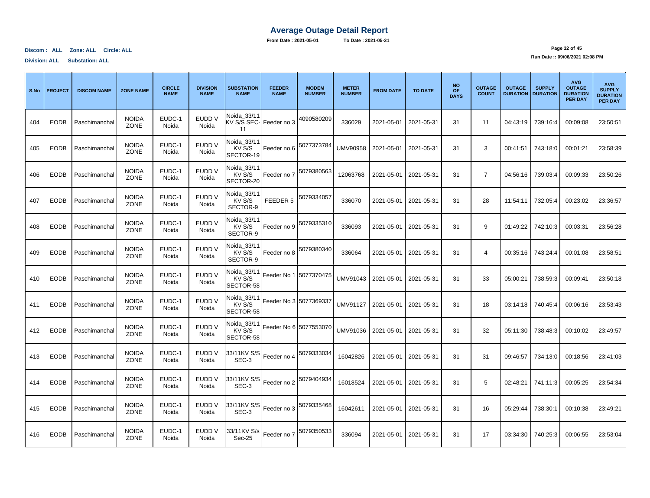**From Date : 2021-05-01**

**To Date : 2021-05-31**

**Discom : ALL Zone: ALL Circle: ALL**

**Division: ALL Substation: ALL**

**Page 32 of 45**

| S.No | <b>PROJECT</b> | <b>DISCOM NAME</b> | <b>ZONE NAME</b>            | <b>CIRCLE</b><br><b>NAME</b> | <b>DIVISION</b><br><b>NAME</b> | <b>SUBSTATION</b><br><b>NAME</b>   | <b>FEEDER</b><br><b>NAME</b> | <b>MODEM</b><br><b>NUMBER</b>                                                                | <b>METER</b><br><b>NUMBER</b> | <b>FROM DATE</b>                   | <b>TO DATE</b> | <b>NO</b><br><b>OF</b><br><b>DAYS</b> | <b>OUTAGE</b><br><b>COUNT</b> | <b>OUTAGE</b><br><b>DURATION DURATION</b> | <b>SUPPLY</b>         | <b>AVG</b><br><b>OUTAGE</b><br><b>DURATION</b><br><b>PER DAY</b> | <b>AVG</b><br><b>SUPPLY</b><br><b>DURATION</b><br><b>PER DAY</b> |
|------|----------------|--------------------|-----------------------------|------------------------------|--------------------------------|------------------------------------|------------------------------|----------------------------------------------------------------------------------------------|-------------------------------|------------------------------------|----------------|---------------------------------------|-------------------------------|-------------------------------------------|-----------------------|------------------------------------------------------------------|------------------------------------------------------------------|
| 404  | <b>EODB</b>    | Paschimanchal      | <b>NOIDA</b><br><b>ZONE</b> | EUDC-1<br>Noida              | EUDD V<br>Noida                | Noida_33/11<br>11                  |                              | KV S/S SEC- Feeder no 3 4090580209                                                           | 336029                        | 2021-05-01   2021-05-31            |                | 31                                    | 11                            | 04:43:19                                  | 739:16:4              | 00:09:08                                                         | 23:50:51                                                         |
| 405  | <b>EODB</b>    | Paschimanchal      | <b>NOIDA</b><br>ZONE        | EUDC-1<br>Noida              | EUDD V<br>Noida                | Noida_33/11<br>KV S/S<br>SECTOR-19 |                              | Feeder no.6   5077373784                                                                     |                               | UMV90958   2021-05-01   2021-05-31 |                | 31                                    | 3                             | 00:41:51                                  | 743:18:0              | 00:01:21                                                         | 23:58:39                                                         |
| 406  | <b>EODB</b>    | Paschimanchal      | <b>NOIDA</b><br>ZONE        | EUDC-1<br>Noida              | EUDD V<br>Noida                | Noida_33/11<br>KV S/S<br>SECTOR-20 |                              | Feeder no 7   5079380563                                                                     | 12063768                      | 2021-05-01 2021-05-31              |                | 31                                    | $\overline{7}$                | 04:56:16                                  | 739:03:4              | 00:09:33                                                         | 23:50:26                                                         |
| 407  | <b>EODB</b>    | Paschimanchal      | <b>NOIDA</b><br><b>ZONE</b> | EUDC-1<br>Noida              | EUDD V<br>Noida                | Noida_33/11<br>KV S/S<br>SECTOR-9  | FEEDER 5                     | 5079334057                                                                                   | 336070                        | 2021-05-01   2021-05-31            |                | 31                                    | 28                            | 11:54:11                                  | 732:05:4              | 00:23:02                                                         | 23:36:57                                                         |
| 408  | <b>EODB</b>    | Paschimanchal      | <b>NOIDA</b><br>ZONE        | EUDC-1<br>Noida              | EUDD V<br>Noida                | Noida_33/11<br>KV S/S<br>SECTOR-9  |                              | <sup>1</sup> Feeder no 9   5079335310                                                        | 336093                        | 2021-05-01   2021-05-31            |                | 31                                    | 9                             | 01:49:22                                  | 742:10:3              | 00:03:31                                                         | 23:56:28                                                         |
| 409  | <b>EODB</b>    | Paschimanchal      | <b>NOIDA</b><br>ZONE        | EUDC-1<br>Noida              | EUDD V<br>Noida                | Noida_33/11<br>KV S/S<br>SECTOR-9  | Feeder no 8                  | 5079380340                                                                                   | 336064                        | 2021-05-01   2021-05-31            |                | 31                                    | 4                             | 00:35:16                                  | 743:24:4              | 00:01:08                                                         | 23:58:51                                                         |
| 410  | <b>EODB</b>    | Paschimanchal      | <b>NOIDA</b><br><b>ZONE</b> | EUDC-1<br>Noida              | EUDD V<br>Noida                | KV S/S<br>SECTOR-58                |                              | Noida_33/11 Feeder No 1 5077370475                                                           |                               | UMV91043   2021-05-01              | 2021-05-31     | 31                                    | 33                            | 05:00:21                                  | 738:59:3              | 00:09:41                                                         | 23:50:18                                                         |
| 411  | <b>EODB</b>    | Paschimanchal      | <b>NOIDA</b><br>ZONE        | EUDC-1<br>Noida              | EUDD V<br>Noida                | SECTOR-58                          |                              | Noida_33/11 Feeder No 3 5077369337                                                           |                               | UMV91127 2021-05-01 2021-05-31     |                | 31                                    | 18                            |                                           | $03:14:18$   740:45:4 | 00:06:16                                                         | 23:53:43                                                         |
| 412  | <b>EODB</b>    | Paschimanchal      | <b>NOIDA</b><br>ZONE        | EUDC-1<br>Noida              | EUDD V<br>Noida                | SECTOR-58                          |                              | Noida_33/11 Feeder No 6 5077553070                                                           |                               | UMV91036   2021-05-01   2021-05-31 |                | 31                                    | 32                            | 05:11:30                                  | 738:48:3              | 00:10:02                                                         | 23:49:57                                                         |
| 413  | <b>EODB</b>    | Paschimanchal      | <b>NOIDA</b><br>ZONE        | EUDC-1<br>Noida              | EUDD V<br>Noida                | SEC-3                              |                              | $\left  \frac{33}{11}KV \frac{S}{S} \right $ Feeder no 4 5079333034                          | 16042826                      | 2021-05-01 2021-05-31              |                | 31                                    | 31                            | 09:46:57                                  | 734:13:0              | 00:18:56                                                         | 23:41:03                                                         |
| 414  | <b>EODB</b>    | Paschimanchal      | <b>NOIDA</b><br>ZONE        | EUDC-1<br>Noida              | EUDD V<br>Noida                | SEC-3                              |                              | $33/11$ KV S/S Feeder no 2 5079404934                                                        | 16018524                      | 2021-05-01 2021-05-31              |                | 31                                    | 5                             | 02:48:21                                  | 741:11:3              | 00:05:25                                                         | 23:54:34                                                         |
| 415  | <b>EODB</b>    | Paschimanchal      | <b>NOIDA</b><br>ZONE        | EUDC-1<br>Noida              | EUDD V<br>Noida                | SEC-3                              |                              | $\left  \frac{33}{11K} \sqrt{S/S} \right $ Feeder no 3 $\left  \frac{5079335468}{S} \right $ |                               | 16042611 2021-05-01 2021-05-31     |                | 31                                    | 16                            | 05:29:44                                  | 738:30:1              | 00:10:38                                                         | 23:49:21                                                         |
| 416  | <b>EODB</b>    | Paschimanchal      | <b>NOIDA</b><br>ZONE        | EUDC-1<br>Noida              | EUDD V<br>Noida                | Sec-25                             |                              | $33/11$ KV S/s   Feeder no 7   5079350533                                                    | 336094                        | 2021-05-01 2021-05-31              |                | 31                                    | 17                            | 03:34:30                                  | 740:25:3              | 00:06:55                                                         | 23:53:04                                                         |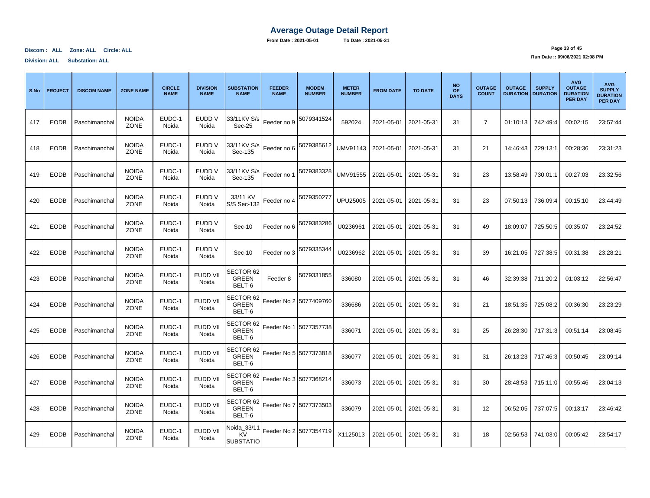**From Date : 2021-05-01**

**To Date : 2021-05-31**

**Discom : ALL Zone: ALL Circle: ALL**

**Division: ALL Substation: ALL**

**Page 33 of 45**

| S.No | <b>PROJECT</b> | <b>DISCOM NAME</b> | <b>ZONE NAME</b>     | <b>CIRCLE</b><br><b>NAME</b> | <b>DIVISION</b><br><b>NAME</b> | <b>SUBSTATION</b><br><b>NAME</b>                                                                                                                       | <b>FEEDER</b><br><b>NAME</b> | <b>MODEM</b><br><b>NUMBER</b>                                               | <b>METER</b><br><b>NUMBER</b> | <b>FROM DATE</b>                   | <b>TO DATE</b>          | <b>NO</b><br><b>OF</b><br><b>DAYS</b> | <b>OUTAGE</b><br><b>COUNT</b> | <b>OUTAGE</b><br><b>DURATION DURATION</b> | <b>SUPPLY</b> | <b>AVG</b><br><b>OUTAGE</b><br><b>DURATION</b><br><b>PER DAY</b> | <b>AVG</b><br><b>SUPPLY</b><br><b>DURATION</b><br><b>PER DAY</b> |
|------|----------------|--------------------|----------------------|------------------------------|--------------------------------|--------------------------------------------------------------------------------------------------------------------------------------------------------|------------------------------|-----------------------------------------------------------------------------|-------------------------------|------------------------------------|-------------------------|---------------------------------------|-------------------------------|-------------------------------------------|---------------|------------------------------------------------------------------|------------------------------------------------------------------|
| 417  | <b>EODB</b>    | Paschimanchal      | <b>NOIDA</b><br>ZONE | EUDC-1<br>Noida              | EUDD V<br>Noida                | <b>Sec-25</b>                                                                                                                                          |                              | $33/11$ KV S/s<br>Feeder no 9 $ 5079341524 $                                | 592024                        |                                    | 2021-05-01   2021-05-31 | 31                                    | 7                             | 01:10:13                                  | 742:49:4      | 00:02:15                                                         | 23:57:44                                                         |
| 418  | EODB           | Paschimanchal      | <b>NOIDA</b><br>ZONE | EUDC-1<br>Noida              | EUDD V<br>Noida                | Sec-135                                                                                                                                                |                              | $33/11$ KV S/s   Feeder no 6   5079385612                                   |                               | UMV91143   2021-05-01   2021-05-31 |                         | 31                                    | 21                            | 14:46:43                                  | 729:13:1      | 00:28:36                                                         | 23:31:23                                                         |
| 419  | EODB           | Paschimanchal      | <b>NOIDA</b><br>ZONE | EUDC-1<br>Noida              | EUDD V<br>Noida                | Sec-135                                                                                                                                                |                              | 33/11KV S/s   Feeder no 1   5079383328   UMV91555   2021-05-01   2021-05-31 |                               |                                    |                         | 31                                    | 23                            | 13:58:49                                  | 730:01:1      | 00:27:03                                                         | 23:32:56                                                         |
| 420  | <b>EODB</b>    | Paschimanchal      | <b>NOIDA</b><br>ZONE | EUDC-1<br>Noida              | EUDD V<br>Noida                | 33/11 KV<br>S/S Sec-132                                                                                                                                |                              | <sup>'</sup> Feeder no 4 <sup>5079350277</sup> l                            |                               | UPU25005   2021-05-01   2021-05-31 |                         | 31                                    | 23                            | 07:50:13                                  | 736:09:4      | 00:15:10                                                         | 23:44:49                                                         |
| 421  | <b>EODB</b>    | Paschimanchal      | <b>NOIDA</b><br>ZONE | EUDC-1<br>Noida              | EUDD V<br>Noida                | Sec-10                                                                                                                                                 |                              | <sup>1</sup> Feeder no 6   5079383286                                       | U0236961                      | 2021-05-01 2021-05-31              |                         | 31                                    | 49                            | 18:09:07                                  | 725:50:5      | 00:35:07                                                         | 23:24:52                                                         |
| 422  | <b>EODB</b>    | Paschimanchal      | <b>NOIDA</b><br>ZONE | EUDC-1<br>Noida              | EUDD V<br>Noida                | Sec-10                                                                                                                                                 |                              | <sup>'</sup> Feeder no 3 <sup>5079335344</sup>                              | U0236962                      |                                    | 2021-05-01   2021-05-31 | 31                                    | 39                            | 16:21:05                                  | 727:38:5      | 00:31:38                                                         | 23:28:21                                                         |
| 423  | <b>EODB</b>    | Paschimanchal      | <b>NOIDA</b><br>ZONE | EUDC-1<br>Noida              | <b>EUDD VII</b><br>Noida       | SECTOR 62<br><b>GREEN</b><br>BELT-6                                                                                                                    | Feeder 8                     | 5079331855                                                                  | 336080                        |                                    | 2021-05-01   2021-05-31 | 31                                    | 46                            | 32:39:38                                  | 711:20:2      | 01:03:12                                                         | 22:56:47                                                         |
| 424  | <b>EODB</b>    | Paschimanchal      | <b>NOIDA</b><br>ZONE | EUDC-1<br>Noida              | EUDD VII<br>Noida              | SECTOR 62<br><b>GREEN</b><br>BELT-6                                                                                                                    |                              | Feeder No 2 5077409760                                                      | 336686                        | 2021-05-01 2021-05-31              |                         | 31                                    | 21                            | 18:51:35                                  | 725:08:2      | 00:36:30                                                         | 23:23:29                                                         |
| 425  | <b>EODB</b>    | Paschimanchal      | <b>NOIDA</b><br>ZONE | EUDC-1<br>Noida              | <b>EUDD VII</b><br>Noida       | <b>GREEN</b><br>BELT-6                                                                                                                                 |                              | SECTOR 62   Feeder No 1   5077357738                                        | 336071                        | 2021-05-01   2021-05-31            |                         | 31                                    | 25                            | 26:28:30                                  | 717:31:3      | 00:51:14                                                         | 23:08:45                                                         |
| 426  | <b>EODB</b>    | Paschimanchal      | <b>NOIDA</b><br>ZONE | EUDC-1<br>Noida              | <b>EUDD VII</b><br>Noida       | <b>GREEN</b><br>BELT-6                                                                                                                                 |                              | SECTOR 62   Feeder No 5   5077373818                                        | 336077                        | 2021-05-01 2021-05-31              |                         | 31                                    | 31                            | 26:13:23                                  | 717:46:3      | 00:50:45                                                         | 23:09:14                                                         |
| 427  | <b>EODB</b>    | Paschimanchal      | <b>NOIDA</b><br>ZONE | EUDC-1<br>Noida              | <b>EUDD VII</b><br>Noida       | <b>GREEN</b><br>BELT-6                                                                                                                                 |                              | SECTOR 62 Feeder No 3 5077368214                                            | 336073                        |                                    | 2021-05-01 2021-05-31   | 31                                    | 30                            | 28:48:53                                  | 715:11:0      | 00:55:46                                                         | 23:04:13                                                         |
| 428  | <b>EODB</b>    | Paschimanchal      | <b>NOIDA</b><br>ZONE | EUDC-1<br>Noida              | <b>EUDD VII</b><br>Noida       | <b>GREEN</b><br>BELT-6                                                                                                                                 |                              | SECTOR 62   Feeder No 7   5077373503                                        | 336079                        | 2021-05-01 2021-05-31              |                         | 31                                    | 12                            | 06:52:05                                  | 737:07:5      | 00:13:17                                                         | 23:46:42                                                         |
| 429  | <b>EODB</b>    | Paschimanchal      | <b>NOIDA</b><br>ZONE | EUDC-1<br>Noida              | <b>EUDD VII</b><br>Noida       | $\begin{array}{ l c c }\n\hline\n\text{Noida\_33/11} & \text{Feeder No 2} & 5077354719 \\ \hline\n\text{KV} & & & \\ \hline\n\end{array}$<br>SUBSTATIO |                              |                                                                             |                               | X1125013 2021-05-01 2021-05-31     |                         | 31                                    | 18                            | 02:56:53                                  | 741:03:0      | 00:05:42                                                         | 23:54:17                                                         |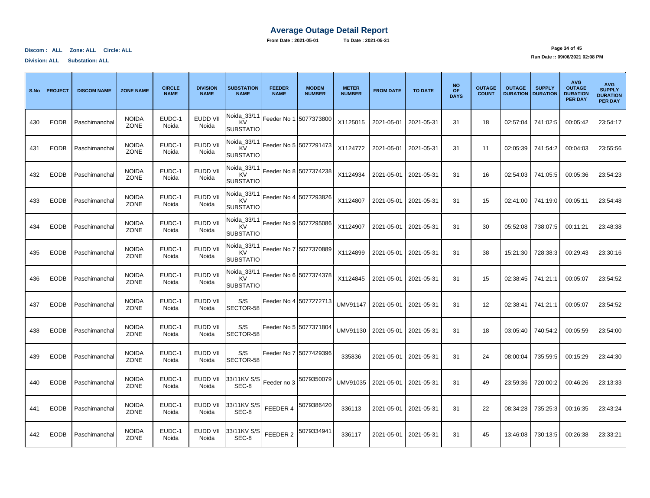**From Date : 2021-05-01**

**To Date : 2021-05-31**

**Discom : ALL Zone: ALL Circle: ALL**

**Division: ALL Substation: ALL**

**Page 34 of 45**

| S.No | <b>PROJECT</b> | <b>DISCOM NAME</b> | <b>ZONE NAME</b>     | <b>CIRCLE</b><br><b>NAME</b> | <b>DIVISION</b><br><b>NAME</b> | <b>SUBSTATION</b><br><b>NAME</b>                                                                                                                                             | <b>FEEDER</b><br><b>NAME</b> | <b>MODEM</b><br><b>NUMBER</b> | <b>METER</b><br><b>NUMBER</b> | <b>FROM DATE</b>                   | <b>TO DATE</b>          | <b>NO</b><br><b>OF</b><br><b>DAYS</b> | <b>OUTAGE</b><br><b>COUNT</b> | <b>OUTAGE</b><br><b>DURATION DURATION</b> | <b>SUPPLY</b>         | <b>AVG</b><br><b>OUTAGE</b><br><b>DURATION</b><br><b>PER DAY</b> | <b>AVG</b><br><b>SUPPLY</b><br><b>DURATION</b><br>PER DAY |
|------|----------------|--------------------|----------------------|------------------------------|--------------------------------|------------------------------------------------------------------------------------------------------------------------------------------------------------------------------|------------------------------|-------------------------------|-------------------------------|------------------------------------|-------------------------|---------------------------------------|-------------------------------|-------------------------------------------|-----------------------|------------------------------------------------------------------|-----------------------------------------------------------|
| 430  | <b>EODB</b>    | Paschimanchal      | <b>NOIDA</b><br>ZONE | EUDC-1<br>Noida              | <b>EUDD VII</b><br>Noida       | $\begin{array}{ l c c }\n\hline\n\text{Noida\_33/11} & \text{Feeder No 1} & \text{5077373800} \\ \hline\n\text{KV} & & & & \\ \hline\n\end{array}$<br><b>SUBSTATIO</b>       |                              |                               | X1125015                      |                                    | 2021-05-01 2021-05-31   | 31                                    | 18                            | 02:57:04                                  | 741:02:5              | 00:05:42                                                         | 23:54:17                                                  |
| 431  | <b>EODB</b>    | Paschimanchal      | <b>NOIDA</b><br>ZONE | EUDC-1<br>Noida              | <b>EUDD VII</b><br>Noida       | $\begin{array}{ l c c }\n\hline\n\text{Noida\_33/11} & \text{Feeder No 5} & 5077291473 \\ \hline\n\text{KV} & & \text{AUC} & \text{AUC} \\ \hline\n\end{array}$<br>SUBSTATIO |                              |                               | X1124772                      | 2021-05-01 2021-05-31              |                         | 31                                    | 11                            | 02:05:39                                  | 741:54:2              | 00:04:03                                                         | 23:55:56                                                  |
| 432  | <b>EODB</b>    | Paschimanchal      | <b>NOIDA</b><br>ZONE | EUDC-1<br>Noida              | <b>EUDD VII</b><br>Noida       | $\begin{array}{ l c c }\n\hline\n\text{Noida\_33/11} & \text{Feeder No 8} & \text{5077374238} \\ \hline\n\text{KV} & & & \\ \hline\n\end{array}$<br><b>SUBSTATIO</b>         |                              |                               | X1124934                      | 2021-05-01 2021-05-31              |                         | 31                                    | 16                            | 02:54:03                                  | 741:05:5              | 00:05:36                                                         | 23:54:23                                                  |
| 433  | <b>EODB</b>    | Paschimanchal      | <b>NOIDA</b><br>ZONE | EUDC-1<br>Noida              | <b>EUDD VII</b><br>Noida       | $\begin{array}{ l l }\n\hline\n\text{Noida\_33/11}\n\hline\n\text{KV}\n\end{array}$ Feeder No 4 5077293826<br><b>SUBSTATIO</b>                                               |                              |                               | X1124807                      |                                    | 2021-05-01 2021-05-31   | 31                                    | 15                            |                                           | 02:41:00   741:19:0   | 00:05:11                                                         | 23:54:48                                                  |
| 434  | <b>EODB</b>    | Paschimanchal      | <b>NOIDA</b><br>ZONE | EUDC-1<br>Noida              | <b>EUDD VII</b><br>Noida       | SUBSTATIO                                                                                                                                                                    |                              |                               | X1124907                      |                                    | 2021-05-01 2021-05-31   | 31                                    | 30                            | 05:52:08                                  | 738:07:5              | 00:11:21                                                         | 23:48:38                                                  |
| 435  | <b>EODB</b>    | Paschimanchal      | <b>NOIDA</b><br>ZONE | EUDC-1<br>Noida              | <b>EUDD VII</b><br>Noida       | Noida_33/11 Feeder No 7 5077370889<br><b>SUBSTATIO</b>                                                                                                                       |                              |                               | X1124899                      | 2021-05-01 2021-05-31              |                         | 31                                    | 38                            | 15:21:30                                  | 728:38:3              | 00:29:43                                                         | 23:30:16                                                  |
| 436  | <b>EODB</b>    | Paschimanchal      | <b>NOIDA</b><br>ZONE | EUDC-1<br>Noida              | <b>EUDD VII</b><br>Noida       | $\begin{array}{ l l }\n\hline\n\text{Noida\_33/11}\n\hline\n\text{KV}\n\end{array}$ Feeder No 6 5077374378<br><b>SUBSTATIO</b>                                               |                              |                               | X1124845                      |                                    | 2021-05-01   2021-05-31 | 31                                    | 15                            | 02:38:45                                  | 741:21:1              | 00:05:07                                                         | 23:54:52                                                  |
| 437  | <b>EODB</b>    | Paschimanchal      | <b>NOIDA</b><br>ZONE | EUDC-1<br>Noida              | EUDD VII<br>Noida              | S/S<br>SECTOR-58                                                                                                                                                             | Feeder No 4 5077272713       |                               |                               | UMV91147 2021-05-01   2021-05-31   |                         | 31                                    | 12                            |                                           | $02:38:41$   741:21:1 | 00:05:07                                                         | 23:54:52                                                  |
| 438  | EODB           | Paschimanchal      | <b>NOIDA</b><br>ZONE | EUDC-1<br>Noida              | EUDD VII<br>Noida              | S/S<br>SECTOR-58                                                                                                                                                             | Feeder No 5 5077371804       |                               |                               | UMV91130   2021-05-01   2021-05-31 |                         | 31                                    | 18                            | 03:05:40                                  | 740:54:2              | 00:05:59                                                         | 23:54:00                                                  |
| 439  | <b>EODB</b>    | Paschimanchal      | <b>NOIDA</b><br>ZONE | EUDC-1<br>Noida              | EUDD VII<br>Noida              | S/S<br>SECTOR-58                                                                                                                                                             | Feeder No 7 5077429396       |                               | 335836                        |                                    | 2021-05-01 2021-05-31   | 31                                    | 24                            | 08:00:04                                  | 735:59:5              | 00:15:29                                                         | 23:44:30                                                  |
| 440  | <b>EODB</b>    | Paschimanchal      | <b>NOIDA</b><br>ZONE | EUDC-1<br>Noida              | EUDD VII<br>Noida              | $33/11$ KV S/S Feeder no 3 5079350079<br>SEC-8                                                                                                                               |                              |                               |                               | UMV91035   2021-05-01   2021-05-31 |                         | 31                                    | 49                            | 23:59:36                                  | 720:00:2              | 00:46:26                                                         | 23:13:33                                                  |
| 441  | <b>EODB</b>    | Paschimanchal      | <b>NOIDA</b><br>ZONE | EUDC-1<br>Noida              | EUDD VII<br>Noida              | 33/11KV S/S<br>SEC-8                                                                                                                                                         |                              | FEEDER 4   5079386420         | 336113                        |                                    | 2021-05-01 2021-05-31   | 31                                    | 22                            | 08:34:28                                  | 735:25:3              | 00:16:35                                                         | 23:43:24                                                  |
| 442  | <b>EODB</b>    | Paschimanchal      | <b>NOIDA</b><br>ZONE | EUDC-1<br>Noida              | EUDD VII<br>Noida              | 33/11KV S/S<br>SEC-8                                                                                                                                                         |                              | FEEDER 2 5079334941           | 336117                        |                                    | 2021-05-01 2021-05-31   | 31                                    | 45                            | 13:46:08                                  | 730:13:5              | 00:26:38                                                         | 23:33:21                                                  |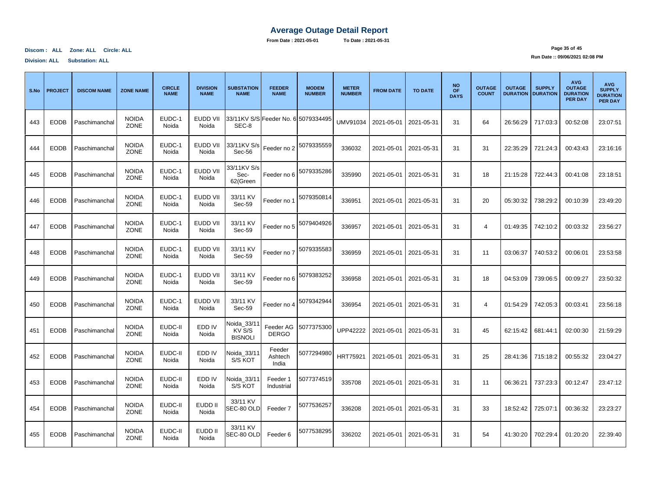**From Date : 2021-05-01**

**To Date : 2021-05-31**

**Discom : ALL Zone: ALL Circle: ALL**

**Division: ALL Substation: ALL**

**Page 35 of 45**

| S.No | <b>PROJECT</b> | <b>DISCOM NAME</b> | <b>ZONE NAME</b>            | <b>CIRCLE</b><br><b>NAME</b> | <b>DIVISION</b><br><b>NAME</b> | <b>SUBSTATION</b><br><b>NAME</b>        | <b>FEEDER</b><br><b>NAME</b> | <b>MODEM</b><br><b>NUMBER</b>                      | <b>METER</b><br><b>NUMBER</b> | <b>FROM DATE</b>               | <b>TO DATE</b>    | <b>NO</b><br>OF<br><b>DAYS</b> | <b>OUTAGE</b><br><b>COUNT</b> | <b>OUTAGE</b><br><b>DURATION DURATION</b> | <b>SUPPLY</b>       | <b>AVG</b><br><b>OUTAGE</b><br><b>DURATION</b><br><b>PER DAY</b> | <b>AVG</b><br><b>SUPPLY</b><br><b>DURATION</b><br><b>PER DAY</b> |
|------|----------------|--------------------|-----------------------------|------------------------------|--------------------------------|-----------------------------------------|------------------------------|----------------------------------------------------|-------------------------------|--------------------------------|-------------------|--------------------------------|-------------------------------|-------------------------------------------|---------------------|------------------------------------------------------------------|------------------------------------------------------------------|
| 443  | <b>EODB</b>    | Paschimanchal      | <b>NOIDA</b><br><b>ZONE</b> | EUDC-1<br>Noida              | EUDD VII<br>Noida              | SEC-8                                   |                              | 33/11KV S/S Feeder No. 6 5079334495                |                               | UMV91034 2021-05-01 2021-05-31 |                   | 31                             | 64                            | 26:56:29                                  | 717:03:3            | 00:52:08                                                         | 23:07:51                                                         |
| 444  | <b>EODB</b>    | Paschimanchal      | <b>NOIDA</b><br>ZONE        | EUDC-1<br>Noida              | EUDD VII<br>Noida              | Sec-56                                  |                              | $33/11$ KV S/s<br>Feeder no 2 5079335559           | 336032                        | 2021-05-01   2021-05-31        |                   | 31                             | 31                            | 22:35:29                                  | 721:24:3            | 00:43:43                                                         | 23:16:16                                                         |
| 445  | <b>EODB</b>    | Paschimanchal      | <b>NOIDA</b><br>ZONE        | EUDC-1<br>Noida              | EUDD VII<br>Noida              | 33/11KV S/s<br>Sec-<br>62(Green         | Feeder no 6                  | 5079335286                                         | 335990                        | 2021-05-01                     | $ 2021 - 05 - 31$ | 31                             | 18                            | 21:15:28                                  | 722:44:3            | 00:41:08                                                         | 23:18:51                                                         |
| 446  | <b>EODB</b>    | Paschimanchal      | <b>NOIDA</b><br><b>ZONE</b> | EUDC-1<br>Noida              | EUDD VII<br>Noida              | 33/11 KV<br>Sec-59                      |                              | $^{\prime}$ Feeder no 1 $\vert$ 5079350814 $\vert$ | 336951                        | 2021-05-01 2021-05-31          |                   | 31                             | 20                            | 05:30:32                                  | 738:29:2            | 00:10:39                                                         | 23:49:20                                                         |
| 447  | <b>EODB</b>    | Paschimanchal      | <b>NOIDA</b><br>ZONE        | EUDC-1<br>Noida              | EUDD VII<br>Noida              | 33/11 KV<br>Sec-59                      |                              | Feeder no 5 5079404926                             | 336957                        | 2021-05-01   2021-05-31        |                   | 31                             | 4                             | 01:49:35                                  | 742:10:2            | 00:03:32                                                         | 23:56:27                                                         |
| 448  | <b>EODB</b>    | Paschimanchal      | <b>NOIDA</b><br>ZONE        | EUDC-1<br>Noida              | EUDD VII<br>Noida              | 33/11 KV<br>Sec-59                      |                              | Feeder no 7 5079335583                             | 336959                        | 2021-05-01 2021-05-31          |                   | 31                             | 11                            | 03:06:37                                  | 740:53:2            | 00:06:01                                                         | 23:53:58                                                         |
| 449  | <b>EODB</b>    | Paschimanchal      | <b>NOIDA</b><br>ZONE        | EUDC-1<br>Noida              | EUDD VII<br>Noida              | 33/11 KV<br>Sec-59                      |                              | <sup>'</sup> Feeder no 6 <sup>  5079383252  </sup> | 336958                        | 2021-05-01 2021-05-31          |                   | 31                             | 18                            | 04:53:09                                  | 739:06:5            | 00:09:27                                                         | 23:50:32                                                         |
| 450  | <b>EODB</b>    | Paschimanchal      | <b>NOIDA</b><br>ZONE        | EUDC-1<br>Noida              | EUDD VII<br>Noida              | 33/11 KV<br>Sec-59                      |                              | Feeder no 4 $ 5079342944 $                         | 336954                        | 2021-05-01   2021-05-31        |                   | 31                             | 4                             | 01:54:29                                  | 742:05:3            | 00:03:41                                                         | 23:56:18                                                         |
| 451  | <b>EODB</b>    | Paschimanchal      | <b>NOIDA</b><br>ZONE        | <b>EUDC-II</b><br>Noida      | EDD IV<br>Noida                | Noida_33/11<br>KV S/S<br><b>BISNOLI</b> | <b>DERGO</b>                 | Feeder AG   5077375300                             | <b>UPP42222</b>               | 2021-05-01   2021-05-31        |                   | 31                             | 45                            | 62:15:42                                  | 681:44:1            | 02:00:30                                                         | 21:59:29                                                         |
| 452  | <b>EODB</b>    | Paschimanchal      | <b>NOIDA</b><br>ZONE        | EUDC-II<br>Noida             | EDD IV<br>Noida                | Noida_33/11<br>S/S KOT                  | Feeder<br>Ashtech<br>India   | 5077294980                                         | <b>HRT75921</b>               | 2021-05-01   2021-05-31        |                   | 31                             | 25                            |                                           | 28:41:36   715:18:2 | 00:55:32                                                         | 23:04:27                                                         |
| 453  | <b>EODB</b>    | Paschimanchal      | <b>NOIDA</b><br>ZONE        | <b>EUDC-II</b><br>Noida      | EDD IV<br>Noida                | Noida 33/11<br>S/S KOT                  | Feeder 1<br>Industrial       | 5077374519                                         | 335708                        | 2021-05-01 2021-05-31          |                   | 31                             | 11                            | 06:36:21                                  | 737:23:3            | 00:12:47                                                         | 23:47:12                                                         |
| 454  | <b>EODB</b>    | Paschimanchal      | <b>NOIDA</b><br>ZONE        | <b>EUDC-II</b><br>Noida      | EUDD II<br>Noida               | 33/11 KV<br>SEC-80 OLD                  | Feeder 7                     | 5077536257                                         | 336208                        | 2021-05-01 2021-05-31          |                   | 31                             | 33                            | 18:52:42                                  | 725:07:1            | 00:36:32                                                         | 23:23:27                                                         |
| 455  | <b>EODB</b>    | Paschimanchal      | <b>NOIDA</b><br>ZONE        | EUDC-II<br>Noida             | EUDD II<br>Noida               | 33/11 KV<br>SEC-80 OLD                  | Feeder 6                     | 5077538295                                         | 336202                        | 2021-05-01 2021-05-31          |                   | 31                             | 54                            | 41:30:20                                  | 702:29:4            | 01:20:20                                                         | 22:39:40                                                         |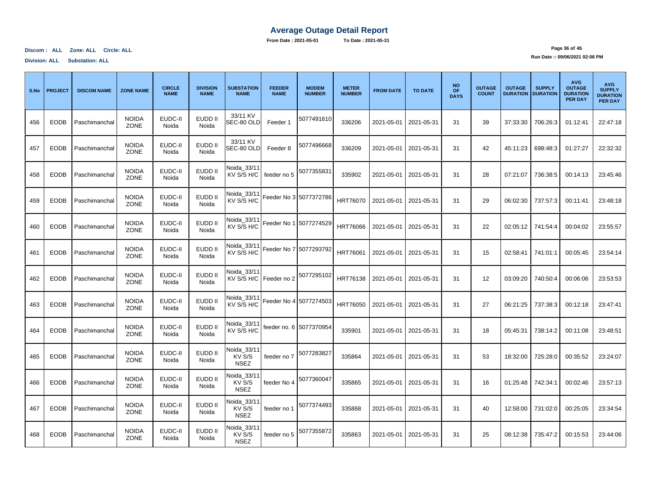**From Date : 2021-05-01**

**To Date : 2021-05-31**

**Discom : ALL Zone: ALL Circle: ALL**

**Division: ALL Substation: ALL**

**Page 36 of 45**

| S.No | <b>PROJECT</b> | <b>DISCOM NAME</b> | <b>ZONE NAME</b>            | <b>CIRCLE</b><br><b>NAME</b> | <b>DIVISION</b><br><b>NAME</b> | <b>SUBSTATION</b><br><b>NAME</b>                       | <b>FEEDER</b><br><b>NAME</b> | <b>MODEM</b><br><b>NUMBER</b>                     | <b>METER</b><br><b>NUMBER</b> | <b>FROM DATE</b>                   | <b>TO DATE</b>          | <b>NO</b><br><b>OF</b><br><b>DAYS</b> | <b>OUTAGE</b><br><b>COUNT</b> | <b>OUTAGE</b><br><b>DURATION DURATION</b> | <b>SUPPLY</b> | <b>AVG</b><br><b>OUTAGE</b><br><b>DURATION</b><br><b>PER DAY</b> | <b>AVG</b><br><b>SUPPLY</b><br><b>DURATION</b><br><b>PER DAY</b> |
|------|----------------|--------------------|-----------------------------|------------------------------|--------------------------------|--------------------------------------------------------|------------------------------|---------------------------------------------------|-------------------------------|------------------------------------|-------------------------|---------------------------------------|-------------------------------|-------------------------------------------|---------------|------------------------------------------------------------------|------------------------------------------------------------------|
| 456  | EODB           | Paschimanchal      | <b>NOIDA</b><br><b>ZONE</b> | EUDC-II<br>Noida             | EUDD II<br>Noida               | 33/11 KV<br>SEC-80 OLD                                 | Feeder 1                     | 5077491610                                        | 336206                        |                                    | 2021-05-01   2021-05-31 | 31                                    | 39                            | 37:33:30                                  | 706:26:3      | 01:12:41                                                         | 22:47:18                                                         |
| 457  | <b>EODB</b>    | Paschimanchal      | <b>NOIDA</b><br><b>ZONE</b> | EUDC-II<br>Noida             | EUDD II<br>Noida               | 33/11 KV<br>SEC-80 OLD                                 | Feeder 8                     | 5077496668                                        | 336209                        |                                    | 2021-05-01   2021-05-31 | 31                                    | 42                            | 45:11:23                                  | 698:48:3      | 01:27:27                                                         | 22:32:32                                                         |
| 458  | <b>EODB</b>    | Paschimanchal      | <b>NOIDA</b><br>ZONE        | EUDC-II<br>Noida             | EUDD II<br>Noida               | Noida_33/11<br>KV S/S H/C                              |                              | l feeder no 5   5077355831                        | 335902                        |                                    | 2021-05-01   2021-05-31 | 31                                    | 28                            | 07:21:07                                  | 736:38:5      | 00:14:13                                                         | 23:45:46                                                         |
| 459  | <b>EODB</b>    | Paschimanchal      | <b>NOIDA</b><br><b>ZONE</b> | EUDC-II<br>Noida             | EUDD II<br>Noida               | Noida_33/11<br>KV S/S H/C                              |                              | Feeder No 3 5077372786                            | <b>HRT76070</b>               | 2021-05-01 2021-05-31              |                         | 31                                    | 29                            | 06:02:30                                  | 737:57:3      | 00:11:41                                                         | 23:48:18                                                         |
| 460  | EODB           | Paschimanchal      | <b>NOIDA</b><br>ZONE        | EUDC-II<br>Noida             | EUDD II<br>Noida               | Noida_33/11<br>  KV S/S H/C   Feeder No 1   5077274529 |                              |                                                   | <b>HRT76066</b>               | 2021-05-01 2021-05-31              |                         | 31                                    | 22                            | 02:05:12                                  | 741:54:4      | 00:04:02                                                         | 23:55:57                                                         |
| 461  | <b>EODB</b>    | Paschimanchal      | <b>NOIDA</b><br>ZONE        | EUDC-II<br>Noida             | EUDD II<br>Noida               | Noida_33/11<br>KV S/S H/C                              | Feeder No 7 5077293792       |                                                   | <b>HRT76061</b>               | 2021-05-01   2021-05-31            |                         | 31                                    | 15                            | 02:58:41                                  | 741:01:1      | 00:05:45                                                         | 23:54:14                                                         |
| 462  | <b>EODB</b>    | Paschimanchal      | <b>NOIDA</b><br>ZONE        | EUDC-II<br>Noida             | EUDD II<br>Noida               | Noida_33/11                                            |                              | KV S/S H/C   Feeder no 2   5077295102             |                               | HRT76138   2021-05-01   2021-05-31 |                         | 31                                    | 12                            | 03:09:20                                  | 740:50:4      | 00:06:06                                                         | 23:53:53                                                         |
| 463  | <b>EODB</b>    | Paschimanchal      | <b>NOIDA</b><br>ZONE        | EUDC-II<br>Noida             | EUDD II<br>Noida               | Noida_33/11<br>  KV S/S H/C   Feeder No 4   5077274503 |                              |                                                   | <b>HRT76050</b>               | 2021-05-01 2021-05-31              |                         | 31                                    | 27                            | 06:21:25                                  | 737:38:3      | 00:12:18                                                         | 23:47:41                                                         |
| 464  | <b>EODB</b>    | Paschimanchal      | <b>NOIDA</b><br>ZONE        | EUDC-II<br>Noida             | EUDD II<br>Noida               | Noida_33/11<br>KV S/S H/C                              |                              | feeder no. 6 5077370954                           | 335901                        |                                    | 2021-05-01 2021-05-31   | 31                                    | 18                            | 05:45:31                                  | 738:14:2      | 00:11:08                                                         | 23:48:51                                                         |
| 465  | <b>EODB</b>    | Paschimanchal      | <b>NOIDA</b><br>ZONE        | EUDC-II<br>Noida             | EUDD II<br>Noida               | Noida_33/11<br>KV S/S<br><b>NSEZ</b>                   |                              | <sup>'</sup> feeder no 7   5077283827             | 335864                        |                                    | 2021-05-01 2021-05-31   | 31                                    | 53                            | 18:32:00                                  | 725:28:0      | 00:35:52                                                         | 23:24:07                                                         |
| 466  | <b>EODB</b>    | Paschimanchal      | <b>NOIDA</b><br>ZONE        | EUDC-II<br>Noida             | EUDD II<br>Noida               | Noida_33/11<br>KV S/S<br><b>NSEZ</b>                   |                              | feeder No 4   5077360047                          | 335865                        |                                    | 2021-05-01 2021-05-31   | 31                                    | 16                            | 01:25:48                                  | 742:34:1      | 00:02:46                                                         | 23:57:13                                                         |
| 467  | <b>EODB</b>    | Paschimanchal      | <b>NOIDA</b><br>ZONE        | EUDC-II<br>Noida             | EUDD II<br>Noida               | Noida_33/11<br>KV S/S<br><b>NSEZ</b>                   |                              | <sup>1</sup> feeder no 1   5077374493             | 335868                        |                                    | 2021-05-01 2021-05-31   | 31                                    | 40                            | 12:58:00                                  | 731:02:0      | 00:25:05                                                         | 23:34:54                                                         |
| 468  | <b>EODB</b>    | Paschimanchal      | <b>NOIDA</b><br>ZONE        | EUDC-II<br>Noida             | EUDD II<br>Noida               | Noida_33/11<br>KV S/S<br><b>NSEZ</b>                   |                              | $^{\prime}$ feeder no 5 $\left[5077355872\right]$ | 335863                        |                                    | 2021-05-01 2021-05-31   | 31                                    | 25                            | 08:12:38                                  | 735:47:2      | 00:15:53                                                         | 23:44:06                                                         |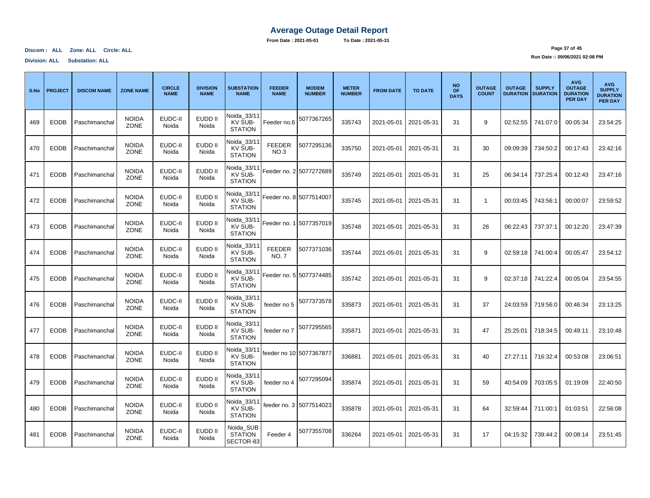**From Date : 2021-05-01**

**To Date : 2021-05-31**

**Discom : ALL Zone: ALL Circle: ALL**

**Division: ALL Substation: ALL**

**Page 37 of 45**

| S.No | <b>PROJECT</b> | <b>DISCOM NAME</b> | <b>ZONE NAME</b>            | <b>CIRCLE</b><br><b>NAME</b> | <b>DIVISION</b><br><b>NAME</b> | <b>SUBSTATION</b><br><b>NAME</b>         | <b>FEEDER</b><br><b>NAME</b> | <b>MODEM</b><br><b>NUMBER</b> | <b>METER</b><br><b>NUMBER</b> | <b>FROM DATE</b>        | <b>TO DATE</b>          | <b>NO</b><br>OF<br><b>DAYS</b> | <b>OUTAGE</b><br><b>COUNT</b> | <b>OUTAGE</b><br><b>DURATION</b> | <b>SUPPLY</b><br><b>DURATION</b> | <b>AVG</b><br><b>OUTAGE</b><br><b>DURATION</b><br><b>PER DAY</b> | <b>AVG</b><br><b>SUPPLY</b><br><b>DURATION</b><br><b>PER DAY</b> |
|------|----------------|--------------------|-----------------------------|------------------------------|--------------------------------|------------------------------------------|------------------------------|-------------------------------|-------------------------------|-------------------------|-------------------------|--------------------------------|-------------------------------|----------------------------------|----------------------------------|------------------------------------------------------------------|------------------------------------------------------------------|
| 469  | <b>EODB</b>    | Paschimanchal      | <b>NOIDA</b><br>ZONE        | EUDC-II<br>Noida             | EUDD II<br>Noida               | Noida_33/11<br>KV SUB-<br><b>STATION</b> |                              | Feeder no.6 $ 5077367265 $    | 335743                        |                         | 2021-05-01 2021-05-31   | 31                             | 9                             | 02:52:55                         | 741:07:0                         | 00:05:34                                                         | 23:54:25                                                         |
| 470  | <b>EODB</b>    | Paschimanchal      | <b>NOIDA</b><br>ZONE        | EUDC-II<br>Noida             | EUDD II<br>Noida               | Noida_33/11<br>KV SUB-<br><b>STATION</b> | <b>FEEDER</b><br>NO.3        | 5077295136                    | 335750                        | 2021-05-01   2021-05-31 |                         | 31                             | 30                            | 09:09:39                         | 734:50:2                         | 00:17:43                                                         | 23:42:16                                                         |
| 471  | <b>EODB</b>    | Paschimanchal      | <b>NOIDA</b><br>ZONE        | EUDC-II<br>Noida             | EUDD II<br>Noida               | Noida_33/11<br>KV SUB-<br><b>STATION</b> | Feeder no. 2 5077272689      |                               | 335749                        |                         | 2021-05-01   2021-05-31 | 31                             | 25                            | 06:34:14                         | 737:25:4                         | 00:12:43                                                         | 23:47:16                                                         |
| 472  | <b>EODB</b>    | Paschimanchal      | <b>NOIDA</b><br>ZONE        | EUDC-II<br>Noida             | EUDD II<br>Noida               | Noida_33/11<br>KV SUB-<br><b>STATION</b> | Feeder no. 8 5077514007      |                               | 335745                        |                         | 2021-05-01   2021-05-31 | 31                             | -1                            | 00:03:45                         | 743:56:1                         | 00:00:07                                                         | 23:59:52                                                         |
| 473  | <b>EODB</b>    | Paschimanchal      | <b>NOIDA</b><br>ZONE        | EUDC-II<br>Noida             | EUDD II<br>Noida               | Noida_33/11<br>KV SUB-<br><b>STATION</b> | Feeder no. 1 5077357019      |                               | 335748                        | 2021-05-01   2021-05-31 |                         | 31                             | 26                            | 06:22:43                         | 737:37:1                         | 00:12:20                                                         | 23:47:39                                                         |
| 474  | <b>EODB</b>    | Paschimanchal      | <b>NOIDA</b><br>ZONE        | EUDC-II<br>Noida             | EUDD II<br>Noida               | Noida_33/11<br>KV SUB-<br><b>STATION</b> | <b>FEEDER</b><br><b>NO.7</b> | 5077371036                    | 335744                        |                         | 2021-05-01   2021-05-31 | 31                             | 9                             | 02:59:18                         | 741:00:4                         | 00:05:47                                                         | 23:54:12                                                         |
| 475  | <b>EODB</b>    | Paschimanchal      | <b>NOIDA</b><br>ZONE        | EUDC-II<br>Noida             | EUDD II<br>Noida               | Noida_33/11<br>KV SUB-<br><b>STATION</b> | Feeder no. 5 5077374485      |                               | 335742                        |                         | 2021-05-01   2021-05-31 | 31                             | 9                             | 02:37:18                         | 741:22:4                         | 00:05:04                                                         | 23:54:55                                                         |
| 476  | <b>EODB</b>    | Paschimanchal      | <b>NOIDA</b><br>ZONE        | EUDC-II<br>Noida             | EUDD II<br>Noida               | Noida_33/11<br>KV SUB-<br><b>STATION</b> |                              | feeder no 5   5077373578      | 335873                        |                         | 2021-05-01 2021-05-31   | 31                             | 37                            | 24:03:59                         | 719:56:0                         | 00:46:34                                                         | 23:13:25                                                         |
| 477  | <b>EODB</b>    | Paschimanchal      | <b>NOIDA</b><br><b>ZONE</b> | EUDC-II<br>Noida             | EUDD II<br>Noida               | Noida_33/11<br>KV SUB-<br><b>STATION</b> | feeder no 7                  | 5077295565                    | 335871                        |                         | 2021-05-01   2021-05-31 | 31                             | 47                            | 25:25:01                         | 718:34:5                         | 00:49:11                                                         | 23:10:48                                                         |
| 478  | <b>EODB</b>    | Paschimanchal      | <b>NOIDA</b><br>ZONE        | EUDC-II<br>Noida             | EUDD II<br>Noida               | Noida_33/11<br>KV SUB-<br><b>STATION</b> | feeder no 10 5077367877      |                               | 336881                        |                         | 2021-05-01 2021-05-31   | 31                             | 40                            | 27:27:11                         | 716:32:4                         | 00:53:08                                                         | 23:06:51                                                         |
| 479  | <b>EODB</b>    | Paschimanchal      | <b>NOIDA</b><br>ZONE        | EUDC-II<br>Noida             | EUDD II<br>Noida               | Noida_33/11<br>KV SUB-<br><b>STATION</b> | feeder no 4                  | 5077295094                    | 335874                        |                         | 2021-05-01 2021-05-31   | 31                             | 59                            | 40:54:09                         | 703:05:5                         | 01:19:09                                                         | 22:40:50                                                         |
| 480  | <b>EODB</b>    | Paschimanchal      | <b>NOIDA</b><br>ZONE        | EUDC-II<br>Noida             | EUDD II<br>Noida               | Noida_33/11<br>KV SUB-<br><b>STATION</b> |                              | feeder no. 3   5077514023     | 335878                        |                         | 2021-05-01 2021-05-31   | 31                             | 64                            | 32:59:44                         | 711:00:1                         | 01:03:51                                                         | 22:56:08                                                         |
| 481  | <b>EODB</b>    | Paschimanchal      | <b>NOIDA</b><br>ZONE        | EUDC-II<br>Noida             | EUDD II<br>Noida               | Noida_SUB<br><b>STATION</b><br>SECTOR-83 | Feeder 4                     | 5077355708                    | 336264                        |                         | 2021-05-01   2021-05-31 | 31                             | 17                            | 04:15:32                         | 739:44:2                         | 00:08:14                                                         | 23:51:45                                                         |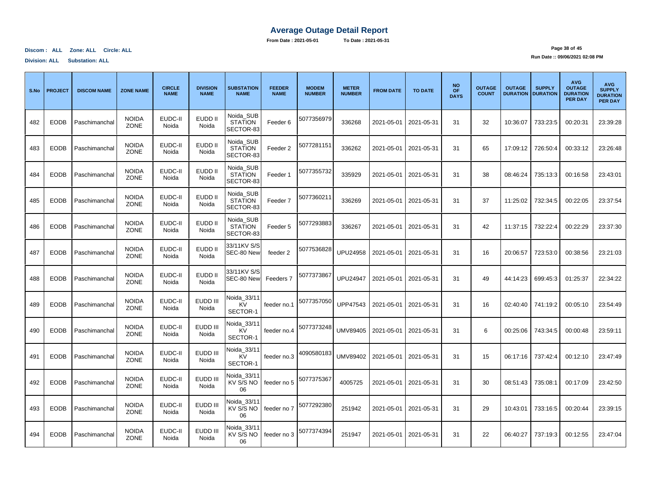**From Date : 2021-05-01**

**To Date : 2021-05-31**

**Discom : ALL Zone: ALL Circle: ALL**

**Division: ALL Substation: ALL**

**Page 38 of 45**

| S.No | <b>PROJECT</b> | <b>DISCOM NAME</b> | <b>ZONE NAME</b>     | <b>CIRCLE</b><br><b>NAME</b> | <b>DIVISION</b><br><b>NAME</b> | <b>SUBSTATION</b><br><b>NAME</b>                                                         | <b>FEEDER</b><br><b>NAME</b> | <b>MODEM</b><br><b>NUMBER</b>                  | <b>METER</b><br><b>NUMBER</b> | <b>FROM DATE</b>                   | <b>TO DATE</b> | <b>NO</b><br>OF<br><b>DAYS</b> | <b>OUTAGE</b><br><b>COUNT</b> | <b>OUTAGE</b><br><b>DURATION DURATION</b> | <b>SUPPLY</b>     | <b>AVG</b><br><b>OUTAGE</b><br><b>DURATION</b><br><b>PER DAY</b> | <b>AVG</b><br><b>SUPPLY</b><br><b>DURATION</b><br><b>PER DAY</b> |
|------|----------------|--------------------|----------------------|------------------------------|--------------------------------|------------------------------------------------------------------------------------------|------------------------------|------------------------------------------------|-------------------------------|------------------------------------|----------------|--------------------------------|-------------------------------|-------------------------------------------|-------------------|------------------------------------------------------------------|------------------------------------------------------------------|
| 482  | <b>EODB</b>    | Paschimanchal      | <b>NOIDA</b><br>ZONE | EUDC-II<br>Noida             | EUDD II<br>Noida               | Noida_SUB<br><b>STATION</b><br>SECTOR-83                                                 | Feeder 6                     | 5077356979                                     | 336268                        | 2021-05-01   2021-05-31            |                | 31                             | 32                            | 10:36:07                                  | 733:23:5          | 00:20:31                                                         | 23:39:28                                                         |
| 483  | <b>EODB</b>    | Paschimanchal      | <b>NOIDA</b><br>ZONE | <b>EUDC-II</b><br>Noida      | EUDD II<br>Noida               | Noida_SUB<br><b>STATION</b><br>SECTOR-83                                                 | Feeder 2                     | 5077281151                                     | 336262                        | 2021-05-01   2021-05-31            |                | 31                             | 65                            | 17:09:12                                  | 726:50:4          | 00:33:12                                                         | 23:26:48                                                         |
| 484  | <b>EODB</b>    | Paschimanchal      | <b>NOIDA</b><br>ZONE | <b>EUDC-II</b><br>Noida      | EUDD II<br>Noida               | Noida_SUB<br><b>STATION</b><br>SECTOR-83                                                 | Feeder 1                     | 5077355732                                     | 335929                        | 2021-05-01                         | 2021-05-31     | 31                             | 38                            | 08:46:24                                  | 735:13:3          | 00:16:58                                                         | 23:43:01                                                         |
| 485  | <b>EODB</b>    | Paschimanchal      | <b>NOIDA</b><br>ZONE | EUDC-II<br>Noida             | EUDD II<br>Noida               | Noida_SUB<br><b>STATION</b><br>SECTOR-83                                                 | Feeder 7                     | 5077360211                                     | 336269                        | 2021-05-01 2021-05-31              |                | 31                             | 37                            | 11:25:02                                  | 732:34:5          | 00:22:05                                                         | 23:37:54                                                         |
| 486  | EODB           | Paschimanchal      | <b>NOIDA</b><br>ZONE | <b>EUDC-II</b><br>Noida      | EUDD II<br>Noida               | Noida_SUB<br><b>STATION</b><br>SECTOR-83                                                 | Feeder 5                     | 5077293883                                     | 336267                        | 2021-05-01 2021-05-31              |                | 31                             | 42                            | 11:37:15                                  | 732:22:4          | 00:22:29                                                         | 23:37:30                                                         |
| 487  | <b>EODB</b>    | Paschimanchal      | <b>NOIDA</b><br>ZONE | EUDC-II<br>Noida             | EUDD II<br>Noida               | 33/11KV S/S<br>SEC-80 New                                                                | feeder 2                     | 5077536828                                     | UPU24958                      | 2021-05-01 2021-05-31              |                | 31                             | 16                            | 20:06:57                                  | 723:53:0          | 00:38:56                                                         | 23:21:03                                                         |
| 488  | <b>EODB</b>    | Paschimanchal      | <b>NOIDA</b><br>ZONE | EUDC-II<br>Noida             | EUDD II<br>Noida               | 33/11KV S/S<br>SEC-80 New                                                                | Feeders 7                    | 5077373867                                     | <b>UPU24947</b>               | 2021-05-01                         | 2021-05-31     | 31                             | 49                            | 44:14:23                                  | 699:45:3          | 01:25:37                                                         | 22:34:22                                                         |
| 489  | <b>EODB</b>    | Paschimanchal      | <b>NOIDA</b><br>ZONE | <b>EUDC-II</b><br>Noida      | EUDD III<br>Noida              | Noida_33/11<br><b>KV</b><br>SECTOR-1                                                     | feeder no.1                  | 5077357050  UPP47543   2021-05-01   2021-05-31 |                               |                                    |                | 31                             | 16                            | 02:40:40                                  | 741:19:2          | 00:05:10                                                         | 23:54:49                                                         |
| 490  | <b>EODB</b>    | Paschimanchal      | <b>NOIDA</b><br>ZONE | EUDC-II<br>Noida             | EUDD III<br>Noida              | $\begin{array}{ l } \hline \text{Noida\_33/11} \hline \text{KV} \end{array}$<br>SECTOR-1 |                              | <sup>1</sup> feeder no.4   5077373248          |                               | UMV89405   2021-05-01   2021-05-31 |                | 31                             | 6                             | 00:25:06                                  | 743:34:5          | 00:00:48                                                         | 23:59:11                                                         |
| 491  | <b>EODB</b>    | Paschimanchal      | <b>NOIDA</b><br>ZONE | EUDC-II<br>Noida             | EUDD III<br>Noida              | Noida_33/11<br><b>KV</b><br>SECTOR-1                                                     | feeder no.3                  | 4090580183                                     |                               | UMV89402   2021-05-01   2021-05-31 |                | 31                             | 15                            |                                           | 06:17:16 737:42:4 | 00:12:10                                                         | 23:47:49                                                         |
| 492  | <b>EODB</b>    | Paschimanchal      | <b>NOIDA</b><br>ZONE | <b>EUDC-II</b><br>Noida      | EUDD III<br>Noida              | Noida 33/11<br>06                                                                        | KV S/S NO $ $ feeder no 5    | 5077375367                                     | 4005725                       | 2021-05-01 2021-05-31              |                | 31                             | 30                            |                                           | 08:51:43 735:08:1 | 00:17:09                                                         | 23:42:50                                                         |
| 493  | <b>EODB</b>    | Paschimanchal      | <b>NOIDA</b><br>ZONE | EUDC-II<br>Noida             | EUDD III<br>Noida              | Noida_33/11<br>06                                                                        | KV S/S NO   feeder no 7      | 5077292380                                     | 251942                        | 2021-05-01 2021-05-31              |                | 31                             | 29                            | 10:43:01                                  | 733:16:5          | 00:20:44                                                         | 23:39:15                                                         |
| 494  | <b>EODB</b>    | Paschimanchal      | <b>NOIDA</b><br>ZONE | EUDC-II<br>Noida             | EUDD III<br>Noida              | Noida_33/11<br>06                                                                        |                              | KV S/S NO   feeder no 3   5077374394           | 251947                        | 2021-05-01 2021-05-31              |                | 31                             | 22                            | 06:40:27                                  | 737:19:3          | 00:12:55                                                         | 23:47:04                                                         |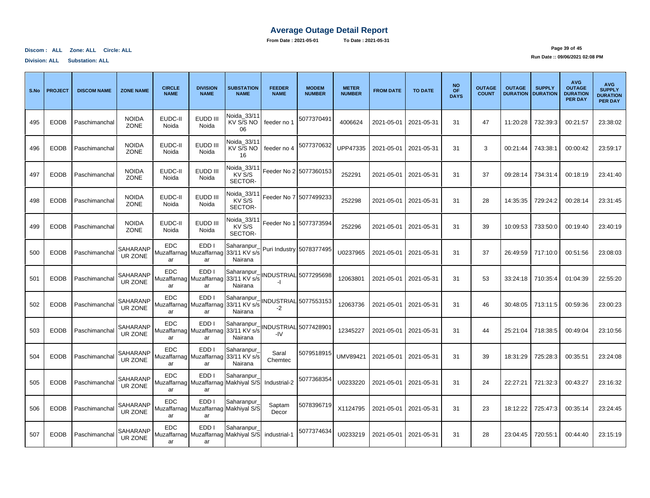**From Date : 2021-05-01**

**To Date : 2021-05-31**

**Discom : ALL Zone: ALL Circle: ALL**

**Division: ALL Substation: ALL**

**Page 39 of 45**

| S.No | <b>PROJECT</b> | <b>DISCOM NAME</b> | <b>ZONE NAME</b>            | <b>CIRCLE</b><br><b>NAME</b> | <b>DIVISION</b><br><b>NAME</b>                                          | <b>SUBSTATION</b><br><b>NAME</b> | <b>FEEDER</b><br><b>NAME</b>   | <b>MODEM</b><br><b>NUMBER</b>                | <b>METER</b><br><b>NUMBER</b> | <b>FROM DATE</b>               | <b>TO DATE</b> | <b>NO</b><br>OF<br><b>DAYS</b> | <b>OUTAGE</b><br><b>COUNT</b> | <b>OUTAGE</b><br><b>DURATION DURATION</b> | <b>SUPPLY</b> | <b>AVG</b><br><b>OUTAGE</b><br><b>DURATION</b><br><b>PER DAY</b> | <b>AVG</b><br><b>SUPPLY</b><br><b>DURATION</b><br><b>PER DAY</b> |
|------|----------------|--------------------|-----------------------------|------------------------------|-------------------------------------------------------------------------|----------------------------------|--------------------------------|----------------------------------------------|-------------------------------|--------------------------------|----------------|--------------------------------|-------------------------------|-------------------------------------------|---------------|------------------------------------------------------------------|------------------------------------------------------------------|
| 495  | <b>EODB</b>    | Paschimanchal      | <b>NOIDA</b><br><b>ZONE</b> | EUDC-II<br>Noida             | EUDD III<br>Noida                                                       | Noida_33/11<br>06                | KV S/S NO   feeder no 1        | 5077370491                                   | 4006624                       | 2021-05-01   2021-05-31        |                | 31                             | 47                            | 11:20:28                                  | 732:39:3      | 00:21:57                                                         | 23:38:02                                                         |
| 496  | <b>EODB</b>    | Paschimanchal      | <b>NOIDA</b><br>ZONE        | EUDC-II<br>Noida             | EUDD III<br>Noida                                                       | Noida_33/11<br>16                |                                | KV S/S NO   feeder no 4   5077370632         | <b>UPP47335</b>               | 2021-05-01 2021-05-31          |                | 31                             | 3                             | 00:21:44                                  | 743:38:1      | 00:00:42                                                         | 23:59:17                                                         |
| 497  | <b>EODB</b>    | Paschimanchal      | <b>NOIDA</b><br>ZONE        | EUDC-II<br>Noida             | EUDD III<br>Noida                                                       | KV S/S<br>SECTOR-                |                                | Noida_33/11   Feeder No 2   5077360153       | 252291                        | 2021-05-01 2021-05-31          |                | 31                             | 37                            | 09:28:14                                  | 734:31:4      | 00:18:19                                                         | 23:41:40                                                         |
| 498  | <b>EODB</b>    | Paschimanchal      | <b>NOIDA</b><br>ZONE        | EUDC-II<br>Noida             | EUDD III<br>Noida                                                       | KV S/S<br>SECTOR-                |                                | Noida_33/11 Feeder No 7 5077499233           | 252298                        | 2021-05-01   2021-05-31        |                | 31                             | 28                            | 14:35:35                                  | 729:24:2      | 00:28:14                                                         | 23:31:45                                                         |
| 499  | <b>EODB</b>    | Paschimanchal      | <b>NOIDA</b><br>ZONE        | EUDC-II<br>Noida             | EUDD III<br>Noida                                                       | SECTOR-                          |                                | Noida_33/11<br>KV S/S Feeder No 1 5077373594 | 252296                        | 2021-05-01 2021-05-31          |                | 31                             | 39                            | 10:09:53                                  | 733:50:0      | 00:19:40                                                         | 23:40:19                                                         |
| 500  | <b>EODB</b>    | Paschimanchal      | SAHARANP<br>UR ZONE         | ar                           | EDC   EDD   Saharanpur_ <br>Muzaffarnag Muzaffarnag 33/11 KV s/s<br>ar  | Nairana                          | Puri Industry 5078377495       |                                              | U0237965                      | 2021-05-01 2021-05-31          |                | 31                             | 37                            | 26:49:59                                  | 717:10:0      | 00:51:56                                                         | 23:08:03                                                         |
| 501  | <b>EODB</b>    | Paschimanchal      | SAHARANP<br>UR ZONE         | ar                           | EDC EDD I Saharanpur_ <br> Muzaffarnag Muzaffarnag 33/11 KV s/s <br>ar  | Nairana                          | INDUSTRIAL 5077295698          |                                              | 12063801                      | 2021-05-01   2021-05-31        |                | 31                             | 53                            | 33:24:18                                  | 710:35:4      | 01:04:39                                                         | 22:55:20                                                         |
| 502  | <b>EODB</b>    | Paschimanchal      | SAHARANP<br>UR ZONE         | ar                           | EDC   EDD I Saharanpur_ <br> Muzaffarnag Muzaffarnag 33/11 KV s/s<br>ar | Nairana                          | INDUSTRIAL 5077553153<br>$-2$  |                                              | 12063736                      | 2021-05-01 2021-05-31          |                | 31                             | 46                            | 30:48:05                                  | 713:11:5      | 00:59:36                                                         | 23:00:23                                                         |
| 503  | <b>EODB</b>    | Paschimanchal      | <b>SAHARANP</b><br>UR ZONE  | ar                           | EDC EDD   Saharanpur_ <br> Muzaffarnag Muzaffarnag 33/11 KV s/s <br>ar  | Nairana                          | INDUSTRIAL 5077428901<br>$-IV$ |                                              | 12345227                      | 2021-05-01 2021-05-31          |                | 31                             | 44                            | 25:21:04                                  | 718:38:5      | 00:49:04                                                         | 23:10:56                                                         |
| 504  | <b>EODB</b>    | Paschimanchal      | SAHARANP<br>UR ZONE         | <b>EDC</b><br>ar             | EDD I<br>Muzaffarnag Muzaffarnag 33/11 KV s/s<br>ar                     | Saharanpur<br>Nairana            | Saral<br>Chemtec               | 5079518915                                   |                               | UMV89421 2021-05-01 2021-05-31 |                | 31                             | 39                            | 18:31:29                                  | 725:28:3      | 00:35:51                                                         | 23:24:08                                                         |
| 505  | <b>EODB</b>    | Paschimanchal      | SAHARANP<br>UR ZONE         | <b>EDC</b><br>ar             | EDD I<br>Muzaffarnag Muzaffarnag Makhiyal S/S Industrial-2<br>ar        | Saharanpur_                      |                                | 5077368354                                   | U0233220                      | 2021-05-01 2021-05-31          |                | 31                             | 24                            | 22:27:21                                  | 721:32:3      | 00:43:27                                                         | 23:16:32                                                         |
| 506  | <b>EODB</b>    | Paschimanchal      | SAHARANP<br>UR ZONE         | <b>EDC</b><br>ar             | EDD I<br>Muzaffarnag Muzaffarnag Makhiyal S/S<br>ar                     | Saharanpur                       | Saptam<br>Decor                | 5078396719                                   |                               | X1124795 2021-05-01 2021-05-31 |                | 31                             | 23                            | 18:12:22                                  | 725:47:3      | 00:35:14                                                         | 23:24:45                                                         |
| 507  | <b>EODB</b>    | Paschimanchal      | SAHARANP<br>UR ZONE         | <b>EDC</b><br>ar             | EDD I<br> Muzaffarnag   Muzaffarnag   Makhiyal S/S   industrial-1<br>ar | Saharanpur                       |                                | 5077374634                                   | U0233219                      | 2021-05-01 2021-05-31          |                | 31                             | 28                            | 23:04:45                                  | 720:55:1      | 00:44:40                                                         | 23:15:19                                                         |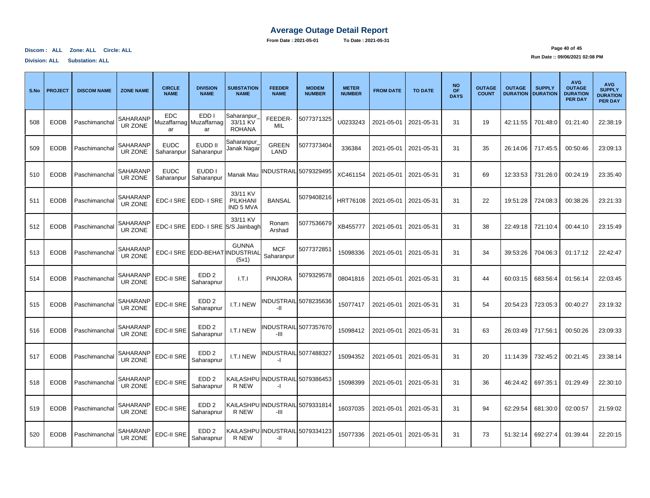**From Date : 2021-05-01**

**To Date : 2021-05-31**

**Discom : ALL Zone: ALL Circle: ALL**

**Division: ALL Substation: ALL**

**Page 40 of 45**

| S.No | <b>PROJECT</b> | <b>DISCOM NAME</b> | <b>ZONE NAME</b>           | <b>CIRCLE</b><br><b>NAME</b> | <b>DIVISION</b><br><b>NAME</b>         | <b>SUBSTATION</b><br><b>NAME</b>         | <b>FEEDER</b><br><b>NAME</b>                    | <b>MODEM</b><br><b>NUMBER</b> | <b>METER</b><br><b>NUMBER</b> | <b>FROM DATE</b>        | <b>TO DATE</b> | <b>NO</b><br>OF<br><b>DAYS</b> | <b>OUTAGE</b><br><b>COUNT</b> | <b>OUTAGE</b><br><b>DURATION</b> | <b>SUPPLY</b><br><b>DURATION</b> | <b>AVG</b><br><b>OUTAGE</b><br><b>DURATION</b><br><b>PER DAY</b> | <b>AVG</b><br><b>SUPPLY</b><br><b>DURATION</b><br><b>PER DAY</b> |
|------|----------------|--------------------|----------------------------|------------------------------|----------------------------------------|------------------------------------------|-------------------------------------------------|-------------------------------|-------------------------------|-------------------------|----------------|--------------------------------|-------------------------------|----------------------------------|----------------------------------|------------------------------------------------------------------|------------------------------------------------------------------|
| 508  | <b>EODB</b>    | Paschimanchal      | <b>SAHARANP</b><br>UR ZONE | <b>EDC</b><br>ar             | EDD I<br>Muzaffarnag Muzaffarnag<br>ar | Saharanpur<br>33/11 KV<br><b>ROHANA</b>  | FEEDER-<br>MIL                                  | 5077371325                    | U0233243                      | 2021-05-01              | 2021-05-31     | 31                             | 19                            | 42:11:55                         | 701:48:0                         | 01:21:40                                                         | 22:38:19                                                         |
| 509  | <b>EODB</b>    | Paschimanchal      | <b>SAHARANP</b><br>UR ZONE | <b>EUDC</b><br>Saharanpur    | EUDD II<br>Saharanpur                  | Saharanpur <sub>-</sub><br>Janak Nagar   | <b>GREEN</b><br><b>LAND</b>                     | 5077373404                    | 336384                        | 2021-05-01              | 2021-05-31     | 31                             | 35                            | 26:14:06                         | 717:45:5                         | 00:50:46                                                         | 23:09:13                                                         |
| 510  | <b>EODB</b>    | Paschimanchal      | <b>SAHARANP</b><br>UR ZONE | <b>EUDC</b><br>Saharanpur    | EUDD I<br>Saharanpur                   | Manak Mau                                |                                                 | INDUSTRAIL 5079329495         | XC461154                      | 2021-05-01              | 2021-05-31     | 31                             | 69                            | 12:33:53                         | 731:26:0                         | 00:24:19                                                         | 23:35:40                                                         |
| 511  | <b>EODB</b>    | Paschimanchal      | SAHARANP<br>UR ZONE        |                              | EDC-I SRE   EDD- I SRE                 | 33/11 KV<br>PILKHANI<br><b>IND 5 MVA</b> | <b>BANSAL</b>                                   | 5079408216                    | HRT76108                      | 2021-05-01              | 2021-05-31     | 31                             | 22                            | 19:51:28                         | 724:08:3                         | 00:38:26                                                         | 23:21:33                                                         |
| 512  | <b>EODB</b>    | Paschimanchal      | <b>SAHARANP</b><br>UR ZONE |                              | EDC-I SRE   EDD- I SRE S/S Jainbagh    | 33/11 KV                                 | Ronam<br>Arshad                                 | 5077536679                    | XB455777                      | 2021-05-01              | 2021-05-31     | 31                             | 38                            | 22:49:18                         | 721:10:4                         | 00:44:10                                                         | 23:15:49                                                         |
| 513  | <b>EODB</b>    | Paschimanchal      | <b>SAHARANP</b><br>UR ZONE |                              | EDC-I SRE EDD-BEHAT INDUSTRIAL         | <b>GUNNA</b><br>(5x1)                    | <b>MCF</b><br>Saharanpur                        | 5077372851                    | 15098336                      | 2021-05-01              | 2021-05-31     | 31                             | 34                            | 39:53:26                         | 704:06:3                         | 01:17:12                                                         | 22:42:47                                                         |
| 514  | <b>EODB</b>    | Paschimanchal      | SAHARANP<br>UR ZONE        | EDC-II SRE                   | EDD <sub>2</sub><br>Saharapnur         | 1.7.1                                    | <b>PINJORA</b>                                  | 5079329578                    | 08041816                      | 2021-05-01              | 2021-05-31     | 31                             | 44                            | 60:03:15                         | 683:56:4                         | 01:56:14                                                         | 22:03:45                                                         |
| 515  | <b>EODB</b>    | Paschimanchal      | <b>SAHARANP</b><br>UR ZONE | EDC-II SRE                   | EDD <sub>2</sub><br>Saharapnur         | I.T.I NEW                                | -II.                                            | INDUSTRAIL 5078235636         | 15077417                      | 2021-05-01              | 2021-05-31     | 31                             | 54                            | 20:54:23                         | 723:05:3                         | 00:40:27                                                         | 23:19:32                                                         |
| 516  | <b>EODB</b>    | Paschimanchal      | <b>SAHARANP</b><br>UR ZONE | EDC-II SRE                   | EDD <sub>2</sub><br>Saharapnur         | I.T.I NEW                                | $-III$                                          | INDUSTRAIL 5077357670         | 15098412                      | 2021-05-01   2021-05-31 |                | 31                             | 63                            | 26:03:49                         | 717:56:1                         | 00:50:26                                                         | 23:09:33                                                         |
| 517  | <b>EODB</b>    | Paschimanchal      | SAHARANP<br>UR ZONE        | <b>EDC-II SRE</b>            | EDD <sub>2</sub><br>Saharapnur         | I.T.I NEW                                | INDUSTRAIL 5077488327                           |                               | 15094352                      | 2021-05-01 2021-05-31   |                | 31                             | 20                            | 11:14:39                         | 732:45:2                         | 00:21:45                                                         | 23:38:14                                                         |
| 518  | <b>EODB</b>    | Paschimanchal      | SAHARANP<br>UR ZONE        | EDC-II SRE                   | EDD <sub>2</sub><br>Saharapnur         | R NEW                                    | KAILASHPU INDUSTRAIL 5079386453<br>$\mathbf{-}$ |                               | 15098399                      | 2021-05-01 2021-05-31   |                | 31                             | 36                            | 46:24:42                         | 697:35:1                         | 01:29:49                                                         | 22:30:10                                                         |
| 519  | <b>EODB</b>    | Paschimanchal      | SAHARANP<br>UR ZONE        | <b>EDC-II SRE</b>            | EDD <sub>2</sub><br>Saharapnur         | R NEW                                    | KAILASHPU INDUSTRAIL 5079331814<br>$-III$       |                               | 16037035                      | 2021-05-01 2021-05-31   |                | 31                             | 94                            | 62:29:54                         | 681:30:0                         | 02:00:57                                                         | 21:59:02                                                         |
| 520  | <b>EODB</b>    | Paschimanchal      | SAHARANP<br>UR ZONE        | <b>EDC-II SRE</b>            | EDD <sub>2</sub><br>Saharapnur         | R NEW                                    | KAILASHPU INDUSTRAIL 5079334123<br>-11          |                               | 15077336                      | 2021-05-01 2021-05-31   |                | 31                             | 73                            | 51:32:14                         | 692:27:4                         | 01:39:44                                                         | 22:20:15                                                         |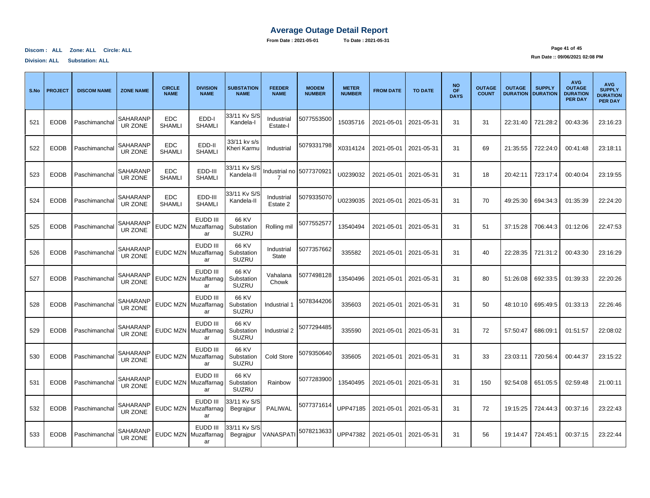**From Date : 2021-05-01**

**To Date : 2021-05-31**

**Discom : ALL Zone: ALL Circle: ALL**

**Division: ALL Substation: ALL**

**Page 41 of 45**

| S.No | <b>PROJECT</b> | <b>DISCOM NAME</b> | <b>ZONE NAME</b>           | <b>CIRCLE</b><br><b>NAME</b> | <b>DIVISION</b><br><b>NAME</b>             | <b>SUBSTATION</b><br><b>NAME</b>    | <b>FEEDER</b><br><b>NAME</b>               | <b>MODEM</b><br><b>NUMBER</b>    | <b>METER</b><br><b>NUMBER</b> | <b>FROM DATE</b>               | <b>TO DATE</b>          | <b>NO</b><br><b>OF</b><br><b>DAYS</b> | <b>OUTAGE</b><br><b>COUNT</b> | <b>OUTAGE</b><br><b>DURATION</b> | <b>SUPPLY</b><br><b>DURATION</b> | <b>AVG</b><br><b>OUTAGE</b><br><b>DURATION</b><br><b>PER DAY</b> | <b>AVG</b><br><b>SUPPLY</b><br><b>DURATION</b><br><b>PER DAY</b> |
|------|----------------|--------------------|----------------------------|------------------------------|--------------------------------------------|-------------------------------------|--------------------------------------------|----------------------------------|-------------------------------|--------------------------------|-------------------------|---------------------------------------|-------------------------------|----------------------------------|----------------------------------|------------------------------------------------------------------|------------------------------------------------------------------|
| 521  | EODB           | Paschimanchal      | <b>SAHARANP</b><br>UR ZONE | <b>EDC</b><br><b>SHAMLI</b>  | EDD-I<br><b>SHAMLI</b>                     | 33/11 Kv S/S<br>Kandela-I           | Industrial<br>Estate-I                     | 5077553500                       | 15035716                      | 2021-05-01                     | 2021-05-31              | 31                                    | 31                            | 22:31:40                         | 721:28:2                         | 00:43:36                                                         | 23:16:23                                                         |
| 522  | <b>EODB</b>    | Paschimanchal      | <b>SAHARANP</b><br>UR ZONE | <b>EDC</b><br><b>SHAMLI</b>  | EDD-II<br><b>SHAML</b>                     | 33/11 kv s/s<br>Kheri Karmu         | Industrial                                 | 5079331798                       | X0314124                      | 2021-05-01                     | 2021-05-31              | 31                                    | 69                            | 21:35:55                         | 722:24:0                         | 00:41:48                                                         | 23:18:11                                                         |
| 523  | <b>EODB</b>    | Paschimanchal      | <b>SAHARANP</b><br>UR ZONE | <b>EDC</b><br><b>SHAMLI</b>  | EDD-III<br><b>SHAMLI</b>                   | 33/11 Kv S/S<br>Kandela-II          | Industrial no 5077370921<br>$\overline{7}$ |                                  | U0239032                      | 2021-05-01                     | 2021-05-31              | 31                                    | 18                            | 20:42:11                         | 723:17:4                         | 00:40:04                                                         | 23:19:55                                                         |
| 524  | <b>EODB</b>    | Paschimanchal      | <b>SAHARANP</b><br>UR ZONE | <b>EDC</b><br><b>SHAMLI</b>  | EDD-III<br><b>SHAMLI</b>                   | 33/11 Kv S/S<br>Kandela-II          | Industrial<br>Estate 2                     | 5079335070                       | U0239035                      | 2021-05-01                     | 2021-05-31              | 31                                    | 70                            | 49:25:30                         | 694:34:3                         | 01:35:39                                                         | 22:24:20                                                         |
| 525  | <b>EODB</b>    | Paschimanchal      | <b>SAHARANP</b><br>UR ZONE |                              | EUDD III<br>EUDC MZN   Muzaffarnag  <br>ar | 66 KV<br>Substation<br><b>SUZRU</b> | Rolling mil                                | 5077552577                       | 13540494                      | 2021-05-01                     | 2021-05-31              | 31                                    | 51                            | 37:15:28                         | 706:44:3                         | 01:12:06                                                         | 22:47:53                                                         |
| 526  | <b>EODB</b>    | Paschimanchal      | <b>SAHARANP</b><br>UR ZONE |                              | EUDD III<br>EUDC MZN   Muzaffarnag<br>ar   | 66 KV<br>Substation<br><b>SUZRU</b> | Industrial<br><b>State</b>                 | 5077357662                       | 335582                        |                                | 2021-05-01   2021-05-31 | 31                                    | 40                            | 22:28:35                         | 721:31:2                         | 00:43:30                                                         | 23:16:29                                                         |
| 527  | <b>EODB</b>    | Paschimanchal      | <b>SAHARANP</b><br>UR ZONE |                              | EUDD III<br>EUDC MZN   Muzaffarnag<br>ar   | 66 KV<br>Substation<br><b>SUZRU</b> | Vahalana<br>Chowk                          | 5077498128                       | 13540496                      | 2021-05-01                     | 2021-05-31              | 31                                    | 80                            | 51:26:08                         | 692:33:5                         | 01:39:33                                                         | 22:20:26                                                         |
| 528  | <b>EODB</b>    | Paschimanchal      | <b>SAHARANP</b><br>UR ZONE |                              | EUDD III<br>EUDC MZN   Muzaffarnag<br>ar   | 66 KV<br>Substation<br><b>SUZRU</b> | Industrial 1                               | 5078344206                       | 335603                        |                                | 2021-05-01 2021-05-31   | 31                                    | 50                            | 48:10:10                         | 695:49:5                         | 01:33:13                                                         | 22:26:46                                                         |
| 529  | <b>EODB</b>    | Paschimanchal      | <b>SAHARANP</b><br>UR ZONE |                              | EUDD III<br>EUDC MZN   Muzaffarnag  <br>ar | 66 KV<br>Substation<br><b>SUZRU</b> | Industrial 2                               | 5077294485                       | 335590                        |                                | 2021-05-01 2021-05-31   | 31                                    | 72                            | 57:50:47                         | 686:09:1                         | 01:51:57                                                         | 22:08:02                                                         |
| 530  | <b>EODB</b>    | Paschimanchal      | <b>SAHARANP</b><br>UR ZONE |                              | EUDD III<br>EUDC MZN   Muzaffarnag  <br>ar | 66 KV<br>Substation<br><b>SUZRU</b> | <b>Cold Store</b>                          | 5079350640                       | 335605                        | 2021-05-01 2021-05-31          |                         | 31                                    | 33                            | 23:03:11                         | 720:56:4                         | 00:44:37                                                         | 23:15:22                                                         |
| 531  | <b>EODB</b>    | Paschimanchal      | <b>SAHARANP</b><br>UR ZONE |                              | EUDD III<br>EUDC MZN   Muzaffarnag<br>ar   | 66 KV<br>Substation<br><b>SUZRU</b> | Rainbow                                    | 5077283900                       | 13540495                      |                                | 2021-05-01 2021-05-31   | 31                                    | 150                           | 92:54:08                         | 651:05:5                         | 02:59:48                                                         | 21:00:11                                                         |
| 532  | <b>EODB</b>    | Paschimanchal      | SAHARANP<br>UR ZONE        |                              | EUDD III<br>EUDC MZN   Muzaffarnag  <br>ar | 33/11 Kv S/S<br>Begrajpur           | PALIWAL                                    | 5077371614                       |                               | UPP47185 2021-05-01 2021-05-31 |                         | 31                                    | 72                            | 19:15:25                         | 724:44:3                         | 00:37:16                                                         | 23:22:43                                                         |
| 533  | <b>EODB</b>    | Paschimanchal      | <b>SAHARANP</b><br>UR ZONE |                              | EUDD III<br>EUDC MZN   Muzaffarnag  <br>ar | 33/11 Kv S/S                        |                                            | Begrajpur   VANASPATI 5078213633 |                               | UPP47382 2021-05-01 2021-05-31 |                         | 31                                    | 56                            | 19:14:47                         | 724:45:1                         | 00:37:15                                                         | 23:22:44                                                         |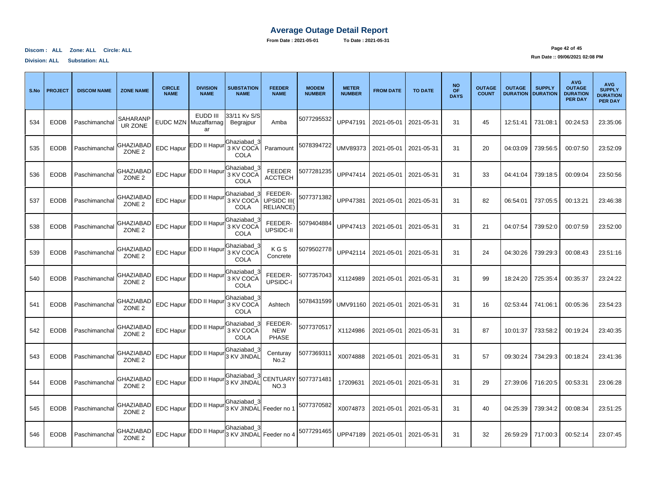**From Date : 2021-05-01**

**To Date : 2021-05-31**

**Discom : ALL Zone: ALL Circle: ALL**

**Division: ALL Substation: ALL**

**Page 42 of 45**

| S.No | <b>PROJECT</b> | <b>DISCOM NAME</b> | <b>ZONE NAME</b>                      | <b>CIRCLE</b><br><b>NAME</b> | <b>DIVISION</b><br><b>NAME</b>                            | <b>SUBSTATION</b><br><b>NAME</b>                 | <b>FEEDER</b><br><b>NAME</b>               | <b>MODEM</b><br><b>NUMBER</b> | <b>METER</b><br><b>NUMBER</b> | <b>FROM DATE</b>               | <b>TO DATE</b> | <b>NO</b><br>OF<br><b>DAYS</b> | <b>OUTAGE</b><br><b>COUNT</b> | <b>OUTAGE</b><br><b>DURATION</b> | <b>SUPPLY</b><br><b>DURATION</b> | <b>AVG</b><br><b>OUTAGE</b><br><b>DURATION</b><br><b>PER DAY</b> | <b>AVG</b><br><b>SUPPLY</b><br><b>DURATION</b><br><b>PER DAY</b> |
|------|----------------|--------------------|---------------------------------------|------------------------------|-----------------------------------------------------------|--------------------------------------------------|--------------------------------------------|-------------------------------|-------------------------------|--------------------------------|----------------|--------------------------------|-------------------------------|----------------------------------|----------------------------------|------------------------------------------------------------------|------------------------------------------------------------------|
| 534  | <b>EODB</b>    | Paschimanchal      | <b>SAHARANP</b><br>UR ZONE            |                              | EUDD III<br>EUDC MZN   Muzaffarnag  <br>ar                | 33/11 Kv S/S<br>Begrajpur                        | Amba                                       | 5077295532                    | <b>UPP47191</b>               | 2021-05-01   2021-05-31        |                | 31                             | 45                            | 12:51:41                         | 731:08:1                         | 00:24:53                                                         | 23:35:06                                                         |
| 535  | <b>EODB</b>    | Paschimanchal      | GHAZIABAD<br>ZONE <sub>2</sub>        |                              | EDC Hapur EDD II Hapur 3 KV COCA                          | <b>COLA</b>                                      | Paramount                                  | 5078394722                    |                               | UMV89373 2021-05-01            | 2021-05-31     | 31                             | 20                            | 04:03:09                         | 739:56:5                         | 00:07:50                                                         | 23:52:09                                                         |
| 536  | <b>EODB</b>    | Paschimanchal      | GHAZIABAD <br>ZONE <sub>2</sub>       |                              | EDC Hapur EDD II Hapur                                    | <u> </u> Ghaziabad_3<br>3 KV COCA<br><b>COLA</b> | <b>FEEDER</b><br><b>ACCTECH</b>            | 5077281235                    | UPP47414                      | 2021-05-01                     | 2021-05-31     | 31                             | 33                            | 04:41:04                         | 739:18:5                         | 00:09:04                                                         | 23:50:56                                                         |
| 537  | <b>EODB</b>    | Paschimanchal      | GHAZIABAD<br>ZONE <sub>2</sub>        |                              | EDC Hapur EDD II Hapur 3 KV COCA                          | Ghaziabad_3<br><b>COLA</b>                       | FEEDER-<br>UPSIDC III(<br><b>RELIANCE)</b> | 5077371382                    | <b>UPP47381</b>               | 2021-05-01                     | 2021-05-31     | 31                             | 82                            | 06:54:01                         | 737:05:5                         | 00:13:21                                                         | 23:46:38                                                         |
| 538  | <b>EODB</b>    | Paschimanchal      | <b>GHAZIABAD</b><br>ZONE <sub>2</sub> |                              | EDC Hapur EDD II Hapur 3 KV COCA                          | <b>COLA</b>                                      | FEEDER-<br>UPSIDC-II                       | 5079404884                    |                               | UPP47413 2021-05-01            | 2021-05-31     | 31                             | 21                            | 04:07:54                         | 739:52:0                         | 00:07:59                                                         | 23:52:00                                                         |
| 539  | <b>EODB</b>    | Paschimanchal      | GHAZIABAD <br>ZONE <sub>2</sub>       |                              | EDC Hapur EDD II Hapur                                    | Ghaziabad_3<br>3 KV COCA<br><b>COLA</b>          | KGS<br>Concrete                            | 5079502778                    |                               | UPP42114 2021-05-01            | 2021-05-31     | 31                             | 24                            | 04:30:26                         | 739:29:3                         | 00:08:43                                                         | 23:51:16                                                         |
| 540  | <b>EODB</b>    | Paschimanchal      | GHAZIABAD<br>ZONE <sub>2</sub>        |                              | EDC Hapur EDD II Hapur 3 KV COCA                          | _ Ghaziabad_3<br><b>COLA</b>                     | FEEDER-<br>UPSIDC-I                        | 5077357043                    | X1124989                      | 2021-05-01                     | 2021-05-31     | 31                             | 99                            | 18:24:20                         | 725:35:4                         | 00:35:37                                                         | 23:24:22                                                         |
| 541  | <b>EODB</b>    | Paschimanchal      | GHAZIABAD<br>ZONE <sub>2</sub>        |                              | EDC Hapur EDD II Hapur 3 KV COCA                          | Ghaziabad_3<br><b>COLA</b>                       | Ashtech                                    | 5078431599                    |                               | UMV91160   2021-05-01          | 2021-05-31     | 31                             | 16                            | 02:53:44                         | 741:06:1                         | 00:05:36                                                         | 23:54:23                                                         |
| 542  | EODB           | Paschimanchal      | GHAZIABAD <br>ZONE <sub>2</sub>       |                              | $\left $ EDC Hapur $\left $ EDD II Hapur $\right $        | <b>Ghaziabad_3</b><br>3 KV COCA<br>COLA          | FEEDER-<br><b>NEW</b><br><b>PHASE</b>      | 5077370517                    | X1124986                      | 2021-05-01 2021-05-31          |                | 31                             | 87                            | 10:01:37                         | 733:58:2                         | 00:19:24                                                         | 23:40:35                                                         |
| 543  | <b>EODB</b>    | Paschimanchal      | GHAZIABAD  <br>ZONE <sub>2</sub>      |                              | EDC Hapur EDD II Hapur 3 KV JINDAL                        | Ghaziabad_3                                      | Centuray<br>No.2                           | 5077369311                    | X0074888                      | 2021-05-01 2021-05-31          |                | 31                             | 57                            | 09:30:24                         | 734:29:3                         | 00:18:24                                                         | 23:41:36                                                         |
| 544  | <b>EODB</b>    | Paschimanchal      | GHAZIABAD<br>ZONE <sub>2</sub>        | <b>EDC Hapur</b>             | EDD II Hapur Ghaziabad_3 CENTUARY 5077371481              |                                                  | NO.3                                       |                               |                               | 17209631 2021-05-01 2021-05-31 |                | 31                             | 29                            | 27:39:06                         | 716:20:5                         | 00:53:31                                                         | 23:06:28                                                         |
| 545  | <b>EODB</b>    | Paschimanchal      | GHAZIABAD <br>ZONE <sub>2</sub>       |                              | EDC Hapur EDD II Hapur 3 KV JINDAL Feeder no 1            |                                                  |                                            | 5077370582                    | X0074873                      | 2021-05-01 2021-05-31          |                | 31                             | 40                            | 04:25:39                         | 739:34:2                         | 00:08:34                                                         | 23:51:25                                                         |
| 546  | <b>EODB</b>    | Paschimanchal      | GHAZIABAD <br>ZONE <sub>2</sub>       |                              | EDC Hapur EDD II Hapur 3 KV JINDAL Feeder no 4 5077291465 | _ Ghaziabad_3                                    |                                            |                               |                               | UPP47189 2021-05-01 2021-05-31 |                | 31                             | 32                            | 26:59:29                         | 717:00:3                         | 00:52:14                                                         | 23:07:45                                                         |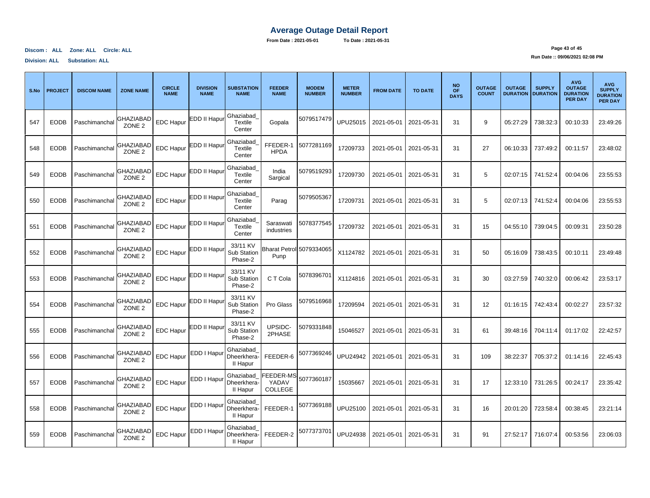**From Date : 2021-05-01**

**To Date : 2021-05-31**

**Discom : ALL Zone: ALL Circle: ALL**

**Division: ALL Substation: ALL**

**Page 43 of 45**

| S.No | <b>PROJECT</b> | <b>DISCOM NAME</b> | <b>ZONE NAME</b>                      | <b>CIRCLE</b><br><b>NAME</b> | <b>DIVISION</b><br><b>NAME</b> | <b>SUBSTATION</b><br><b>NAME</b>      | <b>FEEDER</b><br><b>NAME</b>         | <b>MODEM</b><br><b>NUMBER</b> | <b>METER</b><br><b>NUMBER</b> | <b>FROM DATE</b>        | <b>TO DATE</b>        | <b>NO</b><br><b>OF</b><br><b>DAYS</b> | <b>OUTAGE</b><br><b>COUNT</b> | <b>OUTAGE</b><br><b>DURATION</b> | <b>SUPPLY</b><br><b>DURATION</b> | <b>AVG</b><br><b>OUTAGE</b><br><b>DURATION</b><br><b>PER DAY</b> | <b>AVG</b><br><b>SUPPLY</b><br><b>DURATION</b><br><b>PER DAY</b> |
|------|----------------|--------------------|---------------------------------------|------------------------------|--------------------------------|---------------------------------------|--------------------------------------|-------------------------------|-------------------------------|-------------------------|-----------------------|---------------------------------------|-------------------------------|----------------------------------|----------------------------------|------------------------------------------------------------------|------------------------------------------------------------------|
| 547  | <b>EODB</b>    | Paschimanchal      | GHAZIABAD<br>ZONE <sub>2</sub>        | EDC Hapur                    | <b>EDD II Hapur</b>            | Ghaziabad_<br>Textile<br>Center       | Gopala                               | 5079517479                    | <b>UPU25015</b>               | 2021-05-01              | 2021-05-31            | 31                                    | 9                             | 05:27:29                         | 738:32:3                         | 00:10:33                                                         | 23:49:26                                                         |
| 548  | <b>EODB</b>    | Paschimanchal      | GHAZIABAD<br>ZONE <sub>2</sub>        |                              | EDC Hapur EDD II Hapur         | Ghaziabad<br>Textile<br>Center        | FFEDER-1<br><b>HPDA</b>              | 5077281169                    | 17209733                      | 2021-05-01              | 2021-05-31            | 31                                    | 27                            | 06:10:33                         | 737:49:2                         | 00:11:57                                                         | 23:48:02                                                         |
| 549  | <b>EODB</b>    | Paschimanchal      | GHAZIABAD<br>ZONE <sub>2</sub>        | <b>EDC Hapur</b>             | <b>EDD II Hapur</b>            | Ghaziabad_<br>Textile<br>Center       | India<br>Sargical                    | 5079519293                    | 17209730                      | 2021-05-01              | 2021-05-31            | 31                                    | 5                             | 02:07:15                         | 741:52:4                         | 00:04:06                                                         | 23:55:53                                                         |
| 550  | <b>EODB</b>    | Paschimanchal      | GHAZIABAD<br>ZONE <sub>2</sub>        |                              | EDC Hapur EDD II Hapur         | Ghaziabad_<br>Textile<br>Center       | Parag                                | 5079505367                    | 17209731                      | 2021-05-01              | 2021-05-31            | 31                                    | 5                             | 02:07:13                         | 741:52:4                         | 00:04:06                                                         | 23:55:53                                                         |
| 551  | <b>EODB</b>    | Paschimanchal      | GHAZIABAD<br>ZONE <sub>2</sub>        |                              | EDC Hapur EDD II Hapur         | Ghaziabad<br>Textile<br>Center        | Saraswati<br>industries              | 5078377545                    | 17209732                      | 2021-05-01              | 2021-05-31            | 31                                    | 15                            |                                  | 04:55:10   739:04:5              | 00:09:31                                                         | 23:50:28                                                         |
| 552  | <b>EODB</b>    | Paschimanchal      | GHAZIABAD<br>ZONE <sub>2</sub>        | <b>EDC Hapur</b>             | <b>EDD II Hapur</b>            | 33/11 KV<br>Sub Station<br>Phase-2    | Punp                                 | Bharat Petrol 5079334065      | X1124782                      | 2021-05-01              | 2021-05-31            | 31                                    | 50                            | 05:16:09                         | 738:43:5                         | 00:10:11                                                         | 23:49:48                                                         |
| 553  | <b>EODB</b>    | Paschimanchal      | GHAZIABAD<br>ZONE <sub>2</sub>        | <b>EDC Hapur</b>             | <b>EDD II Hapur</b>            | 33/11 KV<br>Sub Station<br>Phase-2    | C T Cola                             | 5078396701                    | X1124816                      | 2021-05-01              | 2021-05-31            | 31                                    | 30                            | 03:27:59                         | 740:32:0                         | 00:06:42                                                         | 23:53:17                                                         |
| 554  | <b>EODB</b>    | Paschimanchal      | GHAZIABAD<br>ZONE <sub>2</sub>        |                              | EDC Hapur EDD II Hapur         | 33/11 KV<br>Sub Station<br>Phase-2    | Pro Glass                            | 5079516968                    | 17209594                      | 2021-05-01   2021-05-31 |                       | 31                                    | 12                            | 01:16:15                         | 742:43:4                         | 00:02:27                                                         | 23:57:32                                                         |
| 555  | EODB           | Paschimanchal      | GHAZIABAD                             | <b>EDC Hapur</b>             | <b>EDD II Hapur</b>            | 33/11 KV<br>Sub Station<br>Phase-2    | UPSIDC-<br>2PHASE                    | 5079331848                    | 15046527                      | 2021-05-01   2021-05-31 |                       | 31                                    | 61                            | 39:48:16                         | 704:11:4                         | 01:17:02                                                         | 22:42:57                                                         |
| 556  | <b>EODB</b>    | Paschimanchal      | GHAZIABAD<br>ZONE <sub>2</sub>        | <b>EDC Hapur</b>             | <b>EDD I Hapur</b>             | Ghaziabad_<br>Dheerkhera-<br>II Hapur | FEEDER-6                             | 5077369246                    | UPU24942                      | 2021-05-01 2021-05-31   |                       | 31                                    | 109                           | 38:22:37                         | 705:37:2                         | 01:14:16                                                         | 22:45:43                                                         |
| 557  | <b>EODB</b>    | Paschimanchal      | GHAZIABAD<br>ZONE <sub>2</sub>        | <b>EDC Hapur</b>             | EDD I Hapur                    | Ghaziabad<br>Dheerkhera-<br>II Hapur  | <b>FEEDER-MS</b><br>YADAV<br>COLLEGE | 5077360187                    | 15035667                      |                         | 2021-05-01 2021-05-31 | 31                                    | 17                            |                                  | 12:33:10 731:26:5                | 00:24:17                                                         | 23:35:42                                                         |
| 558  | <b>EODB</b>    | Paschimanchal      | <b>GHAZIABAD</b><br>ZONE <sub>2</sub> | EDC Hapur                    | EDD I Hapur                    | Ghaziabad_<br>Dheerkhera-<br>II Hapur | FEEDER-1                             | 5077369188                    | UPU25100                      | 2021-05-01 2021-05-31   |                       | 31                                    | 16                            | 20:01:20                         | 723:58:4                         | 00:38:45                                                         | 23:21:14                                                         |
| 559  | <b>EODB</b>    | Paschimanchal      | GHAZIABAD<br>ZONE <sub>2</sub>        | <b>EDC Hapur</b>             | EDD I Hapur                    | Ghaziabad<br>Dheerkhera-<br>II Hapur  | FEEDER-2                             | 5077373701                    | UPU24938                      | 2021-05-01 2021-05-31   |                       | 31                                    | 91                            |                                  | 27:52:17   716:07:4              | 00:53:56                                                         | 23:06:03                                                         |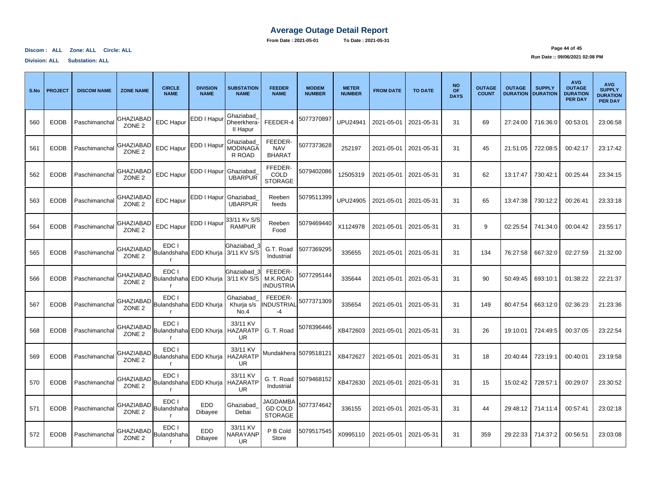**From Date : 2021-05-01**

**To Date : 2021-05-31**

**Discom : ALL Zone: ALL Circle: ALL**

**Division: ALL Substation: ALL**

**Page 44 of 45**

| S.No | <b>PROJECT</b> | <b>DISCOM NAME</b> | <b>ZONE NAME</b>                      | <b>CIRCLE</b><br><b>NAME</b>                                      | <b>DIVISION</b><br><b>NAME</b> | <b>SUBSTATION</b><br><b>NAME</b>         | <b>FEEDER</b><br><b>NAME</b>                  | <b>MODEM</b><br><b>NUMBER</b> | <b>METER</b><br><b>NUMBER</b> | <b>FROM DATE</b>      | <b>TO DATE</b>    | <b>NO</b><br>OF<br><b>DAYS</b> | <b>OUTAGE</b><br><b>COUNT</b> | <b>OUTAGE</b><br><b>DURATION</b> | <b>SUPPLY</b><br><b>DURATION</b> | <b>AVG</b><br><b>OUTAGE</b><br><b>DURATION</b><br><b>PER DAY</b> | <b>AVG</b><br><b>SUPPLY</b><br><b>DURATION</b><br><b>PER DAY</b> |
|------|----------------|--------------------|---------------------------------------|-------------------------------------------------------------------|--------------------------------|------------------------------------------|-----------------------------------------------|-------------------------------|-------------------------------|-----------------------|-------------------|--------------------------------|-------------------------------|----------------------------------|----------------------------------|------------------------------------------------------------------|------------------------------------------------------------------|
| 560  | <b>EODB</b>    | Paschimanchal      | <b>GHAZIABAD</b><br>ZONE <sub>2</sub> | <b>EDC Hapur</b>                                                  | EDD I Hapur                    | Ghaziabad<br>Dheerkhera-<br>II Hapur     | FEEDER-4                                      | 5077370897                    | <b>UPU24941</b>               | 2021-05-01            | $ 2021 - 05 - 31$ | 31                             | 69                            | 27:24:00                         | 716:36:0                         | 00:53:01                                                         | 23:06:58                                                         |
| 561  | <b>EODB</b>    | Paschimanchal      | GHAZIABAD<br>ZONE <sub>2</sub>        | EDC Hapur                                                         | EDD I Hapur                    | Ghaziabad<br><b>MODINAGA</b><br>R ROAD   | FEEDER-<br><b>NAV</b><br><b>BHARAT</b>        | 5077373628                    | 252197                        | 2021-05-01            | 2021-05-31        | 31                             | 45                            | 21:51:05                         | 722:08:5                         | 00:42:17                                                         | 23:17:42                                                         |
| 562  | <b>EODB</b>    | Paschimanchal      | GHAZIABAD<br>  ZONE 2                 | <b>EDC Hapur</b>                                                  | EDD I Hapur Ghaziabad_         | <b>UBARPUR</b>                           | FFEDER-<br>COLD<br><b>STORAGE</b>             | 5079402086                    | 12505319                      | 2021-05-01            | 2021-05-31        | 31                             | 62                            | 13:17:47                         | 730:42:1                         | 00:25:44                                                         | 23:34:15                                                         |
| 563  | <b>EODB</b>    | Paschimanchal      | GHAZIABAD<br>ZONE <sub>2</sub>        | <b>EDC Hapur</b>                                                  | EDD I Hapur Ghaziabad          | <b>UBARPUR</b>                           | Reeben<br>feeds                               | 5079511399                    | <b>UPU24905</b>               | 2021-05-01            | 2021-05-31        | 31                             | 65                            | 13:47:38                         | 730:12:2                         | 00:26:41                                                         | 23:33:18                                                         |
| 564  | <b>EODB</b>    | Paschimanchal      | <b>GHAZIABAD</b><br>ZONE <sub>2</sub> | EDC Hapur                                                         | EDD I Hapur                    | 33/11 Kv S/S<br><b>RAMPUR</b>            | Reeben<br>Food                                | 5079469440                    | X1124978                      | 2021-05-01            | $ 2021 - 05 - 31$ | 31                             | 9                             | 02:25:54                         | 741:34:0                         | 00:04:42                                                         | 23:55:17                                                         |
| 565  | <b>EODB</b>    | Paschimanchal      |                                       | EDC I<br>GHAZIABAD Bulandshaha EDD Khurja 3/11 KV S/S             |                                | Ghaziabad_3                              | G.T. Road<br>Industrial                       | 5077369295                    | 335655                        | 2021-05-01            | $ 2021 - 05 - 31$ | 31                             | 134                           | 76:27:58                         | 667:32:0                         | 02:27:59                                                         | 21:32:00                                                         |
| 566  | <b>EODB</b>    | Paschimanchal      | GHAZIABAD  <br>ZONE <sub>2</sub>      | EDC I<br>Bulandshaha EDD Khurja 3/11 KV S/S                       |                                | Ghaziabad_3                              | FEEDER-<br>M.K.ROAD<br><b>INDUSTRIA</b>       | 5077295144                    | 335644                        | 2021-05-01            | $ 2021 - 05 - 31$ | 31                             | 90                            | 50:49:45                         | 693:10:1                         | 01:38:22                                                         | 22:21:37                                                         |
| 567  | <b>EODB</b>    | Paschimanchal      |                                       | EDC I<br>GHAZIABAD<br>ZONE 2 Bulandshaha EDD Khurja               |                                | Ghaziabad<br>Khurja s/s<br>No.4          | FEEDER-<br><b>INDUSTRIAL</b><br>-4            | 5077371309                    | 335654                        | 2021-05-01            | $ 2021 - 05 - 31$ | 31                             | 149                           | 80:47:54                         | 663:12:0                         | 02:36:23                                                         | 21:23:36                                                         |
| 568  | <b>EODB</b>    | Paschimanchal      |                                       | EDC I<br>GHAZIABAD Bulandshaha EDD Khurja   HAZARATP   G. T. Road |                                | 33/11 KV<br>UR                           |                                               | 5078396446                    | XB472603                      | 2021-05-01 2021-05-31 |                   | 31                             | 26                            | 19:10:01                         | 724:49:5                         | 00:37:05                                                         | 23:22:54                                                         |
| 569  | <b>EODB</b>    | Paschimanchal      | ZONE <sub>2</sub>                     | EDC I<br>GHAZIABAD Bulandshaha EDD Khurja                         |                                | 33/11 KV<br>HAZARATP<br><b>UR</b>        | Mundakhera   5079518121                       |                               | XB472627                      | 2021-05-01 2021-05-31 |                   | 31                             | 18                            | 20:40:44                         | 723:19:1                         | 00:40:01                                                         | 23:19:58                                                         |
| 570  | <b>EODB</b>    | Paschimanchal      | ZONE <sub>2</sub>                     | EDC I<br>GHAZIABAD Bulandshaha EDD Khurja                         |                                | 33/11 KV<br><b>HAZARATP</b><br><b>UR</b> | Industrial                                    | G. T. Road   5079468152       | XB472630                      | 2021-05-01 2021-05-31 |                   | 31                             | 15                            | 15:02:42                         | 728:57:1                         | 00:29:07                                                         | 23:30:52                                                         |
| 571  | <b>EODB</b>    | Paschimanchal      |                                       | GHAZIABAD<br>Bulandshahal                                         | <b>EDD</b><br><b>Dibayee</b>   | Ghaziabad<br>Debai                       | JAGDAMBA <br><b>GD COLD</b><br><b>STORAGE</b> | 5077374642                    | 336155                        | 2021-05-01 2021-05-31 |                   | 31                             | 44                            |                                  | 29:48:12   714:11:4              | 00:57:41                                                         | 23:02:18                                                         |
| 572  | <b>EODB</b>    | Paschimanchal      | ZONE <sub>2</sub>                     | EDC I<br>GHAZIABAD Bulandshahal                                   | <b>EDD</b><br>Dibayee          | 33/11 KV<br><b>NARAYANP</b><br><b>UR</b> | P B Cold<br>Store                             | 5079517545                    | X0995110                      | 2021-05-01 2021-05-31 |                   | 31                             | 359                           |                                  | 29:22:33   714:37:2              | 00:56:51                                                         | 23:03:08                                                         |